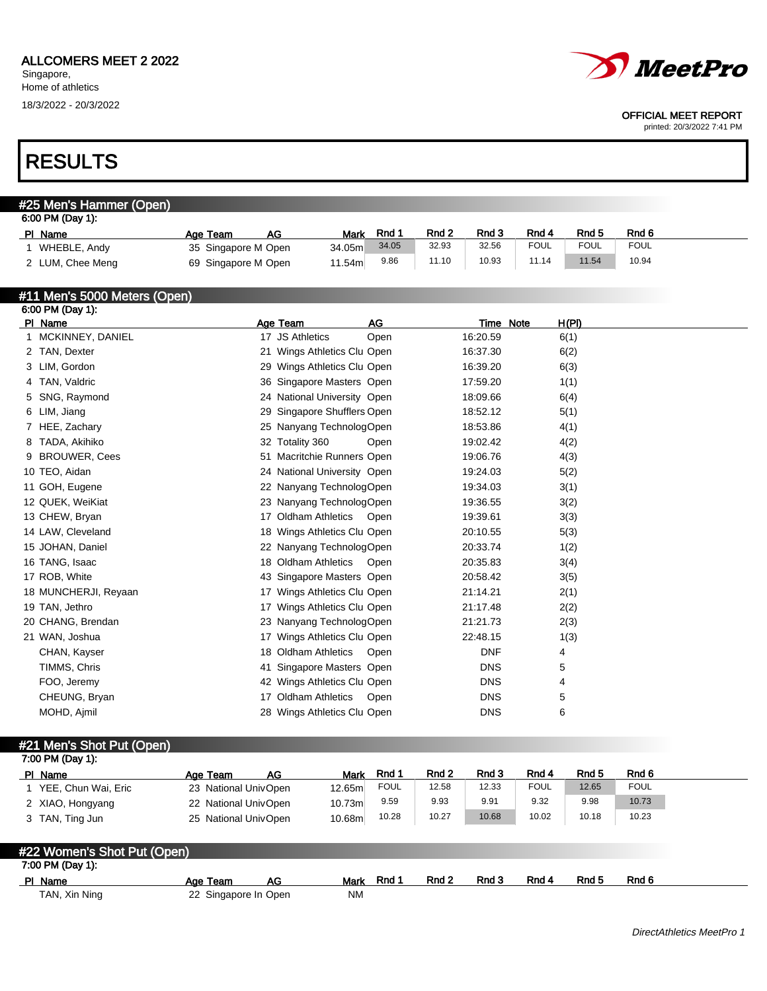## RESULTS

#### #25 Men's Hammer (Open) 6:00 PM (Day 1): PIName **Age Team AG Mark Rnd 1 Rnd 2 Rnd 3 Rnd 4** Rnd 5 Rnd 6 1 WHEBLE, Andy 35 Singapore M Open 34.05m 34.05 32.93 32.56 FOUL FOUL FOUL<br>2 I UM Chee Meng 69 Singapore M Open 11.54m 9.86 11.10 10.93 11.14 11.54 10.94 2 LUM, Chee Meng 69 Singapore M Open 11.54m 9.86 11.10 10.93 11.14

### #11 Men's 5000 Meters (Open)

| AG<br>H(PI)<br>PI Name<br>Age Team<br>Time Note<br>MCKINNEY, DANIEL<br>17 JS Athletics<br>Open<br>16:20.59<br>6(1)<br>$\mathbf{1}$<br>2 TAN, Dexter<br>21 Wings Athletics Clu Open<br>16:37.30<br>6(2)<br>3 LIM, Gordon<br>29 Wings Athletics Clu Open<br>16:39.20<br>6(3)<br>36 Singapore Masters Open<br>4 TAN, Valdric<br>17:59.20<br>1(1)<br>24 National University Open<br>18:09.66<br>5 SNG, Raymond<br>6(4)<br>29 Singapore Shufflers Open<br>6 LIM, Jiang<br>18:52.12<br>5(1) |
|---------------------------------------------------------------------------------------------------------------------------------------------------------------------------------------------------------------------------------------------------------------------------------------------------------------------------------------------------------------------------------------------------------------------------------------------------------------------------------------|
|                                                                                                                                                                                                                                                                                                                                                                                                                                                                                       |
|                                                                                                                                                                                                                                                                                                                                                                                                                                                                                       |
|                                                                                                                                                                                                                                                                                                                                                                                                                                                                                       |
|                                                                                                                                                                                                                                                                                                                                                                                                                                                                                       |
|                                                                                                                                                                                                                                                                                                                                                                                                                                                                                       |
|                                                                                                                                                                                                                                                                                                                                                                                                                                                                                       |
|                                                                                                                                                                                                                                                                                                                                                                                                                                                                                       |
| 25 Nanyang TechnologOpen<br>18:53.86<br>4(1)<br>7 HEE, Zachary                                                                                                                                                                                                                                                                                                                                                                                                                        |
| 8 TADA, Akihiko<br>32 Totality 360<br>19:02.42<br>Open<br>4(2)                                                                                                                                                                                                                                                                                                                                                                                                                        |
| 9 BROUWER, Cees<br>51 Macritchie Runners Open<br>19:06.76<br>4(3)                                                                                                                                                                                                                                                                                                                                                                                                                     |
| 24 National University Open<br>10 TEO, Aidan<br>19:24.03<br>5(2)                                                                                                                                                                                                                                                                                                                                                                                                                      |
| 11 GOH, Eugene<br>22 Nanyang TechnologOpen<br>19:34.03<br>3(1)                                                                                                                                                                                                                                                                                                                                                                                                                        |
| 23 Nanyang TechnologOpen<br>12 QUEK, WeiKiat<br>19:36.55<br>3(2)                                                                                                                                                                                                                                                                                                                                                                                                                      |
| 13 CHEW, Bryan<br>17 Oldham Athletics Open<br>19:39.61<br>3(3)                                                                                                                                                                                                                                                                                                                                                                                                                        |
| 14 LAW, Cleveland<br>18 Wings Athletics Clu Open<br>20:10.55<br>5(3)                                                                                                                                                                                                                                                                                                                                                                                                                  |
| 15 JOHAN, Daniel<br>22 Nanyang TechnologOpen<br>20:33.74<br>1(2)                                                                                                                                                                                                                                                                                                                                                                                                                      |
| 16 TANG, Isaac<br>18 Oldham Athletics<br>20:35.83<br>3(4)<br>Open                                                                                                                                                                                                                                                                                                                                                                                                                     |
| 17 ROB, White<br>43 Singapore Masters Open<br>20:58.42<br>3(5)                                                                                                                                                                                                                                                                                                                                                                                                                        |
| 18 MUNCHERJI, Reyaan<br>17 Wings Athletics Clu Open<br>21:14.21<br>2(1)                                                                                                                                                                                                                                                                                                                                                                                                               |
| 19 TAN, Jethro<br>17 Wings Athletics Clu Open<br>21:17.48<br>2(2)                                                                                                                                                                                                                                                                                                                                                                                                                     |
| 21:21.73<br>20 CHANG, Brendan<br>23 Nanyang TechnologOpen<br>2(3)                                                                                                                                                                                                                                                                                                                                                                                                                     |
| 21 WAN, Joshua<br>17 Wings Athletics Clu Open<br>22:48.15<br>1(3)                                                                                                                                                                                                                                                                                                                                                                                                                     |
| 18 Oldham Athletics<br><b>DNF</b><br>CHAN, Kayser<br>Open<br>4                                                                                                                                                                                                                                                                                                                                                                                                                        |
| TIMMS, Chris<br>41 Singapore Masters Open<br><b>DNS</b><br>5                                                                                                                                                                                                                                                                                                                                                                                                                          |
| <b>DNS</b><br>FOO, Jeremy<br>42 Wings Athletics Clu Open<br>4                                                                                                                                                                                                                                                                                                                                                                                                                         |
| <b>DNS</b><br>CHEUNG, Bryan<br>17 Oldham Athletics<br>5<br>Open                                                                                                                                                                                                                                                                                                                                                                                                                       |
| <b>DNS</b><br>6<br>MOHD, Ajmil<br>28 Wings Athletics Clu Open                                                                                                                                                                                                                                                                                                                                                                                                                         |
|                                                                                                                                                                                                                                                                                                                                                                                                                                                                                       |

#21 Men's Shot Put (Open)

| 7:00 PM (Day 1):            |                      |             |             |       |       |             |       |             |  |  |  |
|-----------------------------|----------------------|-------------|-------------|-------|-------|-------------|-------|-------------|--|--|--|
| PI Name                     | AG.<br>Age Team      | <b>Mark</b> | Rnd 1       | Rnd 2 | Rnd 3 | Rnd 4       | Rnd 5 | Rnd 6       |  |  |  |
| 1 YEE, Chun Wai, Eric       | 23 National UnivOpen | 12.65m      | <b>FOUL</b> | 12.58 | 12.33 | <b>FOUL</b> | 12.65 | <b>FOUL</b> |  |  |  |
| 2 XIAO, Hongyang            | 22 National UnivOpen | 10.73m      | 9.59        | 9.93  | 9.91  | 9.32        | 9.98  | 10.73       |  |  |  |
| 3 TAN, Ting Jun             | 25 National UnivOpen | 10.68m      | 10.28       | 10.27 | 10.68 | 10.02       | 10.18 | 10.23       |  |  |  |
|                             |                      |             |             |       |       |             |       |             |  |  |  |
| #22 Women's Shot Put (Open) |                      |             |             |       |       |             |       |             |  |  |  |
| 7:00 PM (Day 1):            |                      |             |             |       |       |             |       |             |  |  |  |
| PI Name                     | AG<br>Age Team       | <b>Mark</b> | Rnd 1       | Rnd 2 | Rnd 3 | Rnd 4       | Rnd 5 | Rnd 6       |  |  |  |



## OFFICIAL MEET REPORT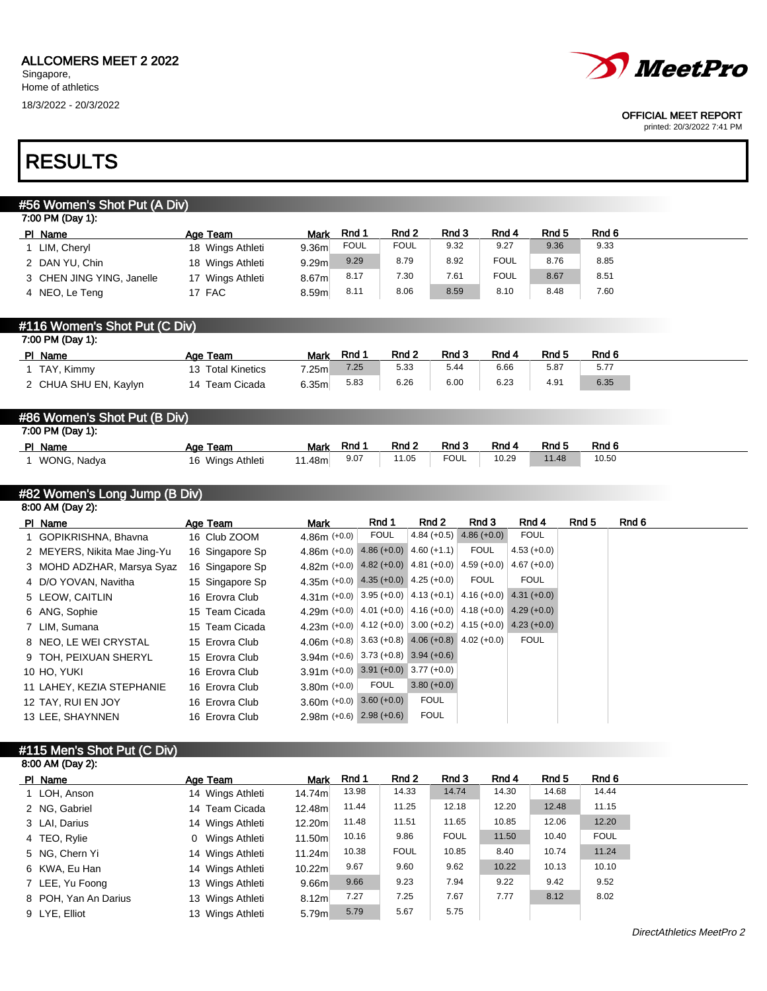

#### OFFICIAL MEET REPORT

printed: 20/3/2022 7:41 PM

## RESULTS

| #56 Women's Shot Put (A Div)  |                   |                   |             |                  |                                                                                                                                                                                                                                                                                                                                                                                                                                                                                                                  |              |             |               |       |                  |
|-------------------------------|-------------------|-------------------|-------------|------------------|------------------------------------------------------------------------------------------------------------------------------------------------------------------------------------------------------------------------------------------------------------------------------------------------------------------------------------------------------------------------------------------------------------------------------------------------------------------------------------------------------------------|--------------|-------------|---------------|-------|------------------|
| 7:00 PM (Day 1):              |                   |                   |             |                  |                                                                                                                                                                                                                                                                                                                                                                                                                                                                                                                  |              |             |               |       |                  |
| PI Name                       | Age Team          | <b>Mark</b>       | Rnd 1       | Rnd <sub>2</sub> |                                                                                                                                                                                                                                                                                                                                                                                                                                                                                                                  | Rnd 3        | Rnd 4       | Rnd 5         |       | Rnd 6            |
| 1 LIM, Cheryl                 | 18 Wings Athleti  | 9.36m             | <b>FOUL</b> | <b>FOUL</b>      |                                                                                                                                                                                                                                                                                                                                                                                                                                                                                                                  | 9.32         | 9.27        | 9.36          |       | 9.33             |
| 2 DAN YU, Chin                | 18 Wings Athleti  | 9.29m             | 9.29        | 8.79             |                                                                                                                                                                                                                                                                                                                                                                                                                                                                                                                  | 8.92         | <b>FOUL</b> | 8.76          |       | 8.85             |
| 3 CHEN JING YING, Janelle     | 17 Wings Athleti  | 8.67m             | 8.17        | 7.30             |                                                                                                                                                                                                                                                                                                                                                                                                                                                                                                                  | 7.61         | <b>FOUL</b> | 8.67          |       | 8.51             |
| 4 NEO, Le Teng                | 17 FAC            | 8.59m             | 8.11        | 8.06             |                                                                                                                                                                                                                                                                                                                                                                                                                                                                                                                  | 8.59         | 8.10        | 8.48          |       | 7.60             |
| #116 Women's Shot Put (C Div) |                   |                   |             |                  |                                                                                                                                                                                                                                                                                                                                                                                                                                                                                                                  |              |             |               |       |                  |
| 7:00 PM (Day 1):              |                   |                   |             |                  |                                                                                                                                                                                                                                                                                                                                                                                                                                                                                                                  |              |             |               |       |                  |
| PI Name                       | Age Team          | <b>Mark</b>       | Rnd 1       | Rnd 2            |                                                                                                                                                                                                                                                                                                                                                                                                                                                                                                                  | Rnd 3        | Rnd 4       | Rnd 5         |       | Rnd <sub>6</sub> |
| 1 TAY, Kimmy                  | 13 Total Kinetics | 7.25m             | 7.25        | 5.33             |                                                                                                                                                                                                                                                                                                                                                                                                                                                                                                                  | 5.44         | 6.66        | 5.87          |       | 5.77             |
| 2 CHUA SHU EN, Kaylyn         | 14 Team Cicada    | 6.35 <sub>m</sub> | 5.83        | 6.26             |                                                                                                                                                                                                                                                                                                                                                                                                                                                                                                                  | 6.00         | 6.23        | 4.91          |       | 6.35             |
|                               |                   |                   |             |                  |                                                                                                                                                                                                                                                                                                                                                                                                                                                                                                                  |              |             |               |       |                  |
| #86 Women's Shot Put (B Div)  |                   |                   |             |                  |                                                                                                                                                                                                                                                                                                                                                                                                                                                                                                                  |              |             |               |       |                  |
| 7:00 PM (Day 1):              |                   |                   |             |                  |                                                                                                                                                                                                                                                                                                                                                                                                                                                                                                                  |              |             |               |       |                  |
| PI Name                       | Age Team          | <b>Mark</b>       | Rnd 1       | Rnd 2            |                                                                                                                                                                                                                                                                                                                                                                                                                                                                                                                  | Rnd 3        | Rnd 4       | Rnd 5         |       | Rnd <sub>6</sub> |
| 1 WONG, Nadya                 | 16 Wings Athleti  | 11.48m            | 9.07        | 11.05            |                                                                                                                                                                                                                                                                                                                                                                                                                                                                                                                  | <b>FOUL</b>  | 10.29       | 11.48         |       | 10.50            |
|                               |                   |                   |             |                  |                                                                                                                                                                                                                                                                                                                                                                                                                                                                                                                  |              |             |               |       |                  |
| #82 Women's Long Jump (B Div) |                   |                   |             |                  |                                                                                                                                                                                                                                                                                                                                                                                                                                                                                                                  |              |             |               |       |                  |
| 8:00 AM (Day 2):              |                   |                   |             |                  |                                                                                                                                                                                                                                                                                                                                                                                                                                                                                                                  |              |             |               |       |                  |
| PI Name                       | Age Team          | <b>Mark</b>       |             | Rnd 1            | Rnd 2                                                                                                                                                                                                                                                                                                                                                                                                                                                                                                            | Rnd 3        |             | Rnd 4         | Rnd 5 | Rnd 6            |
| 1 GOPIKRISHNA, Bhavna         | 16 Club ZOOM      | $4.86m (+0.0)$    |             | <b>FOUL</b>      | $4.84 (+0.5)$                                                                                                                                                                                                                                                                                                                                                                                                                                                                                                    | $4.86(+0.0)$ |             | <b>FOUL</b>   |       |                  |
| 2 MEYERS, Nikita Mae Jing-Yu  | 16 Singapore Sp   |                   |             |                  | $4.86m$ (+0.0) $4.86$ (+0.0) $4.60$ (+1.1)                                                                                                                                                                                                                                                                                                                                                                                                                                                                       | <b>FOUL</b>  |             | $4.53 (+0.0)$ |       |                  |
| 3 MOHD ADZHAR, Marsya Syaz    | 16 Singapore Sp   |                   |             |                  | 4.82m (+0.0) 4.82 (+0.0) 4.81 (+0.0)                                                                                                                                                                                                                                                                                                                                                                                                                                                                             | $4.59(+0.0)$ |             | $4.67 (+0.0)$ |       |                  |
|                               |                   |                   |             |                  | $\mathbf{1} \times \mathbf{1} \times \mathbf{1} \times \mathbf{1} \times \mathbf{1} \times \mathbf{1} \times \mathbf{1} \times \mathbf{1} \times \mathbf{1} \times \mathbf{1} \times \mathbf{1} \times \mathbf{1} \times \mathbf{1} \times \mathbf{1} \times \mathbf{1} \times \mathbf{1} \times \mathbf{1} \times \mathbf{1} \times \mathbf{1} \times \mathbf{1} \times \mathbf{1} \times \mathbf{1} \times \mathbf{1} \times \mathbf{1} \times \mathbf{1} \times \mathbf{1} \times \mathbf{1} \times \mathbf{$ | $     -$     |             | $  \cdots$    |       |                  |

| 3 MUTU ADZHAR, MAISYA SYAZ | TO Singapore Sp |                                                                         |      |               |      |             |  |
|----------------------------|-----------------|-------------------------------------------------------------------------|------|---------------|------|-------------|--|
| 4 D/O YOVAN, Navitha       | 15 Singapore Sp | 4.35m $(+0.0)$ 4.35 $(+0.0)$ 4.25 $(+0.0)$                              |      |               | FOUL | <b>FOUL</b> |  |
| 5 LEOW, CAITLIN            | 16 Erovra Club  | 4.31 (+0.0) 3.95 (+0.0) 4.13 (+0.1) 4.16 (+0.0) 4.31 (+0.0)             |      |               |      |             |  |
| 6 ANG, Sophie              | 15 Team Cicada  | 4.29 (+0.0) $ 4.01$ (+0.0) $ 4.16$ (+0.0) $ 4.18$ (+0.0) $ 4.29$ (+0.0) |      |               |      |             |  |
| 7 LIM, Sumana              | 15 Team Cicada  | 4.23m (+0.0) $ 4.12$ (+0.0) $ 3.00$ (+0.2) $ 4.15$ (+0.0) 4.23 (+0.0)   |      |               |      |             |  |
| 8 NEO, LE WEI CRYSTAL      | 15 Erovra Club  | 4.06 (+0.8) $ 3.63 + 0.8 $ 4.06 (+0.8) 4.02 (+0.0)                      |      |               |      | <b>FOUL</b> |  |
| 9 TOH, PEIXUAN SHERYL      | 15 Erovra Club  | $3.94$ m (+0.6) 3.73 (+0.8) 3.94 (+0.6)                                 |      |               |      |             |  |
| 10 HO, YUKI                | 16 Erovra Club  | $3.91$ m (+0.0) 3.91 (+0.0) 3.77 (+0.0)                                 |      |               |      |             |  |
| 11 LAHEY, KEZIA STEPHANIE  | 16 Erovra Club  | $3.80m (+0.0)$                                                          | FOUL | $3.80 (+0.0)$ |      |             |  |
| 12 TAY, RUI EN JOY         | 16 Erovra Club  | $3.60$ m $(+0.0)$ $3.60 (+0.0)$                                         |      | <b>FOUL</b>   |      |             |  |
| 13 LEE, SHAYNNEN           | 16 Erovra Club  | $2.98m (+0.6)$ $2.98 (+0.6)$                                            |      | <b>FOUL</b>   |      |             |  |

### #115 Men's Shot Put (C Div) 8:00 AM (Day 2):

| PI Name              | Age Team                  | <b>Mark</b>       | Rnd 1 | Rnd 2       | Rnd 3       | Rnd 4 | Rnd 5 | Rnd 6       |
|----------------------|---------------------------|-------------------|-------|-------------|-------------|-------|-------|-------------|
| 1 LOH, Anson         | 14 Wings Athleti          | 14.74m            | 13.98 | 14.33       | 14.74       | 14.30 | 14.68 | 14.44       |
| 2 NG, Gabriel        | 14 Team Cicada            | 12.48m            | 11.44 | 11.25       | 12.18       | 12.20 | 12.48 | 11.15       |
| 3 LAI, Darius        | 14 Wings Athleti          | 12.20m            | 11.48 | 11.51       | 11.65       | 10.85 | 12.06 | 12.20       |
| 4 TEO, Rylie         | Wings Athleti<br>$\Omega$ | 11.50m            | 10.16 | 9.86        | <b>FOUL</b> | 11.50 | 10.40 | <b>FOUL</b> |
| 5 NG, Chern Yi       | 14 Wings Athleti          | 11.24m            | 10.38 | <b>FOUL</b> | 10.85       | 8.40  | 10.74 | 11.24       |
| 6 KWA, Eu Han        | 14 Wings Athleti          | 10.22m            | 9.67  | 9.60        | 9.62        | 10.22 | 10.13 | 10.10       |
| 7 LEE, Yu Foong      | 13 Wings Athleti          | 9.66m             | 9.66  | 9.23        | 7.94        | 9.22  | 9.42  | 9.52        |
| 8 POH, Yan An Darius | 13 Wings Athleti          | 8.12 <sub>m</sub> | 7.27  | 7.25        | 7.67        | 7.77  | 8.12  | 8.02        |
| 9 LYE, Elliot        | 13 Wings Athleti          | 5.79m             | 5.79  | 5.67        | 5.75        |       |       |             |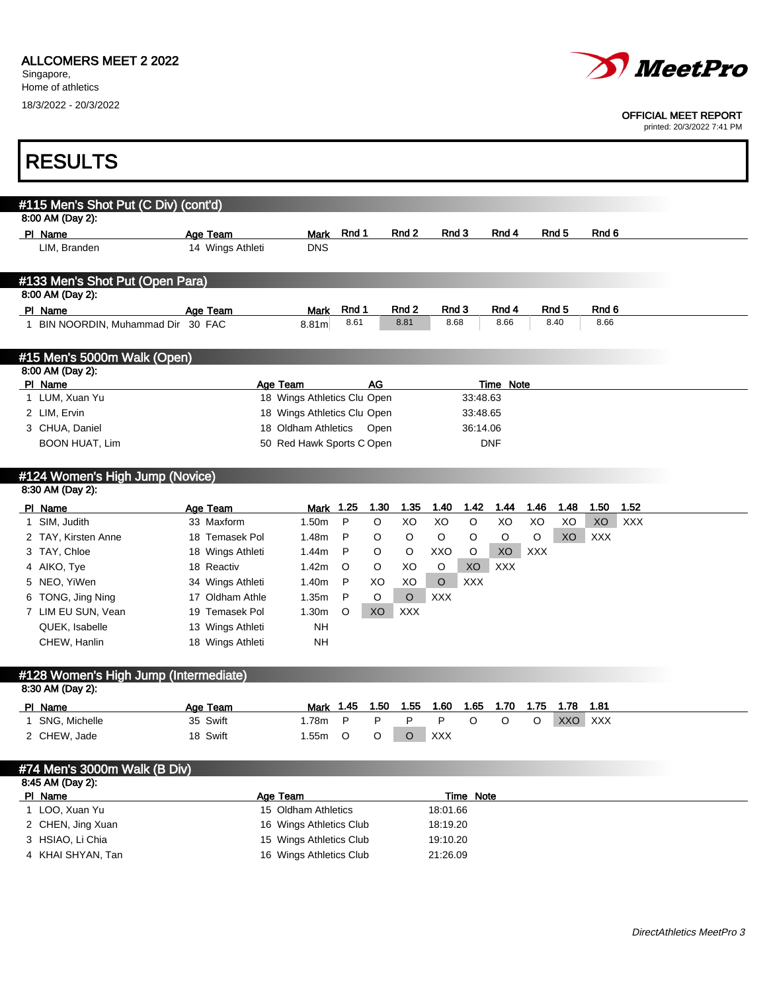### ALLCOMERS MEET 2 2022

Singapore, Home of athletics 18/3/2022 - 20/3/2022



#### OFFICIAL MEET REPORT

printed: 20/3/2022 7:41 PM

٦

| <b>RESULTS</b>                                      |                  |                             |               |      |                  |               |            |                  |            |                  |               |            |
|-----------------------------------------------------|------------------|-----------------------------|---------------|------|------------------|---------------|------------|------------------|------------|------------------|---------------|------------|
| #115 Men's Shot Put (C Div) (cont'd)                |                  |                             |               |      |                  |               |            |                  |            |                  |               |            |
| 8:00 AM (Day 2):                                    |                  |                             |               |      |                  |               |            |                  |            |                  |               |            |
| PI Name                                             | Age Team         | <b>Mark</b>                 | Rnd 1         |      | Rnd <sub>2</sub> | Rnd 3         |            | Rnd 4            |            | Rnd <sub>5</sub> | Rnd 6         |            |
| LIM, Branden                                        | 14 Wings Athleti | <b>DNS</b>                  |               |      |                  |               |            |                  |            |                  |               |            |
| #133 Men's Shot Put (Open Para)                     |                  |                             |               |      |                  |               |            |                  |            |                  |               |            |
| 8:00 AM (Day 2):                                    |                  |                             |               |      |                  |               |            |                  |            |                  |               |            |
| PI Name<br>1 BIN NOORDIN, Muhammad Dir 30 FAC       | Age Team         | <b>Mark</b><br>8.81m        | Rnd 1<br>8.61 |      | Rnd 2<br>8.81    | Rnd 3<br>8.68 |            | Rnd 4<br>8.66    |            | Rnd 5<br>8.40    | Rnd 6<br>8.66 |            |
| #15 Men's 5000m Walk (Open)                         |                  |                             |               |      |                  |               |            |                  |            |                  |               |            |
| 8:00 AM (Day 2):                                    |                  |                             |               |      |                  |               |            |                  |            |                  |               |            |
| PI Name                                             |                  | Age Team                    |               | AG   |                  |               |            | <b>Time Note</b> |            |                  |               |            |
| 1 LUM, Xuan Yu                                      |                  | 18 Wings Athletics Clu Open |               |      |                  |               | 33:48.63   |                  |            |                  |               |            |
| 2 LIM, Ervin                                        |                  | 18 Wings Athletics Clu Open |               |      |                  |               | 33:48.65   |                  |            |                  |               |            |
| 3 CHUA, Daniel                                      |                  | 18 Oldham Athletics         |               | Open |                  |               | 36:14.06   |                  |            |                  |               |            |
| <b>BOON HUAT, Lim</b>                               |                  | 50 Red Hawk Sports C Open   |               |      |                  |               |            | DNF              |            |                  |               |            |
| #124 Women's High Jump (Novice)<br>8:30 AM (Day 2): |                  |                             |               |      |                  |               |            |                  |            |                  |               |            |
| PI Name                                             | Age Team         | Mark                        | 1.25          | 1.30 | 1.35             | 1.40          | 1.42       | 1.44             | 1.46       | 1.48             | 1.50          | 1.52       |
| 1 SIM, Judith                                       | 33 Maxform       | 1.50m                       | P             | O    | XO               | XO            | O          | XO               | XO         | XO               | XO            | <b>XXX</b> |
| 2 TAY, Kirsten Anne                                 | 18 Temasek Pol   | 1.48m                       | P             | O    | O                | O             | O          | O                | O          | XO               | <b>XXX</b>    |            |
| 3 TAY, Chloe                                        | 18 Wings Athleti | 1.44m                       | P             | O    | O                | XXO           | O          | XO               | <b>XXX</b> |                  |               |            |
| 4 AIKO, Tye                                         | 18 Reactiv       | 1.42m                       | O             | O    | XO               | O             | XO         | <b>XXX</b>       |            |                  |               |            |
| 5 NEO, YiWen                                        | 34 Wings Athleti | 1.40m                       | P             | XO   | XO               | $\circ$       | <b>XXX</b> |                  |            |                  |               |            |
| 6 TONG, Jing Ning                                   | 17 Oldham Athle  | 1.35m                       | P             | O    | $\circ$          | <b>XXX</b>    |            |                  |            |                  |               |            |
| 7 LIM EU SUN, Vean                                  | 19 Temasek Pol   | 1.30m                       | O             | XO   | <b>XXX</b>       |               |            |                  |            |                  |               |            |
| QUEK, Isabelle                                      | 13 Wings Athleti | <b>NH</b>                   |               |      |                  |               |            |                  |            |                  |               |            |
| CHEW, Hanlin                                        | 18 Wings Athleti | NΗ                          |               |      |                  |               |            |                  |            |                  |               |            |
| #128 Women's High Jump (Intermediate)               |                  |                             |               |      |                  |               |            |                  |            |                  |               |            |
| 8:30 AM (Day 2):                                    |                  |                             |               |      |                  |               |            |                  |            |                  |               |            |
| PI Name                                             | Age Team         | <u>Mark 1.45</u>            |               | 1.50 |                  | 1.55 1.60     | 1.65       | 1.70             | 1.75       | 1.78             | 1.81          |            |
| 1 SNG, Michelle                                     | 35 Swift         | 1.78m                       | P             | P    | P                | Ρ             | O          | O                | O          | XXO XXX          |               |            |
| 2 CHEW, Jade                                        | 18 Swift         | 1.55m                       | O             | O    | 0                | <b>XXX</b>    |            |                  |            |                  |               |            |
| #74 Men's 3000m Walk (B Div)<br>8:45 AM (Day 2):    |                  |                             |               |      |                  |               |            |                  |            |                  |               |            |
| PI Name                                             |                  | <b>Age Team</b>             |               |      |                  |               | Time Note  |                  |            |                  |               |            |
| 1 LOO, Xuan Yu                                      |                  | 15 Oldham Athletics         |               |      |                  | 18:01.66      |            |                  |            |                  |               |            |
| 2 CHEN, Jing Xuan                                   |                  | 16 Wings Athletics Club     |               |      |                  | 18:19.20      |            |                  |            |                  |               |            |
| 3 HSIAO, Li Chia                                    |                  | 15 Wings Athletics Club     |               |      |                  | 19:10.20      |            |                  |            |                  |               |            |
| 4 KHAI SHYAN, Tan                                   |                  | 16 Wings Athletics Club     |               |      |                  | 21:26.09      |            |                  |            |                  |               |            |
|                                                     |                  |                             |               |      |                  |               |            |                  |            |                  |               |            |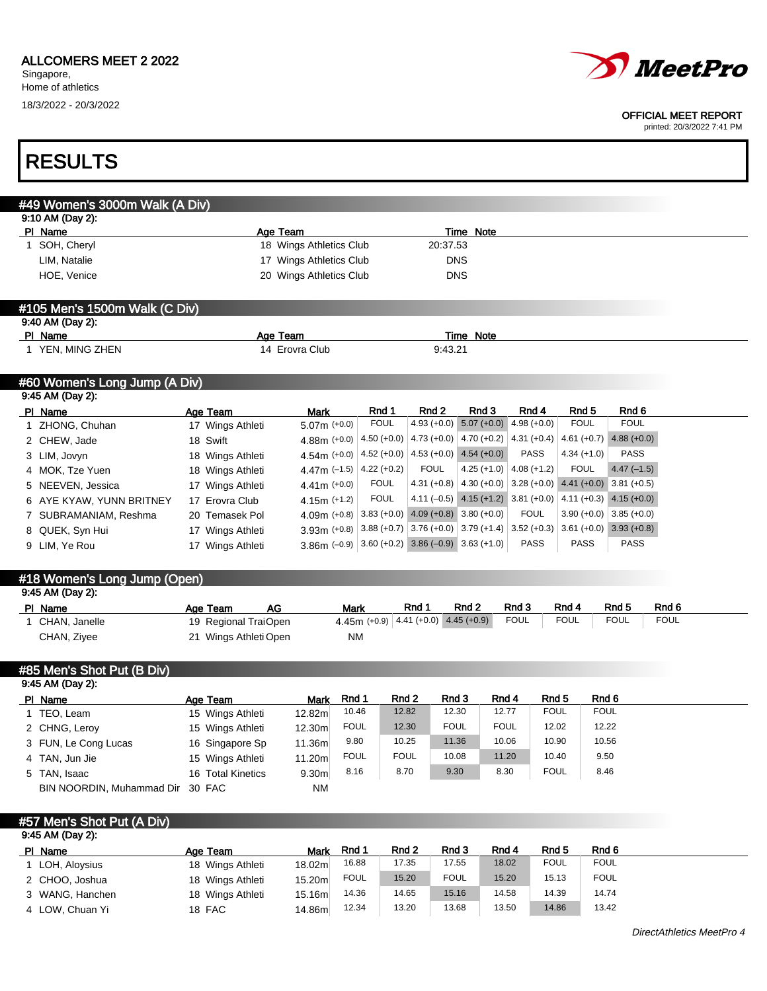

#### OFFICIAL MEET REPORT

printed: 20/3/2022 7:41 PM

ī

| #49 Women's 3000m Walk (A Div)                   |                                       |                         |                                  |                                           |                  |                                           |                  |                             |
|--------------------------------------------------|---------------------------------------|-------------------------|----------------------------------|-------------------------------------------|------------------|-------------------------------------------|------------------|-----------------------------|
| 9:10 AM (Day 2):                                 |                                       |                         |                                  |                                           |                  |                                           |                  |                             |
| PI Name                                          | Age Team                              |                         |                                  |                                           | Time Note        |                                           |                  |                             |
| 1 SOH, Cheryl                                    |                                       | 18 Wings Athletics Club |                                  | 20:37.53                                  |                  |                                           |                  |                             |
| LIM, Natalie                                     |                                       | 17 Wings Athletics Club |                                  | <b>DNS</b>                                |                  |                                           |                  |                             |
| HOE, Venice                                      |                                       | 20 Wings Athletics Club |                                  | <b>DNS</b>                                |                  |                                           |                  |                             |
| #105 Men's 1500m Walk (C Div)                    |                                       |                         |                                  |                                           |                  |                                           |                  |                             |
| 9:40 AM (Day 2):                                 |                                       |                         |                                  |                                           |                  |                                           |                  |                             |
| PI Name                                          | Age Team                              |                         |                                  |                                           | <b>Time Note</b> |                                           |                  |                             |
| 1 YEN, MING ZHEN                                 |                                       | 14 Erovra Club          |                                  | 9:43.21                                   |                  |                                           |                  |                             |
| #60 Women's Long Jump (A Div)                    |                                       |                         |                                  |                                           |                  |                                           |                  |                             |
| 9:45 AM (Day 2):                                 |                                       |                         | Rnd 1                            | Rnd <sub>2</sub>                          | Rnd 3            | Rnd 4                                     | Rnd <sub>5</sub> | Rnd 6                       |
| PI Name<br>ZHONG, Chuhan                         | Age Team<br>17 Wings Athleti          | Mark<br>$5.07m (+0.0)$  | <b>FOUL</b>                      | $4.93 (+0.0)$                             | $5.07 (+0.0)$    | $4.98 (+0.0)$                             | <b>FOUL</b>      | <b>FOUL</b>                 |
| 2 CHEW, Jade                                     | 18 Swift                              | $4.88m (+0.0)$          | $4.50 (+0.0)$                    | $4.73 (+0.0) 4.70 (+0.2)$                 |                  | $4.31 (+0.4)$                             |                  | $4.61 (+0.7)$ $4.88 (+0.0)$ |
| 3 LIM, Jovyn                                     | 18 Wings Athleti                      | $4.54m (+0.0)$          |                                  | 4.52 (+0.0) $ $ 4.53 (+0.0)               | $4.54 (+0.0)$    | <b>PASS</b>                               | $4.34 (+1.0)$    | <b>PASS</b>                 |
| 4 MOK, Tze Yuen                                  | 18 Wings Athleti                      | 4.47m $(-1.5)$          | $4.22 (+0.2)$                    | <b>FOUL</b>                               | $4.25 (+1.0)$    | $4.08 (+1.2)$                             | <b>FOUL</b>      | $4.47(-1.5)$                |
| 5 NEEVEN, Jessica                                | 17 Wings Athleti                      | $4.41m (+0.0)$          | <b>FOUL</b>                      | $4.31 (+0.8) 4.30 (+0.0)$                 |                  | $3.28 (+0.0)$                             |                  | $4.41 (+0.0) 3.81 (+0.5)$   |
| AYE KYAW, YUNN BRITNEY                           | 17 Erovra Club                        | $4.15m (+1.2)$          | <b>FOUL</b>                      |                                           |                  | $4.11 (-0.5)$ $4.15 (+1.2)$ $3.81 (+0.0)$ |                  | 4.11 $(+0.3)$ 4.15 $(+0.0)$ |
| 7 SUBRAMANIAM, Reshma                            | 20 Temasek Pol                        | $4.09m (+0.8)$          | $3.83 (+0.0)$                    | $4.09 (+0.8) 3.80 (+0.0)$                 |                  | <b>FOUL</b>                               | $3.90 (+0.0)$    | $3.85 (+0.0)$               |
| QUEK, Syn Hui                                    | 17 Wings Athleti                      | $3.93m (+0.8)$          |                                  | $3.88 (+0.7)   3.76 (+0.0)   3.79 (+1.4)$ |                  | $3.52 (+0.3)$                             |                  | $3.61 (+0.0)$ $3.93 (+0.8)$ |
| 9 LIM, Ye Rou                                    | 17 Wings Athleti                      | $3.86m (-0.9)$          |                                  | $3.60 (+0.2)$ $3.86 (-0.9)$ $3.63 (+1.0)$ |                  | <b>PASS</b>                               | <b>PASS</b>      | <b>PASS</b>                 |
| #18 Women's Long Jump (Open)                     |                                       |                         |                                  |                                           |                  |                                           |                  |                             |
| 9:45 AM (Day 2):                                 |                                       |                         |                                  |                                           |                  |                                           |                  |                             |
| PI Name                                          | AG<br>Age Team                        |                         | Mark                             | Rnd 1                                     | Rnd 2            | Rnd 3                                     | Rnd 4            | Rnd 5<br>Rnd 6              |
| 1 CHAN, Janelle                                  | 19 Regional TraiOpen                  |                         | 4.45m $(+0.9)$                   | $4.41 (+0.0)$                             | $4.45 (+0.9)$    | <b>FOUL</b>                               | <b>FOUL</b>      | <b>FOUL</b><br><b>FOUL</b>  |
| CHAN, Ziyee                                      | 21 Wings Athleti Open                 |                         | ΝM                               |                                           |                  |                                           |                  |                             |
| #85 Men's Shot Put (B Div)                       |                                       |                         |                                  |                                           |                  |                                           |                  |                             |
| 9:45 AM (Day 2):                                 |                                       |                         |                                  |                                           |                  |                                           |                  |                             |
| PI Name                                          | <b>Age Team</b>                       | Mark                    | Rnd 1<br>Rnd 2<br>10.46<br>12.82 | Rnd 3<br>12.30                            | Rnd 4<br>12.77   | Rnd 5<br><b>FOUL</b>                      | <b>FOUL</b>      | Rnd 6                       |
| 1 TEO, Leam<br>2 CHNG, Leroy                     | 15 Wings Athleti                      | 12.82m<br>12.30m        | <b>FOUL</b>                      | <b>FOUL</b><br>12.30                      | <b>FOUL</b>      | 12.02                                     |                  | 12.22                       |
|                                                  | 15 Wings Athleti                      |                         | 9.80<br>10.25                    | 11.36                                     | 10.06            | 10.90                                     |                  | 10.56                       |
| 3 FUN, Le Cong Lucas<br>4 TAN, Jun Jie           | 16 Singapore Sp                       | 11.36m<br>11.20m        | <b>FOUL</b><br><b>FOUL</b>       | 10.08                                     | 11.20            | 10.40                                     |                  | 9.50                        |
|                                                  | 15 Wings Athleti<br>16 Total Kinetics | 9.30 <sub>m</sub>       | 8.70<br>8.16                     | 9.30                                      | 8.30             | <b>FOUL</b>                               | 8.46             |                             |
|                                                  |                                       |                         |                                  |                                           |                  |                                           |                  |                             |
| 5 TAN, Isaac<br>BIN NOORDIN, Muhammad Dir 30 FAC |                                       | <b>NM</b>               |                                  |                                           |                  |                                           |                  |                             |

| PI Name         | Age Team         | <b>Mark</b>        | Rnd 1 | Rnd 2 | Rnd 3       | Rnd 4 | Rnd 5       | Rnd 6       |
|-----------------|------------------|--------------------|-------|-------|-------------|-------|-------------|-------------|
| 1 LOH, Aloysius | 18 Wings Athleti | 18.02m             | 16.88 | 17.35 | 17.55       | 18.02 | <b>FOUL</b> | <b>FOUL</b> |
| 2 CHOO, Joshua  | 18 Wings Athleti | 15.20 <sub>m</sub> | FOUL  | 15.20 | <b>FOUL</b> | 15.20 | 15.13       | <b>FOUL</b> |
| 3 WANG, Hanchen | 18 Wings Athleti | 15.16ml            | 14.36 | 14.65 | 15.16       | 14.58 | 14.39       | 14.74       |
| 4 LOW, Chuan Yi | 18 FAC           | 14.86m             | 12.34 | 13.20 | 13.68       | 13.50 | 14.86       | 13.42       |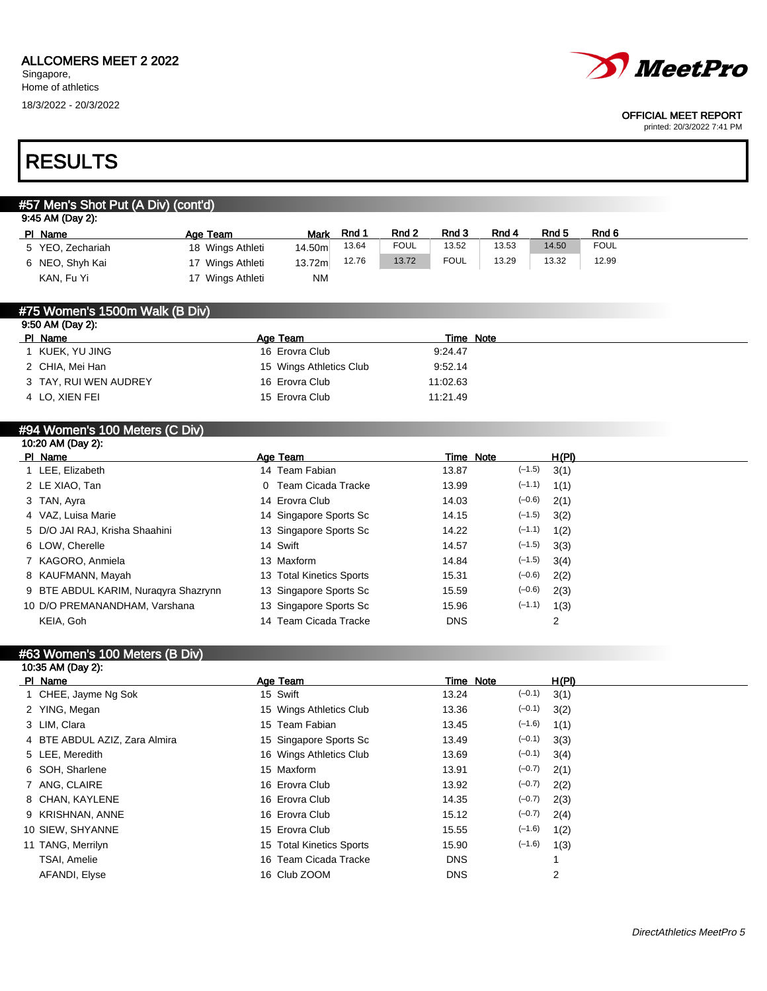

#### OFFICIAL MEET REPORT

printed: 20/3/2022 7:41 PM

## RESULTS

## #57 Men's Shot Put (A Div) (cont'd) 9:45 AM (Day 2): PIName Age Team Mark Rnd 1 Rnd 2 Rnd 3 Rnd 4 Rnd 5 Rnd 6 5 YEO, Zechariah 18 Wings Athleti 14.50m 13.64 FOUL 13.52 13.53 14.50 FOUL 6 NEO, Shyh Kai 17 Wings Athleti 13.72m 12.76 13.72 FOUL 13.29 13.32 12.99 KAN, Fu Yi 17 Wings Athleti NM #75 Women's 1500m Walk (B Div) 9:50 AM (Day 2): PI Name Time Note 2014 and 2016 and 2016 and 2016 and 2016 and 2016 and 2016 and 2016 and 2016 and 2016 and 20 1 KUEK, YU JING 16 Erovra Club 9:24.47 2 CHIA, Mei Han 15 Wings Athletics Club 9:52.14 3 TAY, RUI WEN AUDREY 16 Erovra Club 11:02.63 4 LO, XIEN FEI 15 Erovra Club 11:21.49 #94 Women's 100 Meters (C Div) 10:20 AM (Day 2): PI Name Age Team Age Team Time Note H(PI) 1 LEE, Elizabeth 14 Team Fabian 13.87 (–1.5) 3(1) 2 LE XIAO, Tan 0 Team Cicada Tracke 13.99 (–1.1) 1(1) 3 TAN, Ayra 14 Erovra Club 14.03 (–0.6) 2(1) 4 VAZ, Luisa Marie 14 Singapore Sports Sc 14.15 (–1.5) 3(2) 5 D/O JAI RAJ, Krisha Shaahini 13 Singapore Sports Sc 14.22 (–1.1) 1(2) 6 LOW, Cherelle 14 Swift 14.57 (–1.5) 3(3) 7 KAGORO, Anmiela 13 Maxform 14.84 (–1.5) 3(4) 8 KAUFMANN, Mayah 13 Total Kinetics Sports 15.31 (-0.6) 2(2) 9 BTE ABDUL KARIM, Nuraqyra Shazrynn 13 Singapore Sports Sc 15.59 (–0.6) 2(3) 10 D/O PREMANANDHAM, Varshana 13 Singapore Sports Sc 15.96 (–1.1) 1(3) KEIA, Goh 14 Team Cicada Tracke DNS 2

#### #63 Women's 100 Meters (B Div) 10:35 AM (Day 2):

| $19.99$ $190$ $199$           |                          |            |          |       |
|-------------------------------|--------------------------|------------|----------|-------|
| PI Name                       | Age Team                 | Time Note  |          | H(PI) |
| 1 CHEE, Jayme Ng Sok          | 15 Swift                 | 13.24      | $(-0.1)$ | 3(1)  |
| 2 YING, Megan                 | 15 Wings Athletics Club  | 13.36      | $(-0.1)$ | 3(2)  |
| 3 LIM, Clara                  | 15 Team Fabian           | 13.45      | $(-1.6)$ | 1(1)  |
| 4 BTE ABDUL AZIZ, Zara Almira | 15 Singapore Sports Sc   | 13.49      | $(-0.1)$ | 3(3)  |
| 5 LEE, Meredith               | 16 Wings Athletics Club  | 13.69      | $(-0.1)$ | 3(4)  |
| 6 SOH, Sharlene               | 15 Maxform               | 13.91      | $(-0.7)$ | 2(1)  |
| 7 ANG, CLAIRE                 | 16 Erovra Club           | 13.92      | $(-0.7)$ | 2(2)  |
| 8 CHAN, KAYLENE               | 16 Erovra Club           | 14.35      | $(-0.7)$ | 2(3)  |
| 9 KRISHNAN, ANNE              | 16 Erovra Club           | 15.12      | $(-0.7)$ | 2(4)  |
| 10 SIEW, SHYANNE              | 15 Erovra Club           | 15.55      | $(-1.6)$ | 1(2)  |
| 11 TANG, Merrilyn             | 15 Total Kinetics Sports | 15.90      | $(-1.6)$ | 1(3)  |
| TSAI, Amelie                  | 16 Team Cicada Tracke    | <b>DNS</b> |          |       |
| AFANDI, Elyse                 | 16 Club ZOOM             | <b>DNS</b> |          | 2     |
|                               |                          |            |          |       |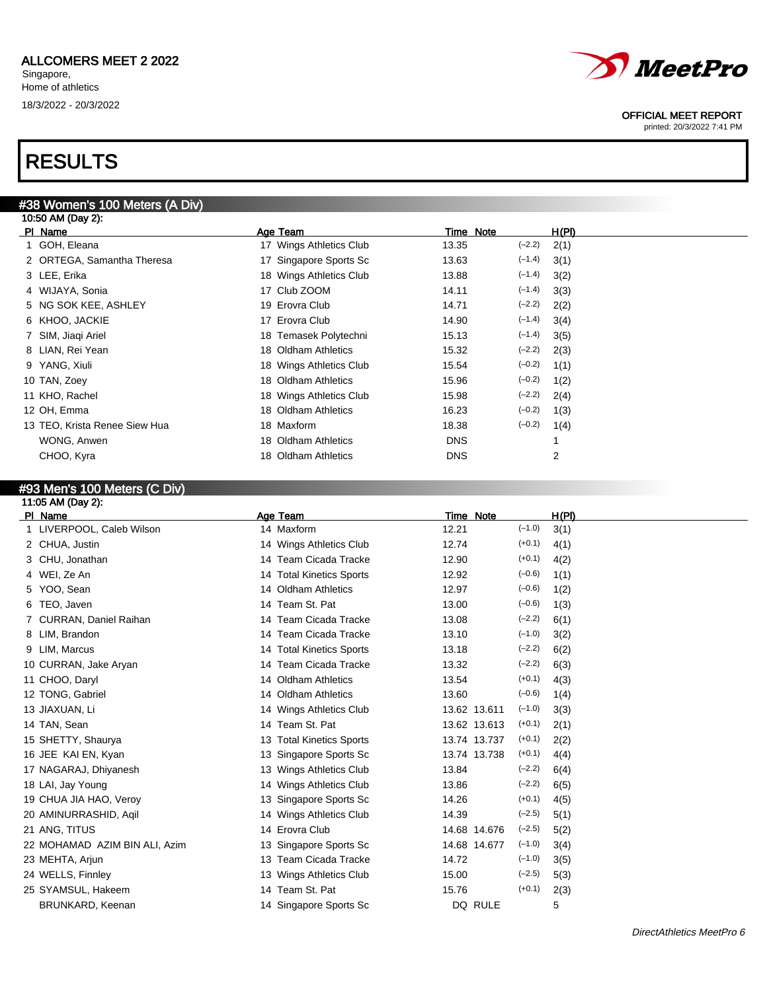## RESULTS

## #38 Women's 100 Meters (A Div)

| 10:50 AM (Day 2):             |                         |                   |       |
|-------------------------------|-------------------------|-------------------|-------|
| PI Name                       | Age Team                | Time Note         | H(PI) |
| 1 GOH, Eleana                 | 17 Wings Athletics Club | $(-2.2)$<br>13.35 | 2(1)  |
| 2 ORTEGA, Samantha Theresa    | 17 Singapore Sports Sc  | $(-1.4)$<br>13.63 | 3(1)  |
| 3 LEE, Erika                  | 18 Wings Athletics Club | $(-1.4)$<br>13.88 | 3(2)  |
| 4 WIJAYA, Sonia               | 17 Club ZOOM            | $(-1.4)$<br>14.11 | 3(3)  |
| 5 NG SOK KEE, ASHLEY          | 19 Erovra Club          | $(-2.2)$<br>14.71 | 2(2)  |
| 6 KHOO, JACKIE                | 17 Erovra Club          | $(-1.4)$<br>14.90 | 3(4)  |
| 7 SIM, Jiaqi Ariel            | 18 Temasek Polytechni   | $(-1.4)$<br>15.13 | 3(5)  |
| 8 LIAN, Rei Yean              | 18 Oldham Athletics     | $(-2.2)$<br>15.32 | 2(3)  |
| 9 YANG, Xiuli                 | 18 Wings Athletics Club | $(-0.2)$<br>15.54 | 1(1)  |
| 10 TAN, Zoey                  | 18 Oldham Athletics     | $(-0.2)$<br>15.96 | 1(2)  |
| 11 KHO, Rachel                | 18 Wings Athletics Club | $(-2.2)$<br>15.98 | 2(4)  |
| 12 OH, Emma                   | 18 Oldham Athletics     | $(-0.2)$<br>16.23 | 1(3)  |
| 13 TEO, Krista Renee Siew Hua | 18 Maxform              | $(-0.2)$<br>18.38 | 1(4)  |
| WONG, Anwen                   | 18 Oldham Athletics     | <b>DNS</b>        |       |
| CHOO, Kyra                    | 18 Oldham Athletics     | <b>DNS</b>        | 2     |
|                               |                         |                   |       |

## #93 Men's 100 Meters (C Div)

| 11:05 AM (Day 2):             |                          |                          |       |
|-------------------------------|--------------------------|--------------------------|-------|
| PI Name                       | Age Team                 | <b>Time Note</b>         | H(PI) |
| 1 LIVERPOOL, Caleb Wilson     | 14 Maxform               | $(-1.0)$<br>12.21        | 3(1)  |
| 2 CHUA, Justin                | 14 Wings Athletics Club  | $(+0.1)$<br>12.74        | 4(1)  |
| 3 CHU, Jonathan               | 14 Team Cicada Tracke    | $(+0.1)$<br>12.90        | 4(2)  |
| WEI, Ze An<br>4               | 14 Total Kinetics Sports | $(-0.6)$<br>12.92        | 1(1)  |
| YOO, Sean<br>5                | 14 Oldham Athletics      | $(-0.6)$<br>12.97        | 1(2)  |
| TEO, Javen                    | 14 Team St. Pat          | $(-0.6)$<br>13.00        | 1(3)  |
| CURRAN, Daniel Raihan         | 14 Team Cicada Tracke    | $(-2.2)$<br>13.08        | 6(1)  |
| LIM, Brandon<br>8             | 14 Team Cicada Tracke    | $(-1.0)$<br>13.10        | 3(2)  |
| LIM, Marcus<br>9              | 14 Total Kinetics Sports | $(-2.2)$<br>13.18        | 6(2)  |
| 10 CURRAN, Jake Aryan         | 14 Team Cicada Tracke    | $(-2.2)$<br>13.32        | 6(3)  |
| 11 CHOO, Daryl                | 14 Oldham Athletics      | $(+0.1)$<br>13.54        | 4(3)  |
| 12 TONG, Gabriel              | 14 Oldham Athletics      | $(-0.6)$<br>13.60        | 1(4)  |
| 13 JIAXUAN, Li                | 14 Wings Athletics Club  | $(-1.0)$<br>13.62 13.611 | 3(3)  |
| 14 TAN, Sean                  | 14 Team St. Pat          | $(+0.1)$<br>13.62 13.613 | 2(1)  |
| 15 SHETTY, Shaurya            | 13 Total Kinetics Sports | $(+0.1)$<br>13.74 13.737 | 2(2)  |
| 16 JEE KAI EN, Kyan           | 13 Singapore Sports Sc   | $(+0.1)$<br>13.74 13.738 | 4(4)  |
| 17 NAGARAJ, Dhiyanesh         | 13 Wings Athletics Club  | $(-2.2)$<br>13.84        | 6(4)  |
| 18 LAI, Jay Young             | 14 Wings Athletics Club  | $(-2.2)$<br>13.86        | 6(5)  |
| 19 CHUA JIA HAO, Veroy        | 13 Singapore Sports Sc   | $(+0.1)$<br>14.26        | 4(5)  |
| 20 AMINURRASHID, Agil         | 14 Wings Athletics Club  | $(-2.5)$<br>14.39        | 5(1)  |
| 21 ANG, TITUS                 | 14 Erovra Club           | $(-2.5)$<br>14.68 14.676 | 5(2)  |
| 22 MOHAMAD AZIM BIN ALI, Azim | 13 Singapore Sports Sc   | $(-1.0)$<br>14.68 14.677 | 3(4)  |
| 23 MEHTA, Arjun               | 13 Team Cicada Tracke    | $(-1.0)$<br>14.72        | 3(5)  |
| 24 WELLS, Finnley             | 13 Wings Athletics Club  | $(-2.5)$<br>15.00        | 5(3)  |
| 25 SYAMSUL, Hakeem            | 14 Team St. Pat          | $(+0.1)$<br>15.76        | 2(3)  |
| BRUNKARD, Keenan              | 14 Singapore Sports Sc   | DQ RULE                  | 5     |
|                               |                          |                          |       |



#### OFFICIAL MEET REPORT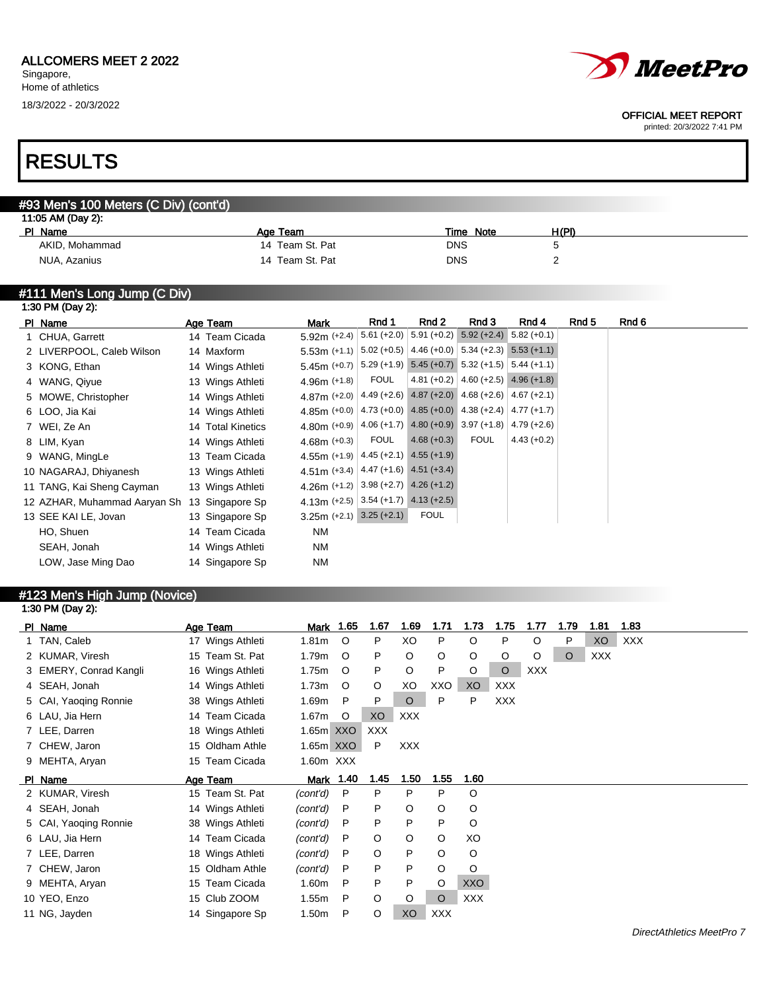# *MeetPro*

#### OFFICIAL MEET REPORT

printed: 20/3/2022 7:41 PM

## RESULTS

## #93 Men's 100 Meters (C Div) (cont'd)

| 11:05 AM (Day 2): |                 |            |       |  |  |  |  |  |  |  |
|-------------------|-----------------|------------|-------|--|--|--|--|--|--|--|
| PI Name           | Age Team        | Time Note  | H(PI) |  |  |  |  |  |  |  |
| AKID, Mohammad    | 14 Team St. Pat | DNS        |       |  |  |  |  |  |  |  |
| NUA, Azanius      | 14 Team St. Pat | <b>DNS</b> |       |  |  |  |  |  |  |  |

### #111 Men's Long Jump (C Div)

|                                                                                                                                                                                                                                                                                                                                         |                              |                                                                                                                                                                                                                                                                                                                            | Rnd 1                                       | Rnd 2                                              | Rnd 3                                                                                                                                       | Rnd 4                                                                                         | Rnd 5                                                                                                                                                                                                                                                                                                                                                                                                              | Rnd 6 |
|-----------------------------------------------------------------------------------------------------------------------------------------------------------------------------------------------------------------------------------------------------------------------------------------------------------------------------------------|------------------------------|----------------------------------------------------------------------------------------------------------------------------------------------------------------------------------------------------------------------------------------------------------------------------------------------------------------------------|---------------------------------------------|----------------------------------------------------|---------------------------------------------------------------------------------------------------------------------------------------------|-----------------------------------------------------------------------------------------------|--------------------------------------------------------------------------------------------------------------------------------------------------------------------------------------------------------------------------------------------------------------------------------------------------------------------------------------------------------------------------------------------------------------------|-------|
|                                                                                                                                                                                                                                                                                                                                         |                              |                                                                                                                                                                                                                                                                                                                            |                                             |                                                    |                                                                                                                                             | $5.82 (+0.1)$                                                                                 |                                                                                                                                                                                                                                                                                                                                                                                                                    |       |
|                                                                                                                                                                                                                                                                                                                                         |                              |                                                                                                                                                                                                                                                                                                                            |                                             |                                                    |                                                                                                                                             |                                                                                               |                                                                                                                                                                                                                                                                                                                                                                                                                    |       |
|                                                                                                                                                                                                                                                                                                                                         |                              |                                                                                                                                                                                                                                                                                                                            |                                             |                                                    |                                                                                                                                             |                                                                                               |                                                                                                                                                                                                                                                                                                                                                                                                                    |       |
|                                                                                                                                                                                                                                                                                                                                         |                              |                                                                                                                                                                                                                                                                                                                            | <b>FOUL</b>                                 |                                                    |                                                                                                                                             |                                                                                               |                                                                                                                                                                                                                                                                                                                                                                                                                    |       |
|                                                                                                                                                                                                                                                                                                                                         |                              |                                                                                                                                                                                                                                                                                                                            |                                             |                                                    |                                                                                                                                             |                                                                                               |                                                                                                                                                                                                                                                                                                                                                                                                                    |       |
|                                                                                                                                                                                                                                                                                                                                         |                              |                                                                                                                                                                                                                                                                                                                            |                                             |                                                    |                                                                                                                                             |                                                                                               |                                                                                                                                                                                                                                                                                                                                                                                                                    |       |
|                                                                                                                                                                                                                                                                                                                                         |                              |                                                                                                                                                                                                                                                                                                                            |                                             |                                                    |                                                                                                                                             |                                                                                               |                                                                                                                                                                                                                                                                                                                                                                                                                    |       |
|                                                                                                                                                                                                                                                                                                                                         |                              |                                                                                                                                                                                                                                                                                                                            | <b>FOUL</b>                                 | $4.68 (+0.3)$                                      | <b>FOUL</b>                                                                                                                                 | $4.43 (+0.2)$                                                                                 |                                                                                                                                                                                                                                                                                                                                                                                                                    |       |
|                                                                                                                                                                                                                                                                                                                                         |                              |                                                                                                                                                                                                                                                                                                                            |                                             |                                                    |                                                                                                                                             |                                                                                               |                                                                                                                                                                                                                                                                                                                                                                                                                    |       |
|                                                                                                                                                                                                                                                                                                                                         |                              |                                                                                                                                                                                                                                                                                                                            |                                             |                                                    |                                                                                                                                             |                                                                                               |                                                                                                                                                                                                                                                                                                                                                                                                                    |       |
|                                                                                                                                                                                                                                                                                                                                         |                              |                                                                                                                                                                                                                                                                                                                            |                                             |                                                    |                                                                                                                                             |                                                                                               |                                                                                                                                                                                                                                                                                                                                                                                                                    |       |
|                                                                                                                                                                                                                                                                                                                                         |                              |                                                                                                                                                                                                                                                                                                                            |                                             |                                                    |                                                                                                                                             |                                                                                               |                                                                                                                                                                                                                                                                                                                                                                                                                    |       |
|                                                                                                                                                                                                                                                                                                                                         |                              |                                                                                                                                                                                                                                                                                                                            |                                             | <b>FOUL</b>                                        |                                                                                                                                             |                                                                                               |                                                                                                                                                                                                                                                                                                                                                                                                                    |       |
|                                                                                                                                                                                                                                                                                                                                         |                              |                                                                                                                                                                                                                                                                                                                            |                                             |                                                    |                                                                                                                                             |                                                                                               |                                                                                                                                                                                                                                                                                                                                                                                                                    |       |
|                                                                                                                                                                                                                                                                                                                                         |                              |                                                                                                                                                                                                                                                                                                                            |                                             |                                                    |                                                                                                                                             |                                                                                               |                                                                                                                                                                                                                                                                                                                                                                                                                    |       |
|                                                                                                                                                                                                                                                                                                                                         |                              |                                                                                                                                                                                                                                                                                                                            |                                             |                                                    |                                                                                                                                             |                                                                                               |                                                                                                                                                                                                                                                                                                                                                                                                                    |       |
| 1:30 PM (Day 2):<br>PI Name<br>1 CHUA, Garrett<br>2 LIVERPOOL, Caleb Wilson<br>3 KONG, Ethan<br>4 WANG, Qiyue<br>5 MOWE, Christopher<br>6 LOO, Jia Kai<br>7 WEI, Ze An<br>8 LIM, Kyan<br>9 WANG, MingLe<br>10 NAGARAJ, Dhiyanesh<br>11 TANG, Kai Sheng Cayman<br>13 SEE KAI LE, Jovan<br>HO, Shuen<br>SEAH, Jonah<br>LOW, Jase Ming Dao | 12 AZHAR, Muhammad Aaryan Sh | Age Team<br>14 Team Cicada<br>14 Maxform<br>14 Wings Athleti<br>13 Wings Athleti<br>14 Wings Athleti<br>14 Wings Athleti<br>14 Total Kinetics<br>14 Wings Athleti<br>13 Team Cicada<br>13 Wings Athleti<br>13 Wings Athleti<br>13 Singapore Sp<br>13 Singapore Sp<br>14 Team Cicada<br>14 Wings Athleti<br>14 Singapore Sp | Mark<br><b>NM</b><br><b>NM</b><br><b>NM</b> | 5.92m $(+2.4)$<br>4.96m $(+1.8)$<br>4.68m $(+0.3)$ | $  5.61 (+2.0)  $<br>4.55m (+1.9) $ 4.45$ (+2.1) 4.55 (+1.9)<br>4.51 m (+3.4) $ 4.47$ (+1.6) $ 4.51$ (+3.4)<br>$3.25m (+2.1)$ $3.25 (+2.1)$ | $5.91 (+0.2)$<br>4.26m (+1.2) 3.98 (+2.7) 4.26 (+1.2)<br>4.13m (+2.5) 3.54 (+1.7) 4.13 (+2.5) | $5.92 (+2.4)$<br>$5.53$ m (+1.1) $ 5.02$ (+0.5) 4.46 (+0.0) 5.34 (+2.3) 5.53 (+1.1)<br>$5.45m$ (+0.7) $5.29$ (+1.9) $5.45$ (+0.7) $5.32$ (+1.5) $5.44$ (+1.1)<br>$4.81 (+0.2)   4.60 (+2.5)   4.96 (+1.8)$<br>4.87m (+2.0) $ 4.49$ (+2.6) 4.87 (+2.0) 4.68 (+2.6) 4.67 (+2.1)<br>4.85m (+0.0) $ 4.73$ (+0.0) 4.85 (+0.0) 4.38 (+2.4) 4.77 (+1.7)<br>4.80m (+0.9) $ 4.06 +1.7 $ 4.80 (+0.9) 3.97 (+1.8) 4.79 (+2.6) |       |

### #123 Men's High Jump (Novice) 1:30 PM (Day 2):

| PI Name                | Age Team         | Mark              | 1.65             | 1.67       | 1.69       | 1.71    | 1.73       | 1.75       | 1.77       | 1.79    | 1.81       | 1.83       |
|------------------------|------------------|-------------------|------------------|------------|------------|---------|------------|------------|------------|---------|------------|------------|
| 1 TAN, Caleb           | 17 Wings Athleti | 1.81 <sub>m</sub> | $\circ$          | P          | XO         | P       | $\circ$    | P          | O          | P       | XO         | <b>XXX</b> |
| 2 KUMAR, Viresh        | 15 Team St. Pat  | 1.79m             | O                | P          | O          | $\circ$ | O          | O          | O          | $\circ$ | <b>XXX</b> |            |
| 3 EMERY, Conrad Kangli | 16 Wings Athleti | 1.75m             | $\circ$          | P          | O          | P       | O          | $\circ$    | <b>XXX</b> |         |            |            |
| 4 SEAH, Jonah          | 14 Wings Athleti | 1.73m             | O                | $\circ$    | XO         | XXO     | XO         | <b>XXX</b> |            |         |            |            |
| 5 CAI, Yaoqing Ronnie  | 38 Wings Athleti | 1.69m             | P                | P          | $\circ$    | P       | P          | <b>XXX</b> |            |         |            |            |
| 6 LAU, Jia Hern        | 14 Team Cicada   | 1.67m             | O                | XO         | <b>XXX</b> |         |            |            |            |         |            |            |
| 7 LEE, Darren          | 18 Wings Athleti | 1.65m             | XXO              | <b>XXX</b> |            |         |            |            |            |         |            |            |
| 7 CHEW, Jaron          | 15 Oldham Athle  | 1.65m             | XXO              | P          | <b>XXX</b> |         |            |            |            |         |            |            |
| 9 MEHTA, Aryan         | 15 Team Cicada   | 1.60m XXX         |                  |            |            |         |            |            |            |         |            |            |
|                        |                  |                   |                  |            |            |         |            |            |            |         |            |            |
| PI Name                | Age Team         |                   | <b>Mark 1.40</b> | 1.45       | 1.50       | 1.55    | 1.60       |            |            |         |            |            |
| 2 KUMAR, Viresh        | 15 Team St. Pat  | (cont'd)          | P                | P          | P          | P       | $\circ$    |            |            |         |            |            |
| 4 SEAH, Jonah          | 14 Wings Athleti | (cont'd)          | P                | P          | O          | O       | $\circ$    |            |            |         |            |            |
| 5 CAI, Yaoging Ronnie  | 38 Wings Athleti | (cont'd)          | P                | P          | P          | P       | $\circ$    |            |            |         |            |            |
| 6 LAU, Jia Hern        | 14 Team Cicada   | (cont'd)          | P                | O          | O          | $\circ$ | XO         |            |            |         |            |            |
| 7 LEE, Darren          | 18 Wings Athleti | (cont'd)          | P                | O          | P          | $\circ$ | O          |            |            |         |            |            |
| 7 CHEW, Jaron          | 15 Oldham Athle  | (cont'd)          | P                | P          | P          | O       | O          |            |            |         |            |            |
| 9 MEHTA, Aryan         | 15 Team Cicada   | 1.60m             | P                | P          | P          | O       | <b>XXO</b> |            |            |         |            |            |
| 10 YEO, Enzo           | 15 Club ZOOM     | 1.55m             | P                | O          | O          | $\circ$ | <b>XXX</b> |            |            |         |            |            |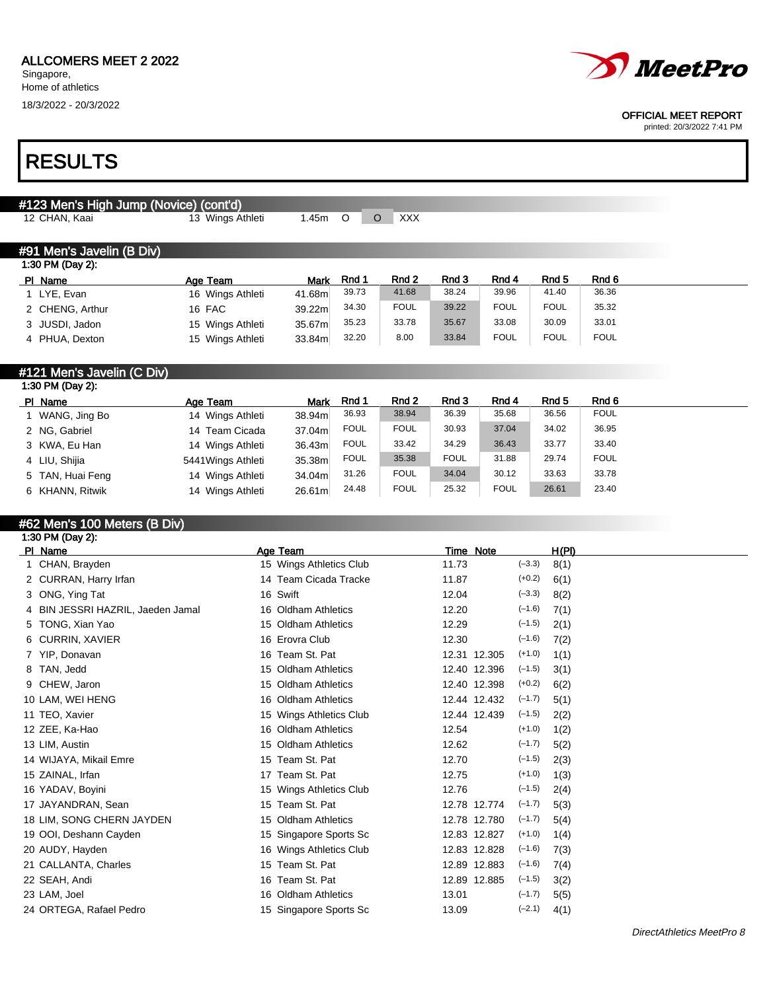#### ALLCOMERS MEET 2 2022

Singapore, Home of athletics

18/3/2022 - 20/3/2022

## RESULTS

## #123 Men's High Jump (Novice) (cont'd)

12 CHAN, Kaai 13 Wings Athleti 1.45m O O XXX

| Rnd 2<br>Rnd 3<br>Rnd 6<br>Rnd 4<br>Rnd 5<br>Rnd 1<br>PI Name<br><b>Mark</b><br>Age Team<br>39.96<br>36.36<br>39.73<br>41.68<br>38.24<br>41.40<br>41.68m<br>16 Wings Athleti<br>1 LYE, Evan<br><b>FOUL</b><br><b>FOUL</b><br><b>FOUL</b><br>39.22<br>34.30<br>35.32<br>39.22m<br>2 CHENG, Arthur<br>16 FAC<br>33.08<br>35.67<br>35.23<br>33.78<br>30.09<br>33.01<br>35.67m<br>3 JUSDI, Jadon<br>15 Wings Athleti<br><b>FOUL</b><br><b>FOUL</b><br>8.00<br>33.84<br><b>FOUL</b><br>32.20 | #91 Men's Javelin (B Div)<br>1:30 PM (Day 2): |                  |        |  |  |  |
|-----------------------------------------------------------------------------------------------------------------------------------------------------------------------------------------------------------------------------------------------------------------------------------------------------------------------------------------------------------------------------------------------------------------------------------------------------------------------------------------|-----------------------------------------------|------------------|--------|--|--|--|
|                                                                                                                                                                                                                                                                                                                                                                                                                                                                                         |                                               |                  |        |  |  |  |
|                                                                                                                                                                                                                                                                                                                                                                                                                                                                                         |                                               |                  |        |  |  |  |
|                                                                                                                                                                                                                                                                                                                                                                                                                                                                                         |                                               |                  |        |  |  |  |
|                                                                                                                                                                                                                                                                                                                                                                                                                                                                                         |                                               |                  |        |  |  |  |
|                                                                                                                                                                                                                                                                                                                                                                                                                                                                                         | 4 PHUA, Dexton                                | 15 Wings Athleti | 33.84m |  |  |  |

| #121 Men's Javelin (C Div) |                    |             |             |             |             |             |       |             |
|----------------------------|--------------------|-------------|-------------|-------------|-------------|-------------|-------|-------------|
| 1:30 PM (Day 2):           |                    |             |             |             |             |             |       |             |
| PI Name                    | Age Team           | <b>Mark</b> | Rnd 1       | Rnd 2       | Rnd 3       | Rnd 4       | Rnd 5 | Rnd 6       |
| 1 WANG, Jing Bo            | 14 Wings Athleti   | 38.94m      | 36.93       | 38.94       | 36.39       | 35.68       | 36.56 | <b>FOUL</b> |
| 2 NG, Gabriel              | 14 Team Cicada     | 37.04m      | <b>FOUL</b> | <b>FOUL</b> | 30.93       | 37.04       | 34.02 | 36.95       |
| 3 KWA, Eu Han              | 14 Wings Athleti   | 36.43m      | <b>FOUL</b> | 33.42       | 34.29       | 36.43       | 33.77 | 33.40       |
| 4 LIU, Shijia              | 5441 Wings Athleti | 35.38m      | <b>FOUL</b> | 35.38       | <b>FOUL</b> | 31.88       | 29.74 | <b>FOUL</b> |
| 5 TAN, Huai Feng           | 14 Wings Athleti   | 34.04m      | 31.26       | <b>FOUL</b> | 34.04       | 30.12       | 33.63 | 33.78       |
| 6 KHANN, Ritwik            | 14 Winas Athleti   | 26.61m      | 24.48       | <b>FOUL</b> | 25.32       | <b>FOUL</b> | 26.61 | 23.40       |

## #62 Men's 100 Meters (B Div)

| Age Team                | Time Note                | <u>H(PI)</u> |
|-------------------------|--------------------------|--------------|
| 15 Wings Athletics Club | $(-3.3)$<br>11.73        | 8(1)         |
| 14 Team Cicada Tracke   | $(+0.2)$<br>11.87        | 6(1)         |
| 16 Swift                | $(-3.3)$<br>12.04        | 8(2)         |
| 16 Oldham Athletics     | $(-1.6)$<br>12.20        | 7(1)         |
| 15 Oldham Athletics     | $(-1.5)$<br>12.29        | 2(1)         |
| 16 Erovra Club          | $(-1.6)$<br>12.30        | 7(2)         |
| 16 Team St. Pat         | $(+1.0)$<br>12.31 12.305 | 1(1)         |
| 15 Oldham Athletics     | $(-1.5)$<br>12.40 12.396 | 3(1)         |
| 15 Oldham Athletics     | $(+0.2)$<br>12.40 12.398 | 6(2)         |
| 16 Oldham Athletics     | $(-1.7)$<br>12.44 12.432 | 5(1)         |
| 15 Wings Athletics Club | $(-1.5)$<br>12.44 12.439 | 2(2)         |
| 16 Oldham Athletics     | $(+1.0)$<br>12.54        | 1(2)         |
| 15 Oldham Athletics     | $(-1.7)$<br>12.62        | 5(2)         |
| Team St. Pat<br>15      | $(-1.5)$<br>12.70        | 2(3)         |
| Team St. Pat<br>17      | $(+1.0)$<br>12.75        | 1(3)         |
| 15 Wings Athletics Club | $(-1.5)$<br>12.76        | 2(4)         |
| 15 Team St. Pat         | $(-1.7)$<br>12.78 12.774 | 5(3)         |
| 15 Oldham Athletics     | $(-1.7)$<br>12.78 12.780 | 5(4)         |
| 15 Singapore Sports Sc  | $(+1.0)$<br>12.83 12.827 | 1(4)         |
| 16 Wings Athletics Club | $(-1.6)$<br>12.83 12.828 | 7(3)         |
| Team St. Pat<br>15      | 12.89 12.883<br>$(-1.6)$ | 7(4)         |
| 16 Team St. Pat         | $(-1.5)$<br>12.89 12.885 | 3(2)         |
| 16 Oldham Athletics     | $(-1.7)$<br>13.01        | 5(5)         |
| 15 Singapore Sports Sc  | $(-2.1)$<br>13.09        | 4(1)         |
|                         |                          |              |

DirectAthletics MeetPro 8



#### OFFICIAL MEET REPORT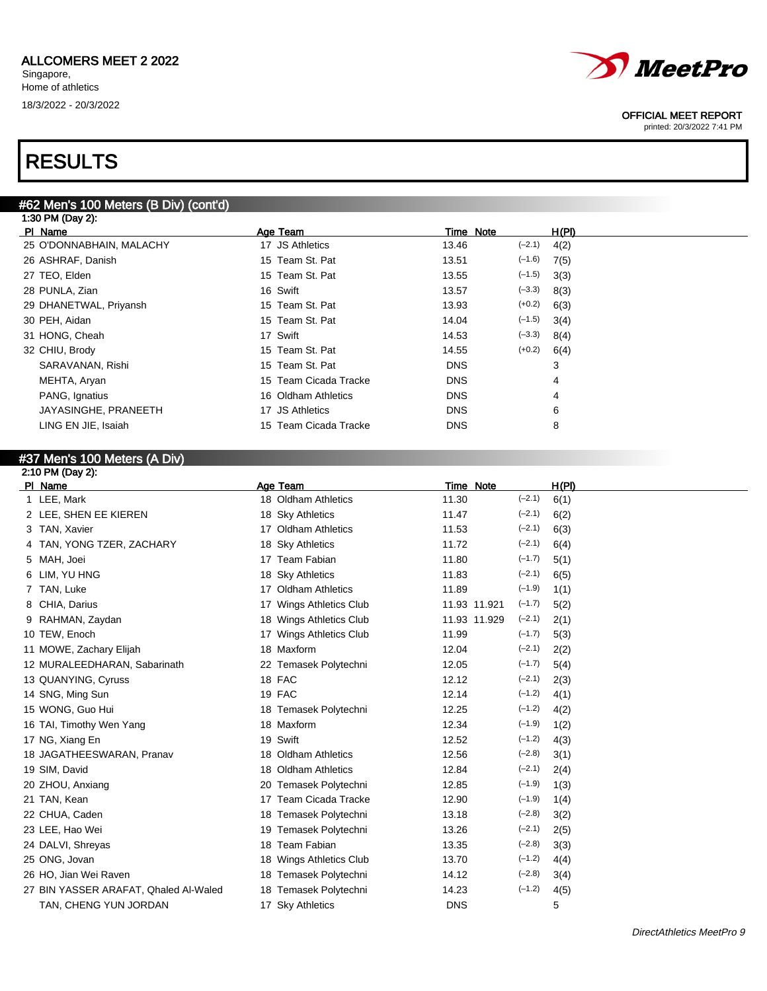## RESULTS

### #62 Men's 100 Meters (B Div) (cont'd)

| 1:30 PM (Day 2):         |                       |            |          |       |
|--------------------------|-----------------------|------------|----------|-------|
| PI Name                  | Age Team              | Time Note  |          | H(PI) |
| 25 O'DONNABHAIN, MALACHY | 17 JS Athletics       | 13.46      | $(-2.1)$ | 4(2)  |
| 26 ASHRAF, Danish        | 15 Team St. Pat       | 13.51      | $(-1.6)$ | 7(5)  |
| 27 TEO, Elden            | 15 Team St. Pat       | 13.55      | $(-1.5)$ | 3(3)  |
| 28 PUNLA, Zian           | 16 Swift              | 13.57      | $(-3.3)$ | 8(3)  |
| 29 DHANETWAL, Priyansh   | 15 Team St. Pat       | 13.93      | $(+0.2)$ | 6(3)  |
| 30 PEH, Aidan            | 15 Team St. Pat       | 14.04      | $(-1.5)$ | 3(4)  |
| 31 HONG, Cheah           | 17 Swift              | 14.53      | $(-3.3)$ | 8(4)  |
| 32 CHIU, Brody           | 15 Team St. Pat       | 14.55      | $(+0.2)$ | 6(4)  |
| SARAVANAN, Rishi         | 15 Team St. Pat       | <b>DNS</b> |          | 3     |
| MEHTA, Aryan             | 15 Team Cicada Tracke | <b>DNS</b> |          | 4     |
| PANG, Ignatius           | 16 Oldham Athletics   | <b>DNS</b> |          | 4     |
| JAYASINGHE, PRANEETH     | 17 JS Athletics       | <b>DNS</b> |          | 6     |
| LING EN JIE, Isaiah      | 15 Team Cicada Tracke | <b>DNS</b> |          | 8     |
|                          |                       |            |          |       |

## #37 Men's 100 Meters (A Div)

| 2:10 PM (Day 2):                      |                                   |              |          |       |
|---------------------------------------|-----------------------------------|--------------|----------|-------|
| PI Name                               | Age Team                          | Time Note    |          | H(PI) |
| 1 LEE, Mark                           | 18 Oldham Athletics               | 11.30        | $(-2.1)$ | 6(1)  |
| 2 LEE, SHEN EE KIEREN                 | 18 Sky Athletics                  | 11.47        | $(-2.1)$ | 6(2)  |
| 3 TAN, Xavier                         | 17 Oldham Athletics               | 11.53        | $(-2.1)$ | 6(3)  |
| TAN, YONG TZER, ZACHARY<br>4          | 18 Sky Athletics                  | 11.72        | $(-2.1)$ | 6(4)  |
| 5 MAH, Joei                           | 17 Team Fabian                    | 11.80        | $(-1.7)$ | 5(1)  |
| LIM, YU HNG<br>6                      | 18 Sky Athletics                  | 11.83        | $(-2.1)$ | 6(5)  |
| TAN, Luke                             | <b>Oldham Athletics</b><br>17     | 11.89        | $(-1.9)$ | 1(1)  |
| CHIA, Darius<br>8                     | <b>Wings Athletics Club</b><br>17 | 11.93 11.921 | $(-1.7)$ | 5(2)  |
| 9 RAHMAN, Zaydan                      | Wings Athletics Club<br>18        | 11.93 11.929 | $(-2.1)$ | 2(1)  |
| 10 TEW, Enoch                         | <b>Wings Athletics Club</b><br>17 | 11.99        | $(-1.7)$ | 5(3)  |
| 11 MOWE, Zachary Elijah               | 18 Maxform                        | 12.04        | $(-2.1)$ | 2(2)  |
| 12 MURALEEDHARAN, Sabarinath          | 22 Temasek Polytechni             | 12.05        | $(-1.7)$ | 5(4)  |
| 13 QUANYING, Cyruss                   | 18 FAC                            | 12.12        | $(-2.1)$ | 2(3)  |
| 14 SNG, Ming Sun                      | 19 FAC                            | 12.14        | $(-1.2)$ | 4(1)  |
| 15 WONG, Guo Hui                      | Temasek Polytechni<br>18          | 12.25        | $(-1.2)$ | 4(2)  |
| 16 TAI, Timothy Wen Yang              | 18 Maxform                        | 12.34        | $(-1.9)$ | 1(2)  |
| 17 NG, Xiang En                       | 19 Swift                          | 12.52        | $(-1.2)$ | 4(3)  |
| 18 JAGATHEESWARAN, Pranav             | <b>Oldham Athletics</b><br>18     | 12.56        | $(-2.8)$ | 3(1)  |
| 19 SIM, David                         | <b>Oldham Athletics</b><br>18     | 12.84        | $(-2.1)$ | 2(4)  |
| 20 ZHOU, Anxiang                      | 20 Temasek Polytechni             | 12.85        | $(-1.9)$ | 1(3)  |
| 21 TAN, Kean                          | Team Cicada Tracke<br>17          | 12.90        | $(-1.9)$ | 1(4)  |
| 22 CHUA, Caden                        | Temasek Polytechni<br>18          | 13.18        | $(-2.8)$ | 3(2)  |
| 23 LEE, Hao Wei                       | Temasek Polytechni<br>19          | 13.26        | $(-2.1)$ | 2(5)  |
| 24 DALVI, Shreyas                     | 18 Team Fabian                    | 13.35        | $(-2.8)$ | 3(3)  |
| 25 ONG, Jovan                         | <b>Wings Athletics Club</b><br>18 | 13.70        | $(-1.2)$ | 4(4)  |
| 26 HO, Jian Wei Raven                 | 18 Temasek Polytechni             | 14.12        | $(-2.8)$ | 3(4)  |
| 27 BIN YASSER ARAFAT, Qhaled Al-Waled | 18 Temasek Polytechni             | 14.23        | $(-1.2)$ | 4(5)  |
| TAN, CHENG YUN JORDAN                 | 17 Sky Athletics                  | <b>DNS</b>   |          | 5     |
|                                       |                                   |              |          |       |



#### OFFICIAL MEET REPORT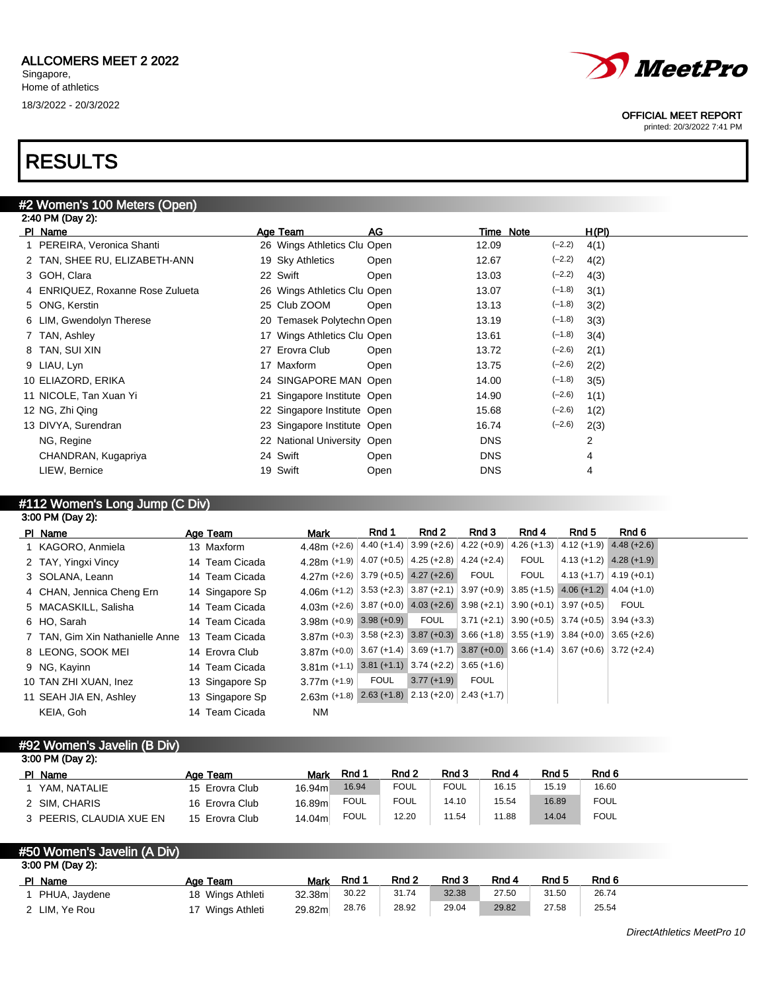# *MeetPro*

OFFICIAL MEET REPORT

printed: 20/3/2022 7:41 PM

## RESULTS

| #2 Women's 100 Meters (Open) |  |  |
|------------------------------|--|--|
| 2:40 PM (Day 2):             |  |  |

| PI Name                          | Age Team                    | AG   | Time Note         | H(PI) |
|----------------------------------|-----------------------------|------|-------------------|-------|
| 1 PEREIRA, Veronica Shanti       | 26 Wings Athletics Clu Open |      | $(-2.2)$<br>12.09 | 4(1)  |
| 2 TAN, SHEE RU, ELIZABETH-ANN    | 19 Sky Athletics            | Open | $(-2.2)$<br>12.67 | 4(2)  |
| 3 GOH, Clara                     | 22 Swift                    | Open | $(-2.2)$<br>13.03 | 4(3)  |
| 4 ENRIQUEZ, Roxanne Rose Zulueta | 26 Wings Athletics Clu Open |      | $(-1.8)$<br>13.07 | 3(1)  |
| 5 ONG, Kerstin                   | 25 Club ZOOM                | Open | $(-1.8)$<br>13.13 | 3(2)  |
| 6 LIM, Gwendolyn Therese         | 20 Temasek Polytechn Open   |      | $(-1.8)$<br>13.19 | 3(3)  |
| 7 TAN, Ashley                    | 17 Wings Athletics Clu Open |      | $(-1.8)$<br>13.61 | 3(4)  |
| 8 TAN, SUI XIN                   | 27 Erovra Club              | Open | $(-2.6)$<br>13.72 | 2(1)  |
| 9 LIAU, Lyn                      | 17 Maxform                  | Open | $(-2.6)$<br>13.75 | 2(2)  |
| 10 ELIAZORD, ERIKA               | 24 SINGAPORE MAN Open       |      | $(-1.8)$<br>14.00 | 3(5)  |
| 11 NICOLE, Tan Xuan Yi           | 21 Singapore Institute Open |      | $(-2.6)$<br>14.90 | 1(1)  |
| 12 NG, Zhi Qing                  | 22 Singapore Institute Open |      | $(-2.6)$<br>15.68 | 1(2)  |
| 13 DIVYA, Surendran              | 23 Singapore Institute Open |      | $(-2.6)$<br>16.74 | 2(3)  |
| NG, Regine                       | 22 National University Open |      | <b>DNS</b>        | 2     |
| CHANDRAN, Kugapriya              | 24 Swift                    | Open | <b>DNS</b>        | 4     |
| LIEW, Bernice                    | 19 Swift                    | Open | <b>DNS</b>        | 4     |

## #112 Women's Long Jump (C Div)

|   | 3:00 PM (Day 2): |  |
|---|------------------|--|
| . |                  |  |

| PI Name                         | Age Team        | Mark                                                                                                    | Rnd 1       | Rnd 2        | Rnd 3 | Rnd 4                                                    | Rnd 5                       | Rnd 6                       |
|---------------------------------|-----------------|---------------------------------------------------------------------------------------------------------|-------------|--------------|-------|----------------------------------------------------------|-----------------------------|-----------------------------|
| 1 KAGORO, Anmiela               | 13 Maxform      | 4.48m (+2.6) $ 4.40$ (+1.4) $ 3.99$ (+2.6) $ 4.22$ (+0.9)                                               |             |              |       | $4.26 (+1.3)$                                            | $4.12 (+1.9)$ $4.48 (+2.6)$ |                             |
| 2 TAY, Yingxi Vincy             | 14 Team Cicada  | 4.28m (+1.9) $ 4.07$ (+0.5) $ 4.25$ (+2.8) $ 4.24$ (+2.4)                                               |             |              |       | <b>FOUL</b>                                              |                             | $4.13 (+1.2)$ $4.28 (+1.9)$ |
| 3 SOLANA, Leann                 | 14 Team Cicada  | 4.27m $(+2.6)$ 3.79 $(+0.5)$ 4.27 $(+2.6)$                                                              |             |              | FOUL  | <b>FOUL</b>                                              | $4.13 (+1.7) 4.19 (+0.1)$   |                             |
| 4 CHAN, Jennica Cheng Ern       | 14 Singapore Sp | 4.06 (+1.2) $ 3.53 + 2.3 $ 3.87 (+2.1) 3.97 (+0.9) 3.85 (+1.5) 4.06 (+1.2) 4.04 (+1.0)                  |             |              |       |                                                          |                             |                             |
| 5 MACASKILL, Salisha            | 14 Team Cicada  | 4.03m (+2.6) 3.87 (+0.0) 4.03 (+2.6) 3.98 (+2.1) 3.90 (+0.1) 3.97 (+0.5)                                |             |              |       |                                                          |                             | <b>FOUL</b>                 |
| 6 HO. Sarah                     | 14 Team Cicada  | $3.98m$ (+0.9) 3.98 (+0.9)                                                                              |             | FOUL         |       | $ 3.71 (+2.1)   3.90 (+0.5)   3.74 (+0.5)   3.94 (+3.3)$ |                             |                             |
| 7 TAN. Gim Xin Nathanielle Anne | 13 Team Cicada  | $3.87$ (+0.3) $ 3.58$ (+2.3) $ 3.87$ (+0.3) $ 3.66$ (+1.8) $ 3.55$ (+1.9) $ 3.84$ (+0.0) $ 3.65$ (+2.6) |             |              |       |                                                          |                             |                             |
| 8 LEONG, SOOK MEI               | 14 Erovra Club  | $3.87$ (+0.0) $3.67$ (+1.4) $3.69$ (+1.7) $3.87$ (+0.0) $3.66$ (+1.4) $3.67$ (+0.6) $3.72$ (+2.4)       |             |              |       |                                                          |                             |                             |
| 9 NG, Kayinn                    | 14 Team Cicada  | $3.81\,\text{m}$ (+1.1) 3.81 (+1.1) 3.74 (+2.2) 3.65 (+1.6)                                             |             |              |       |                                                          |                             |                             |
| 10 TAN ZHI XUAN, Inez           | 13 Singapore Sp | $3.77m (+1.9)$                                                                                          | <b>FOUL</b> | $3.77(+1.9)$ | FOUL  |                                                          |                             |                             |
| 11 SEAH JIA EN, Ashley          | 13 Singapore Sp | $2.63m$ (+1.8) $2.63$ (+1.8) $2.13$ (+2.0) $2.43$ (+1.7)                                                |             |              |       |                                                          |                             |                             |
| KEIA, Goh                       | 14 Team Cicada  | NM.                                                                                                     |             |              |       |                                                          |                             |                             |

## #92 Women's Javelin (B Div)

| 3:00 PM (Day 2):         |                |         |             |             |       |       |       |             |
|--------------------------|----------------|---------|-------------|-------------|-------|-------|-------|-------------|
| PI Name                  | Age Team       | Mark    | Rnd 1       | Rnd 2       | Rnd 3 | Rnd 4 | Rnd 5 | Rnd 6       |
| YAM. NATALIE             | 15 Erovra Club | 16.94m  | 16.94       | <b>FOUL</b> | FOUL  | 16.15 | 15.19 | 16.60       |
| 2 SIM. CHARIS            | 16 Erovra Club | 16.89ml | <b>FOUL</b> | <b>FOUL</b> | 14.10 | 15.54 | 16.89 | <b>FOUL</b> |
| 3 PEERIS, CLAUDIA XUE EN | 15 Erovra Club | 14.04ml | <b>FOUL</b> | 12.20       | 11.54 | 11.88 | 14.04 | <b>FOUL</b> |

| #50 Women's Javelin (A Div) |                  |                    |       |       |       |       |       |       |  |
|-----------------------------|------------------|--------------------|-------|-------|-------|-------|-------|-------|--|
| 3:00 PM (Day 2):            |                  |                    |       |       |       |       |       |       |  |
| PI Name                     | Age Team         | Mark               | Rnd 1 | Rnd 2 | Rnd 3 | Rnd 4 | Rnd 5 | Rnd 6 |  |
| PHUA, Jaydene               | 18 Wings Athleti | 32.38 <sub>m</sub> | 30.22 | 31.74 | 32.38 | 27.50 | 31.50 | 26.74 |  |
| 2 LIM, Ye Rou               | 17 Wings Athleti | 29.82m             | 28.76 | 28.92 | 29.04 | 29.82 | 27.58 | 25.54 |  |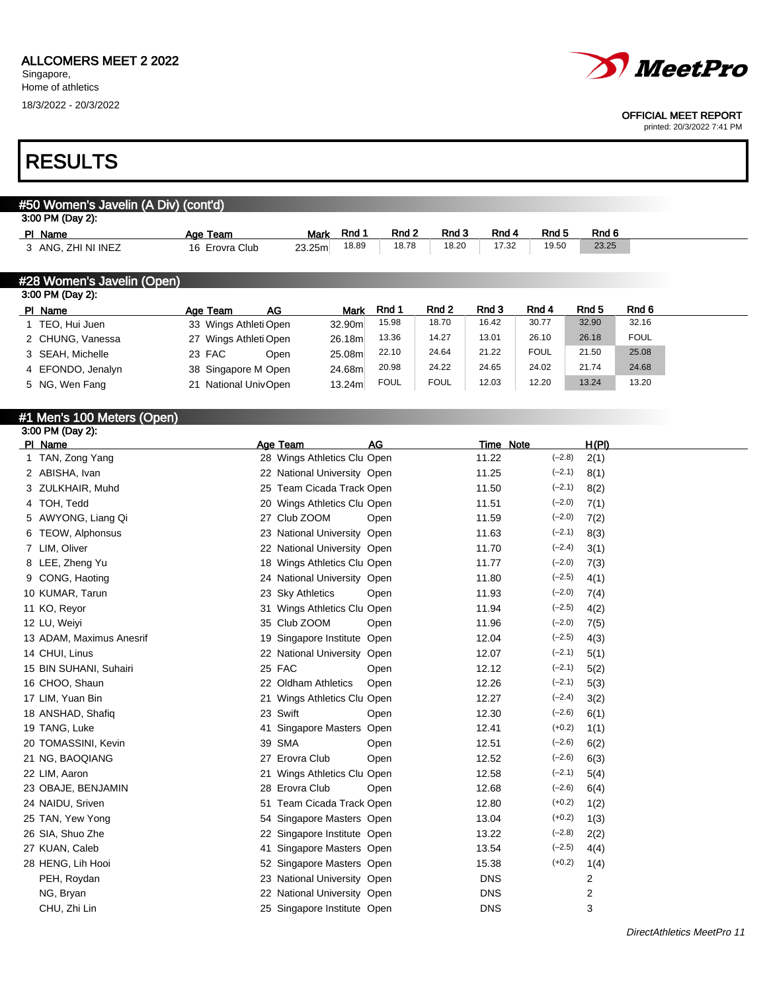## RESULTS

| #50 Women's Javelin (A Div) (cont'd) |                                                                                  |             |                 |             |              |         |             |       |             |
|--------------------------------------|----------------------------------------------------------------------------------|-------------|-----------------|-------------|--------------|---------|-------------|-------|-------------|
| 3:00 PM (Day 2):                     |                                                                                  |             |                 |             |              |         |             |       |             |
| PI Name                              | Age Team                                                                         | <b>Mark</b> | Rnd 1           | Rnd 2       | Rnd 3        | Rnd 4   | Rnd 5       | Rnd 6 |             |
| 3 ANG, ZHI NI INEZ                   | 16 Erovra Club                                                                   | 23.25m      | 18.89           | 18.78       | 18.20        | 17.32   | 19.50       | 23.25 |             |
|                                      |                                                                                  |             |                 |             |              |         |             |       |             |
| #28 Women's Javelin (Open)           |                                                                                  |             |                 |             |              |         |             |       |             |
| 3:00 PM (Day 2):                     |                                                                                  |             |                 |             |              |         |             |       |             |
| PI Name                              | AG<br>Age Team                                                                   |             | <b>Mark</b>     | Rnd 1       | Rnd 2        | Rnd 3   | Rnd 4       | Rnd 5 | Rnd 6       |
| 1 TEO, Hui Juen                      | 33 Wings Athleti Open                                                            |             | 32.90m          | 15.98       | 18.70        | 16.42   | 30.77       | 32.90 | 32.16       |
| 2 CHUNG, Vanessa                     | 27 Wings Athleti Open                                                            |             | 26.18m          | 13.36       | 14.27        | 13.01   | 26.10       | 26.18 | <b>FOUL</b> |
| 3 SEAH, Michelle                     | 23 FAC                                                                           | Open        | 25.08m          | 22.10       | 24.64        | 21.22   | <b>FOUL</b> | 21.50 | 25.08       |
| 4 EFONDO, Jenalyn                    | 38 Singapore M Open                                                              |             | 24.68m          | 20.98       | 24.22        | 24.65   | 24.02       | 21.74 | 24.68       |
| $F = M \cap M \cup T \cup T$         | $0.4 \text{ N} - 1.4 \text{ N} - 1.11 \text{ N} - 1.0 \text{ N} - 1.0 \text{ N}$ |             | $\overline{AB}$ | <b>FOUL</b> | <b>FOLIL</b> | 12 $03$ | 12.20       | 13.24 | 13.20       |

| PI Name                    | Age Team              | AG                          | Mark   | Rnd 1       | Rnd 2       | Rnd 3     | Rnd 4       |          | Rnd 5 | Rnd 6       |
|----------------------------|-----------------------|-----------------------------|--------|-------------|-------------|-----------|-------------|----------|-------|-------------|
| TEO, Hui Juen              | 33 Wings Athleti Open |                             | 32.90m | 15.98       | 18.70       | 16.42     | 30.77       |          | 32.90 | 32.16       |
| 2 CHUNG, Vanessa           | 27 Wings Athleti Open |                             | 26.18m | 13.36       | 14.27       | 13.01     | 26.10       |          | 26.18 | <b>FOUL</b> |
| 3 SEAH, Michelle           | 23 FAC                | Open                        | 25.08m | 22.10       | 24.64       | 21.22     | <b>FOUL</b> |          | 21.50 | 25.08       |
| 4 EFONDO, Jenalyn          | 38 Singapore M Open   |                             | 24.68m | 20.98       | 24.22       | 24.65     | 24.02       |          | 21.74 | 24.68       |
| 5 NG, Wen Fang             | 21 National UnivOpen  |                             | 13.24m | <b>FOUL</b> | <b>FOUL</b> | 12.03     | 12.20       |          | 13.24 | 13.20       |
| #1 Men's 100 Meters (Open) |                       |                             |        |             |             |           |             |          |       |             |
| 3:00 PM (Day 2):           |                       |                             |        |             |             |           |             |          |       |             |
| PI Name                    |                       | Age Team                    |        | AG          |             | Time Note |             |          | H(PI) |             |
| TAN, Zong Yang             |                       | 28 Wings Athletics Clu Open |        |             |             | 11.22     |             | $(-2.8)$ | 2(1)  |             |
| 2 ABISHA, Ivan             |                       | 22 National University Open |        |             |             | 11.25     |             | $(-2.1)$ | 8(1)  |             |

| 1 TAN, Zong Yang            |    | 28 Wings Athletics Clu Open |      | 11.22      | $(-2.8)$ | 2(1) |
|-----------------------------|----|-----------------------------|------|------------|----------|------|
| 2 ABISHA, Ivan              |    | 22 National University Open |      | 11.25      | $(-2.1)$ | 8(1) |
| ZULKHAIR, Muhd<br>3         |    | 25 Team Cicada Track Open   |      | 11.50      | $(-2.1)$ | 8(2) |
| TOH, Tedd<br>4              |    | 20 Wings Athletics Clu Open |      | 11.51      | $(-2.0)$ | 7(1) |
| 5 AWYONG, Liang Qi          |    | 27 Club ZOOM                | Open | 11.59      | $(-2.0)$ | 7(2) |
| <b>TEOW, Alphonsus</b><br>6 |    | 23 National University Open |      | 11.63      | $(-2.1)$ | 8(3) |
| 7 LIM, Oliver               |    | 22 National University Open |      | 11.70      | $(-2.4)$ | 3(1) |
| LEE, Zheng Yu<br>8          |    | 18 Wings Athletics Clu Open |      | 11.77      | $(-2.0)$ | 7(3) |
| CONG, Haoting               |    | 24 National University Open |      | 11.80      | $(-2.5)$ | 4(1) |
| 10 KUMAR, Tarun             |    | 23 Sky Athletics            | Open | 11.93      | $(-2.0)$ | 7(4) |
| 11 KO, Reyor                |    | 31 Wings Athletics Clu Open |      | 11.94      | $(-2.5)$ | 4(2) |
| 12 LU, Weiyi                |    | 35 Club ZOOM                | Open | 11.96      | $(-2.0)$ | 7(5) |
| 13 ADAM, Maximus Anesrif    |    | 19 Singapore Institute Open |      | 12.04      | $(-2.5)$ | 4(3) |
| 14 CHUI, Linus              |    | 22 National University Open |      | 12.07      | $(-2.1)$ | 5(1) |
| 15 BIN SUHANI, Suhairi      |    | 25 FAC                      | Open | 12.12      | $(-2.1)$ | 5(2) |
| 16 CHOO, Shaun              |    | 22 Oldham Athletics         | Open | 12.26      | $(-2.1)$ | 5(3) |
| 17 LIM, Yuan Bin            |    | 21 Wings Athletics Clu Open |      | 12.27      | $(-2.4)$ | 3(2) |
| 18 ANSHAD, Shafiq           |    | 23 Swift                    | Open | 12.30      | $(-2.6)$ | 6(1) |
| 19 TANG, Luke               |    | 41 Singapore Masters Open   |      | 12.41      | $(+0.2)$ | 1(1) |
| 20 TOMASSINI, Kevin         |    | 39 SMA                      | Open | 12.51      | $(-2.6)$ | 6(2) |
| 21 NG, BAOQIANG             |    | 27 Erovra Club              | Open | 12.52      | $(-2.6)$ | 6(3) |
| 22 LIM, Aaron               |    | 21 Wings Athletics Clu Open |      | 12.58      | $(-2.1)$ | 5(4) |
| 23 OBAJE, BENJAMIN          |    | 28 Erovra Club              | Open | 12.68      | $(-2.6)$ | 6(4) |
| 24 NAIDU, Sriven            |    | 51 Team Cicada Track Open   |      | 12.80      | $(+0.2)$ | 1(2) |
| 25 TAN, Yew Yong            |    | 54 Singapore Masters Open   |      | 13.04      | $(+0.2)$ | 1(3) |
| 26 SIA, Shuo Zhe            |    | 22 Singapore Institute Open |      | 13.22      | $(-2.8)$ | 2(2) |
| 27 KUAN, Caleb              | 41 | Singapore Masters Open      |      | 13.54      | $(-2.5)$ | 4(4) |
| 28 HENG, Lih Hooi           |    | 52 Singapore Masters Open   |      | 15.38      | $(+0.2)$ | 1(4) |
| PEH, Roydan                 |    | 23 National University Open |      | <b>DNS</b> |          | 2    |
| NG, Bryan                   |    | 22 National University Open |      | <b>DNS</b> |          | 2    |
| CHU, Zhi Lin                |    | 25 Singapore Institute Open |      | <b>DNS</b> |          | 3    |
|                             |    |                             |      |            |          |      |

*MeetPro* 

#### OFFICIAL MEET REPORT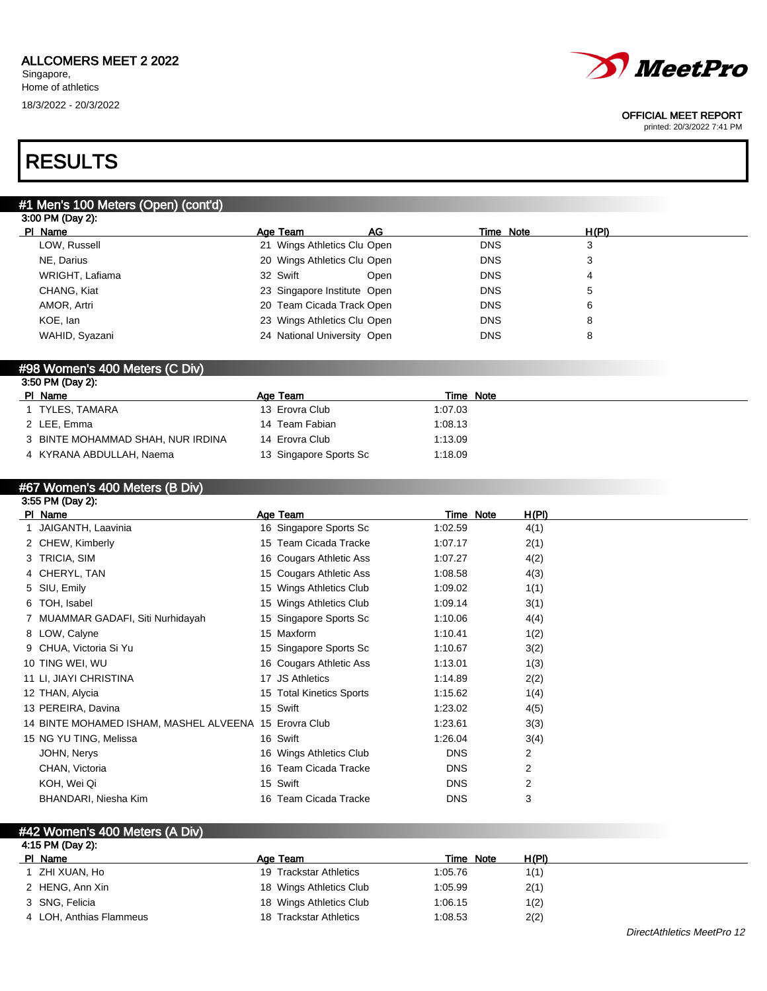

#### OFFICIAL MEET REPORT

printed: 20/3/2022 7:41 PM

## RESULTS

## #1 Men's 100 Meters (Open) (cont'd)

| 3:00 PM (Day 2): |                             |      |            |       |  |
|------------------|-----------------------------|------|------------|-------|--|
| PI Name          | Age Team                    | AG   | Time Note  | H(PI) |  |
| LOW, Russell     | 21 Wings Athletics Clu Open |      | <b>DNS</b> | 3     |  |
| NE, Darius       | 20 Wings Athletics Clu Open |      | <b>DNS</b> | 3     |  |
| WRIGHT, Lafiama  | 32 Swift                    | Open | <b>DNS</b> | 4     |  |
| CHANG, Kiat      | 23 Singapore Institute Open |      | <b>DNS</b> | 5     |  |
| AMOR, Artri      | 20 Team Cicada Track Open   |      | <b>DNS</b> | 6     |  |
| KOE, lan         | 23 Wings Athletics Clu Open |      | <b>DNS</b> | 8     |  |
| WAHID, Syazani   | 24 National University Open |      | <b>DNS</b> | 8     |  |
|                  |                             |      |            |       |  |

### #98 Women's 400 Meters (C Div)

| 3:50 PM (Day 2):                  |                        |           |  |
|-----------------------------------|------------------------|-----------|--|
| PI Name                           | Age Team               | Time Note |  |
| 1 TYLES, TAMARA                   | 13 Erovra Club         | 1:07.03   |  |
| 2 LEE, Emma                       | 14 Team Fabian         | 1:08.13   |  |
| 3 BINTE MOHAMMAD SHAH, NUR IRDINA | 14 Erovra Club         | 1:13.09   |  |
| 4 KYRANA ABDULLAH, Naema          | 13 Singapore Sports Sc | 1:18.09   |  |

## #67 Women's 400 Meters (B Div)

| 3:55 PM (Day 2):                                      |                          |            |           |                |  |
|-------------------------------------------------------|--------------------------|------------|-----------|----------------|--|
| PI Name                                               | Age Team                 |            | Time Note | H(PI)          |  |
| JAIGANTH, Laavinia                                    | 16 Singapore Sports Sc   | 1:02.59    |           | 4(1)           |  |
| 2 CHEW, Kimberly                                      | 15 Team Cicada Tracke    | 1:07.17    |           | 2(1)           |  |
| 3 TRICIA, SIM                                         | 16 Cougars Athletic Ass  | 1:07.27    |           | 4(2)           |  |
| 4 CHERYL, TAN                                         | 15 Cougars Athletic Ass  | 1:08.58    |           | 4(3)           |  |
| 5 SIU, Emily                                          | 15 Wings Athletics Club  | 1:09.02    |           | 1(1)           |  |
| 6 TOH, Isabel                                         | 15 Wings Athletics Club  | 1:09.14    |           | 3(1)           |  |
| 7 MUAMMAR GADAFI, Siti Nurhidayah                     | 15 Singapore Sports Sc   | 1:10.06    |           | 4(4)           |  |
| 8 LOW, Calyne                                         | 15 Maxform               | 1:10.41    |           | 1(2)           |  |
| 9 CHUA, Victoria Si Yu                                | 15 Singapore Sports Sc   | 1:10.67    |           | 3(2)           |  |
| 10 TING WEI, WU                                       | 16 Cougars Athletic Ass  | 1:13.01    |           | 1(3)           |  |
| 11 LI, JIAYI CHRISTINA                                | 17 JS Athletics          | 1:14.89    |           | 2(2)           |  |
| 12 THAN, Alycia                                       | 15 Total Kinetics Sports | 1:15.62    |           | 1(4)           |  |
| 13 PEREIRA, Davina                                    | 15 Swift                 | 1:23.02    |           | 4(5)           |  |
| 14 BINTE MOHAMED ISHAM, MASHEL ALVEENA 15 Erovra Club |                          | 1:23.61    |           | 3(3)           |  |
| 15 NG YU TING, Melissa                                | 16 Swift                 | 1:26.04    |           | 3(4)           |  |
| JOHN, Nerys                                           | 16 Wings Athletics Club  | <b>DNS</b> |           | 2              |  |
| CHAN, Victoria                                        | 16 Team Cicada Tracke    | <b>DNS</b> |           | 2              |  |
| KOH, Wei Qi                                           | 15 Swift                 | <b>DNS</b> |           | $\overline{2}$ |  |
| BHANDARI, Niesha Kim                                  | 16 Team Cicada Tracke    | <b>DNS</b> |           | 3              |  |

| #42 Women's 400 Meters (A Div) |                         |           |       |  |
|--------------------------------|-------------------------|-----------|-------|--|
| 4:15 PM (Day 2):               |                         |           |       |  |
| PI Name                        | Age Team                | Time Note | H(PI) |  |
| ZHI XUAN. Ho                   | 19 Trackstar Athletics  | 1:05.76   | 1(1)  |  |
| 2 HENG, Ann Xin                | 18 Wings Athletics Club | 1:05.99   | 2(1)  |  |
| 3 SNG, Felicia                 | 18 Wings Athletics Club | 1:06.15   | 1(2)  |  |
| 4 LOH, Anthias Flammeus        | 18 Trackstar Athletics  | 1:08.53   | 2(2)  |  |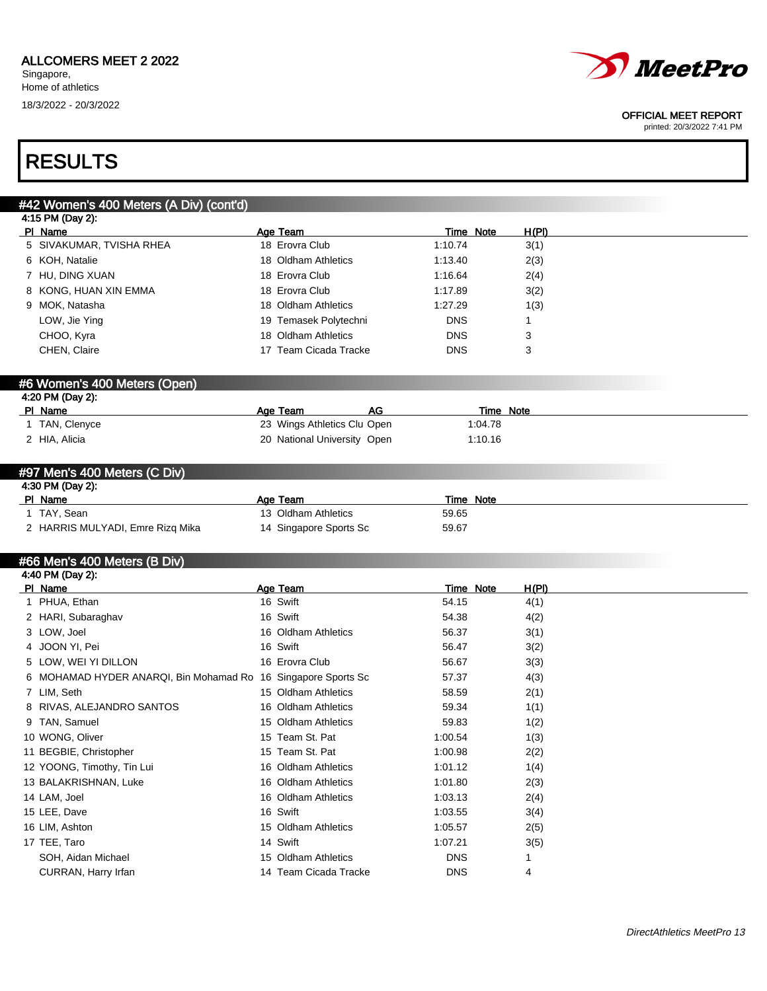

#### OFFICIAL MEET REPORT

printed: 20/3/2022 7:41 PM

## RESULTS

## #42 Women's 400 Meters (A Div) (cont'd) 4:15 PM (Day 2): PI Name **Age Team** Age Team Time Note H(PI) 5 SIVAKUMAR, TVISHA RHEA 18 Erovra Club 1:10.74 3(1) 6 KOH, Natalie 18 Oldham Athletics 1:13.40 2(3) 7 HU, DING XUAN 18 Erovra Club 1:16.64 2(4) 8 KONG, HUAN XIN EMMA 18 Erovra Club 1:17.89 3(2) 9 MOK, Natasha 18 Oldham Athletics 1:27.29 1(3) LOW, Jie Ying 19 Temasek Polytechni 19 Temasek Polytechni DNS 1 CHOO, Kyra **18 Oldham Athletics** DNS 3 CHEN, Claire 2012 17 Team Cicada Tracke 2015 DNS 3 #6 Women's 400 Meters (Open) 4:20 PM (Day 2): Pl Name **Age Team** Age Team AG Time Note 1 TAN, Clenyce 23 Wings Athletics Clu Open 1:04.78 2 HIA, Alicia 20 National University Open 1:10.16 #97 Men's 400 Meters (C Div) 4:30 PM (Day 2): PI Name Time Note Team Age Team Time Note 1 TAY, Sean 13 Oldham Athletics 59.65 2 HARRIS MULYADI, Emre Rizq Mika 14 Singapore Sports Sc 59.67 #66 Men's 400 Meters (B Div) 4:40 PM (Day 2): PI Name **Age Team Age Team Time Note H(PI)** 1 PHUA, Ethan 16 Swift 16 Swift 54.15 4(1)

| PI Name                                                       | Age Team              |            | Fime Note | <u>H(PI)</u> |
|---------------------------------------------------------------|-----------------------|------------|-----------|--------------|
| 1 PHUA, Ethan                                                 | 16 Swift              | 54.15      |           | 4(1)         |
| 2 HARI, Subaraghav                                            | 16 Swift              | 54.38      |           | 4(2)         |
| 3 LOW, Joel                                                   | 16 Oldham Athletics   | 56.37      |           | 3(1)         |
| 4 JOON YI, Pei                                                | 16 Swift              | 56.47      |           | 3(2)         |
| 5 LOW, WEI YI DILLON                                          | 16 Erovra Club        | 56.67      |           | 3(3)         |
| 6 MOHAMAD HYDER ANARQI, Bin Mohamad Ro 16 Singapore Sports Sc |                       | 57.37      |           | 4(3)         |
| 7 LIM, Seth                                                   | 15 Oldham Athletics   | 58.59      |           | 2(1)         |
| 8 RIVAS, ALEJANDRO SANTOS                                     | 16 Oldham Athletics   | 59.34      |           | 1(1)         |
| 9 TAN, Samuel                                                 | 15 Oldham Athletics   | 59.83      |           | 1(2)         |
| 10 WONG, Oliver                                               | 15 Team St. Pat       | 1:00.54    |           | 1(3)         |
| 11 BEGBIE, Christopher                                        | 15 Team St. Pat       | 1:00.98    |           | 2(2)         |
| 12 YOONG, Timothy, Tin Lui                                    | 16 Oldham Athletics   | 1:01.12    |           | 1(4)         |
| 13 BALAKRISHNAN, Luke                                         | 16 Oldham Athletics   | 1:01.80    |           | 2(3)         |
| 14 LAM, Joel                                                  | 16 Oldham Athletics   | 1:03.13    |           | 2(4)         |
| 15 LEE, Dave                                                  | 16 Swift              | 1:03.55    |           | 3(4)         |
| 16 LIM, Ashton                                                | 15 Oldham Athletics   | 1:05.57    |           | 2(5)         |
| 17 TEE, Taro                                                  | 14 Swift              | 1:07.21    |           | 3(5)         |
| SOH, Aidan Michael                                            | 15 Oldham Athletics   | <b>DNS</b> |           |              |
| CURRAN, Harry Irfan                                           | 14 Team Cicada Tracke | <b>DNS</b> |           | 4            |
|                                                               |                       |            |           |              |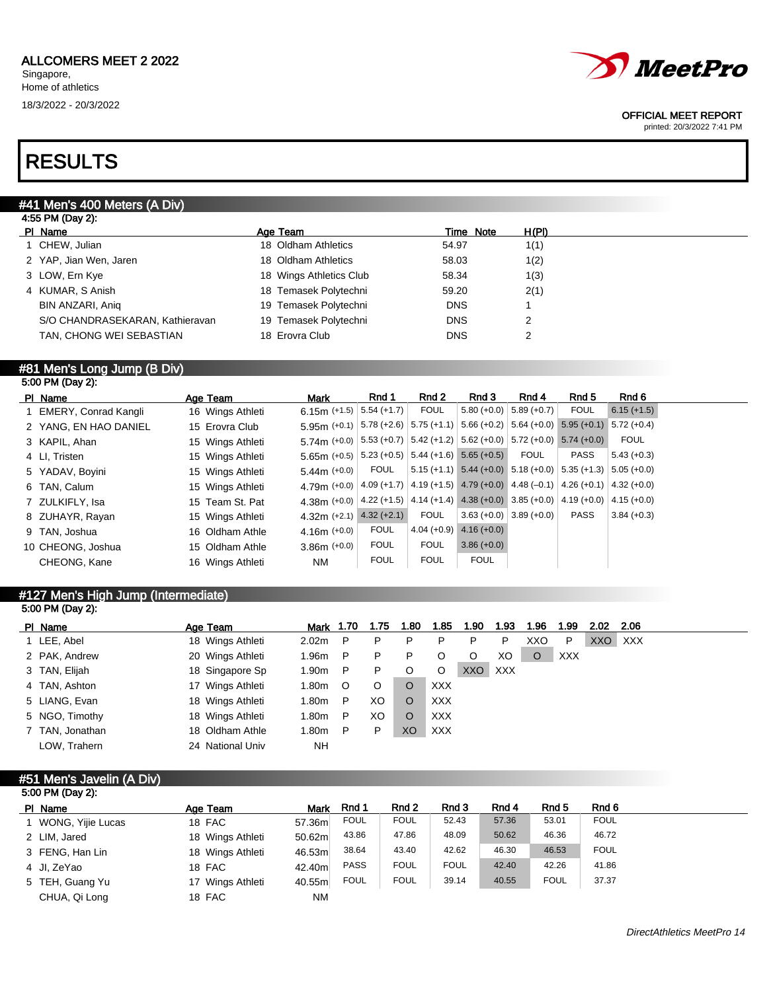

#### OFFICIAL MEET REPORT

printed: 20/3/2022 7:41 PM

## RESULTS

### #41 Men's 400 Meters (A Div)

| 4:55 PM (Day 2):                |                         |            |       |
|---------------------------------|-------------------------|------------|-------|
| PI Name                         | Age Team                | Time Note  | H(PI) |
| 1 CHEW, Julian                  | 18 Oldham Athletics     | 54.97      | 1(1)  |
| 2 YAP, Jian Wen, Jaren          | 18 Oldham Athletics     | 58.03      | 1(2)  |
| 3 LOW, Ern Kye                  | 18 Wings Athletics Club | 58.34      | 1(3)  |
| 4 KUMAR, S Anish                | 18 Temasek Polytechni   | 59.20      | 2(1)  |
| BIN ANZARI, Anig                | 19 Temasek Polytechni   | <b>DNS</b> |       |
| S/O CHANDRASEKARAN, Kathieravan | 19 Temasek Polytechni   | <b>DNS</b> | 2     |
| TAN, CHONG WEI SEBASTIAN        | 18 Erovra Club          | <b>DNS</b> | 2     |
|                                 |                         |            |       |

### #81 Men's Long Jump (B Div)

| 5:00 PM (Day 2): |                        |  |                  |                                                                                                        |               |             |                                                                       |                           |             |               |  |
|------------------|------------------------|--|------------------|--------------------------------------------------------------------------------------------------------|---------------|-------------|-----------------------------------------------------------------------|---------------------------|-------------|---------------|--|
|                  | PI Name                |  | Age Team         | <b>Mark</b>                                                                                            | Rnd 1         | Rnd 2       | Rnd 3                                                                 | Rnd 4                     | Rnd 5       | Rnd 6         |  |
|                  | 1 EMERY, Conrad Kangli |  | 16 Wings Athleti | 6.15m $(+1.5)$                                                                                         | $5.54 (+1.7)$ | <b>FOUL</b> |                                                                       | $5.80 (+0.0)$ 5.89 (+0.7) | <b>FOUL</b> | $6.15 (+1.5)$ |  |
|                  | 2 YANG, EN HAO DANIEL  |  | 15 Erovra Club   | 5.95m (+0.1) $ 5.78$ (+2.6) $ 5.75$ (+1.1) $ 5.66$ (+0.2) $ 5.64$ (+0.0) $ 5.95$ (+0.1) $ 5.72$ (+0.4) |               |             |                                                                       |                           |             |               |  |
|                  | 3 KAPIL, Ahan          |  | 15 Wings Athleti | 5.74m (+0.0) $  5.53$ (+0.7) $  5.42$ (+1.2) $  5.62$ (+0.0) $  5.72$ (+0.0) $  5.74$ (+0.0)           |               |             |                                                                       |                           |             | <b>FOUL</b>   |  |
|                  | 4 LI, Tristen          |  | 15 Wings Athleti | $5.65m$ (+0.5) $\mid 5.23$ (+0.5) $\mid 5.44$ (+1.6) $\mid 5.65$ (+0.5)                                |               |             |                                                                       | <b>FOUL</b>               | <b>PASS</b> | $5.43 (+0.3)$ |  |
|                  | 5 YADAV, Boyini        |  | 15 Wings Athleti | 5.44m $(+0.0)$                                                                                         | <b>FOUL</b>   |             | $5.15 (+1.1)$ $5.44 (+0.0)$ $5.18 (+0.0)$ $5.35 (+1.3)$ $5.05 (+0.0)$ |                           |             |               |  |
|                  | 6 TAN, Calum           |  | 15 Wings Athleti | 4.79m (+0.0) $ 4.09 +1.7 $ 4.19 (+1.5) 4.79 (+0.0) 4.48 (-0.1) 4.26 (+0.1) 4.32 (+0.0)                 |               |             |                                                                       |                           |             |               |  |
|                  | 7 ZULKIFLY, Isa        |  | 15 Team St. Pat  | 4.38m (+0.0) $ 4.22$ (+1.5) $ 4.14$ (+1.4) 4.38 (+0.0) 3.85 (+0.0) 4.19 (+0.0) 4.15 (+0.0)             |               |             |                                                                       |                           |             |               |  |
|                  | 8 ZUHAYR, Rayan        |  | 15 Wings Athleti | $4.32m (+2.1)$ $4.32 (+2.1)$                                                                           |               | <b>FOUL</b> |                                                                       | $3.63 (+0.0)$ 3.89 (+0.0) | <b>PASS</b> | $3.84 (+0.3)$ |  |
|                  | 9 TAN, Joshua          |  | 16 Oldham Athle  | $4.16m (+0.0)$                                                                                         | <b>FOUL</b>   |             | $4.04 (+0.9) 4.16 (+0.0)$                                             |                           |             |               |  |
|                  | 10 CHEONG, Joshua      |  | 15 Oldham Athle  | $3.86m (+0.0)$                                                                                         | <b>FOUL</b>   | <b>FOUL</b> | $3.86 (+0.0)$                                                         |                           |             |               |  |
|                  | CHEONG, Kane           |  | 16 Wings Athleti | NM.                                                                                                    | <b>FOUL</b>   | <b>FOUL</b> | <b>FOUL</b>                                                           |                           |             |               |  |
|                  |                        |  |                  |                                                                                                        |               |             |                                                                       |                           |             |               |  |

## #127 Men's High Jump (Intermediate)

| 5:00 PM (Day 2): |                  |           |         |      |         |            |            |      |      |      |      |      |  |
|------------------|------------------|-----------|---------|------|---------|------------|------------|------|------|------|------|------|--|
| PI Name          | Age Team         | Mark 1.70 |         | 1.75 | 1.80    | 1.85       | 1.90       | 1.93 | 1.96 | 1.99 | 2.02 | 2.06 |  |
| 1 LEE, Abel      | 18 Wings Athleti | 2.02m     | P       | P    | P       | P          | P          | P    | XXO  | P    | XXO  | XXX  |  |
| 2 PAK, Andrew    | 20 Wings Athleti | 1.96m     | P       | P    | P       |            | O          | XO.  | O    | XXX  |      |      |  |
| 3 TAN, Elijah    | 18 Singapore Sp  | 1.90m     | P       | P    | $\circ$ | O          | <b>XXO</b> | XXX  |      |      |      |      |  |
| 4 TAN, Ashton    | 17 Wings Athleti | 1.80m     | $\circ$ | O    | $\circ$ | <b>XXX</b> |            |      |      |      |      |      |  |
| 5 LIANG, Evan    | 18 Wings Athleti | 1.80m     | P       | XO   | $\circ$ | <b>XXX</b> |            |      |      |      |      |      |  |
| 5 NGO, Timothy   | 18 Wings Athleti | 1.80m     | P       | XO   | O       | <b>XXX</b> |            |      |      |      |      |      |  |
| 7 TAN, Jonathan  | 18 Oldham Athle  | 1.80m     | P       | P    | XO      | <b>XXX</b> |            |      |      |      |      |      |  |
| LOW, Trahern     | 24 National Univ | <b>NH</b> |         |      |         |            |            |      |      |      |      |      |  |

### #51 Men's Javelin (A Div)

| 5:00 PM (Day 2):    |                  |           |             |             |             |       |             |             |
|---------------------|------------------|-----------|-------------|-------------|-------------|-------|-------------|-------------|
| PI Name             | Age Team         | Mark      | Rnd 1       | Rnd 2       | Rnd 3       | Rnd 4 | Rnd 5       | Rnd 6       |
| 1 WONG, Yijie Lucas | 18 FAC           | 57.36m    | <b>FOUL</b> | <b>FOUL</b> | 52.43       | 57.36 | 53.01       | <b>FOUL</b> |
| 2 LIM, Jared        | 18 Wings Athleti | 50.62m    | 43.86       | 47.86       | 48.09       | 50.62 | 46.36       | 46.72       |
| 3 FENG, Han Lin     | 18 Wings Athleti | 46.53m    | 38.64       | 43.40       | 42.62       | 46.30 | 46.53       | <b>FOUL</b> |
| 4 JI, ZeYao         | 18 FAC           | 42.40m    | <b>PASS</b> | <b>FOUL</b> | <b>FOUL</b> | 42.40 | 42.26       | 41.86       |
| 5 TEH, Guang Yu     | 17 Wings Athleti | 40.55m    | <b>FOUL</b> | <b>FOUL</b> | 39.14       | 40.55 | <b>FOUL</b> | 37.37       |
| CHUA, Qi Long       | 18 FAC           | <b>NM</b> |             |             |             |       |             |             |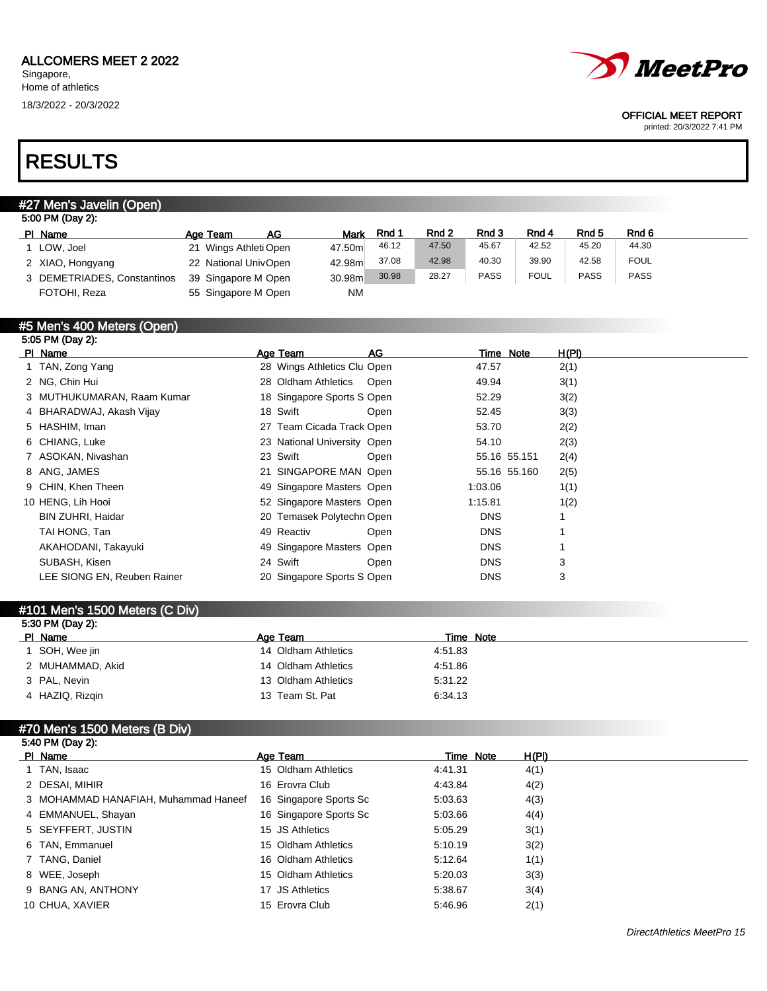

#### OFFICIAL MEET REPORT

printed: 20/3/2022 7:41 PM

## RESULTS

## #27 Men's Javelin (Open)

| 5:00 PM (Day 2):            |                       |     |           |       |       |             |             |             |             |  |
|-----------------------------|-----------------------|-----|-----------|-------|-------|-------------|-------------|-------------|-------------|--|
| PI Name                     | Age Team              | AG. | Mark      | Rnd 1 | Rnd 2 | Rnd 3       | Rnd 4       | Rnd 5       | Rnd 6       |  |
| 1 LOW, Joel                 | 21 Wings Athleti Open |     | 47.50m    | 46.12 | 47.50 | 45.67       | 42.52       | 45.20       | 44.30       |  |
| 2 XIAO, Hongyang            | 22 National UnivOpen  |     | 42.98m    | 37.08 | 42.98 | 40.30       | 39.90       | 42.58       | <b>FOUL</b> |  |
| 3 DEMETRIADES, Constantinos | 39 Singapore M Open   |     | 30.98m    | 30.98 | 28.27 | <b>PASS</b> | <b>FOUL</b> | <b>PASS</b> | <b>PASS</b> |  |
| FOTOHI, Reza                | 55 Singapore M Open   |     | <b>NM</b> |       |       |             |             |             |             |  |

#### #5 Men's 400 Meters (Open) 5:05 PM (Day 2):

| PI Name                     | Age Team                    | AG   | Time Note    | H(PI) |
|-----------------------------|-----------------------------|------|--------------|-------|
| 1 TAN, Zong Yang            | 28 Wings Athletics Clu Open |      | 47.57        | 2(1)  |
| 2 NG, Chin Hui              | 28 Oldham Athletics Open    |      | 49.94        | 3(1)  |
| 3 MUTHUKUMARAN, Raam Kumar  | 18 Singapore Sports S Open  |      | 52.29        | 3(2)  |
| 4 BHARADWAJ, Akash Vijay    | 18 Swift                    | Open | 52.45        | 3(3)  |
| 5 HASHIM, Iman              | 27 Team Cicada Track Open   |      | 53.70        | 2(2)  |
| 6 CHIANG, Luke              | 23 National University Open |      | 54.10        | 2(3)  |
| 7 ASOKAN, Nivashan          | 23 Swift                    | Open | 55.16 55.151 | 2(4)  |
| 8 ANG, JAMES                | 21 SINGAPORE MAN Open       |      | 55.16 55.160 | 2(5)  |
| 9 CHIN, Khen Theen          | 49 Singapore Masters Open   |      | 1:03.06      | 1(1)  |
| 10 HENG, Lih Hooi           | 52 Singapore Masters Open   |      | 1:15.81      | 1(2)  |
| <b>BIN ZUHRI, Haidar</b>    | 20 Temasek Polytechn Open   |      | <b>DNS</b>   |       |
| TAI HONG, Tan               | 49 Reactiv                  | Open | <b>DNS</b>   |       |
| AKAHODANI, Takayuki         | 49 Singapore Masters Open   |      | <b>DNS</b>   |       |
| SUBASH, Kisen               | 24 Swift                    | Open | <b>DNS</b>   | 3     |
| LEE SIONG EN, Reuben Rainer | 20 Singapore Sports S Open  |      | <b>DNS</b>   | 3     |
|                             |                             |      |              |       |

### #101 Men's 1500 Meters (C Div) 5:30 PM (Day 2): PI Name **Age Team** Age Team Time Note 1 SOH, Wee jin 14 Oldham Athletics 4:51.83 2 MUHAMMAD, Akid 14 Oldham Athletics 4:51.86 3 PAL, Nevin 13 Oldham Athletics 5:31.22 4 HAZIQ, Rizqin 13 Team St. Pat 6:34.13

## #70 Men's 1500 Meters (B Div) 5:40 PM (Day 2):

| PI Name                              | Age Team        |                        |         | Time Note | H(PI) |
|--------------------------------------|-----------------|------------------------|---------|-----------|-------|
| 1 TAN, Isaac                         |                 | 15 Oldham Athletics    | 4:41.31 |           | 4(1)  |
| 2 DESAI, MIHIR                       | 16 Erovra Club  |                        | 4:43.84 |           | 4(2)  |
| 3 MOHAMMAD HANAFIAH, Muhammad Haneef |                 | 16 Singapore Sports Sc | 5:03.63 |           | 4(3)  |
| 4 EMMANUEL, Shayan                   |                 | 16 Singapore Sports Sc | 5.03.66 |           | 4(4)  |
| 5 SEYFFERT, JUSTIN                   | 15 JS Athletics |                        | 5:05.29 |           | 3(1)  |
| 6 TAN, Emmanuel                      |                 | 15 Oldham Athletics    | 5:10.19 |           | 3(2)  |
| 7 TANG, Daniel                       |                 | 16 Oldham Athletics    | 5:12.64 |           | 1(1)  |
| 8 WEE, Joseph                        |                 | 15 Oldham Athletics    | 5:20.03 |           | 3(3)  |
| 9 BANG AN, ANTHONY                   | 17 JS Athletics |                        | 5:38.67 |           | 3(4)  |
| 10 CHUA, XAVIER                      | 15 Erovra Club  |                        | 5:46.96 |           | 2(1)  |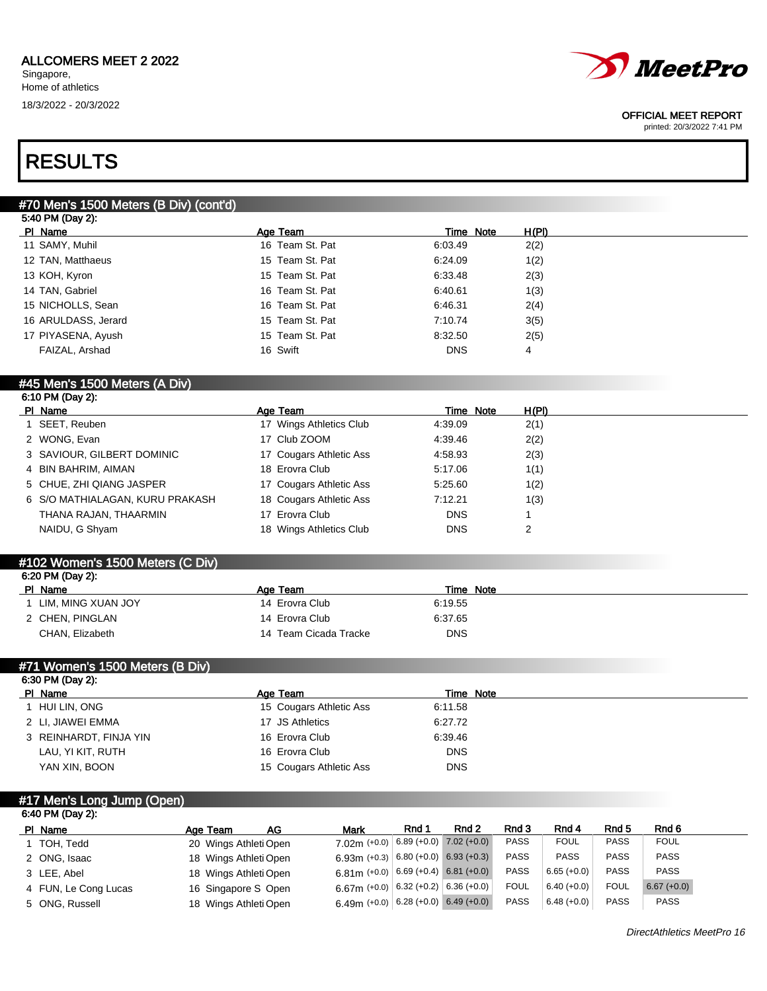# *MeetPro*

#### OFFICIAL MEET REPORT

printed: 20/3/2022 7:41 PM

## RESULTS

## #70 Men's 1500 Meters (B Div) (cont'd)

| 5:40 PM (Day 2):    |                 |            |       |  |
|---------------------|-----------------|------------|-------|--|
| PI Name             | Age Team        | Time Note  | H(PI) |  |
| 11 SAMY, Muhil      | 16 Team St. Pat | 6:03.49    | 2(2)  |  |
| 12 TAN, Matthaeus   | 15 Team St. Pat | 6:24.09    | 1(2)  |  |
| 13 KOH, Kyron       | 15 Team St. Pat | 6:33.48    | 2(3)  |  |
| 14 TAN, Gabriel     | 16 Team St. Pat | 6:40.61    | 1(3)  |  |
| 15 NICHOLLS, Sean   | 16 Team St. Pat | 6:46.31    | 2(4)  |  |
| 16 ARULDASS, Jerard | 15 Team St. Pat | 7:10.74    | 3(5)  |  |
| 17 PIYASENA, Ayush  | 15 Team St. Pat | 8:32.50    | 2(5)  |  |
| FAIZAL, Arshad      | 16 Swift        | <b>DNS</b> | 4     |  |
|                     |                 |            |       |  |

#### #45 Men's 1500 Meters (A Div) 6:10 PM (Day 2):

| 0.1011100474                    |                         |            |       |
|---------------------------------|-------------------------|------------|-------|
| PI Name                         | Age Team                | Time Note  | H(PI) |
| 1 SEET, Reuben                  | 17 Wings Athletics Club | 4:39.09    | 2(1)  |
| 2 WONG, Evan                    | 17 Club ZOOM            | 4:39.46    | 2(2)  |
| 3 SAVIOUR, GILBERT DOMINIC      | 17 Cougars Athletic Ass | 4:58.93    | 2(3)  |
| 4 BIN BAHRIM, AIMAN             | 18 Erovra Club          | 5:17.06    | 1(1)  |
| 5 CHUE, ZHI QIANG JASPER        | 17 Cougars Athletic Ass | 5:25.60    | 1(2)  |
| 6 S/O MATHIALAGAN, KURU PRAKASH | 18 Cougars Athletic Ass | 7:12.21    | 1(3)  |
| THANA RAJAN, THAARMIN           | 17 Erovra Club          | <b>DNS</b> |       |
| NAIDU, G Shyam                  | 18 Wings Athletics Club | <b>DNS</b> | 2     |
|                                 |                         |            |       |

| #102 Women's 1500 Meters (C Div) |                       |            |  |
|----------------------------------|-----------------------|------------|--|
| 6:20 PM (Day 2):                 |                       |            |  |
| PI Name                          | Age Team              | Time Note  |  |
| LIM, MING XUAN JOY               | 14 Erovra Club        | 6:19.55    |  |
| 2 CHEN, PINGLAN                  | 14 Erovra Club        | 6:37.65    |  |
| CHAN, Elizabeth                  | 14 Team Cicada Tracke | <b>DNS</b> |  |

## #71 Women's 1500 Meters (B Div) 6:30 PM (Day 2): PI Name **Age Team** Age Team Time Note

| hui lin, ong           | 15 Cougars Athletic Ass | 6.11.58 |            |
|------------------------|-------------------------|---------|------------|
| 2 LI, JIAWEI EMMA      | 17 JS Athletics         | 6:27.72 |            |
| 3 REINHARDT, FINJA YIN | 16 Erovra Club          | 6:39.46 |            |
| LAU, YI KIT, RUTH      | 16 Erovra Club          |         | <b>DNS</b> |
| YAN XIN, BOON          | 15 Cougars Athletic Ass |         | <b>DNS</b> |

#### #17 Men's Long Jump (Open) 6:40 PM (Day 2):

| PI Name              | Age Team              | AG | <b>Mark</b>                                | Rnd 1 | Rnd 2 | Rnd 3       | Rnd 4         | Rnd <sub>5</sub> | Rnd 6         |
|----------------------|-----------------------|----|--------------------------------------------|-------|-------|-------------|---------------|------------------|---------------|
| TOH, Tedd            | 20 Wings Athleti Open |    | $7.02$ m (+0.0) 6.89 (+0.0) 7.02 (+0.0)    |       |       | <b>PASS</b> | <b>FOUL</b>   | <b>PASS</b>      | <b>FOUL</b>   |
| 2 ONG, Isaac         | 18 Wings Athleti Open |    | 6.93m $(+0.3)$ 6.80 $(+0.0)$ 6.93 $(+0.3)$ |       |       | <b>PASS</b> | <b>PASS</b>   | <b>PASS</b>      | <b>PASS</b>   |
| 3 LEE, Abel          | 18 Wings Athleti Open |    | $6.81$ m (+0.0) 6.69 (+0.4) 6.81 (+0.0)    |       |       | <b>PASS</b> | $6.65 (+0.0)$ | <b>PASS</b>      | <b>PASS</b>   |
| 4 FUN, Le Cong Lucas | 16 Singapore S Open   |    | 6.67m (+0.0) 6.32 (+0.2) 6.36 (+0.0)       |       |       | <b>FOUL</b> | $6.40 (+0.0)$ | FOUL             | $6.67 (+0.0)$ |
| 5 ONG, Russell       | 18 Wings Athleti Open |    | 6.49m $(+0.0)$ 6.28 $(+0.0)$ 6.49 $(+0.0)$ |       |       | <b>PASS</b> | $6.48 (+0.0)$ | <b>PASS</b>      | <b>PASS</b>   |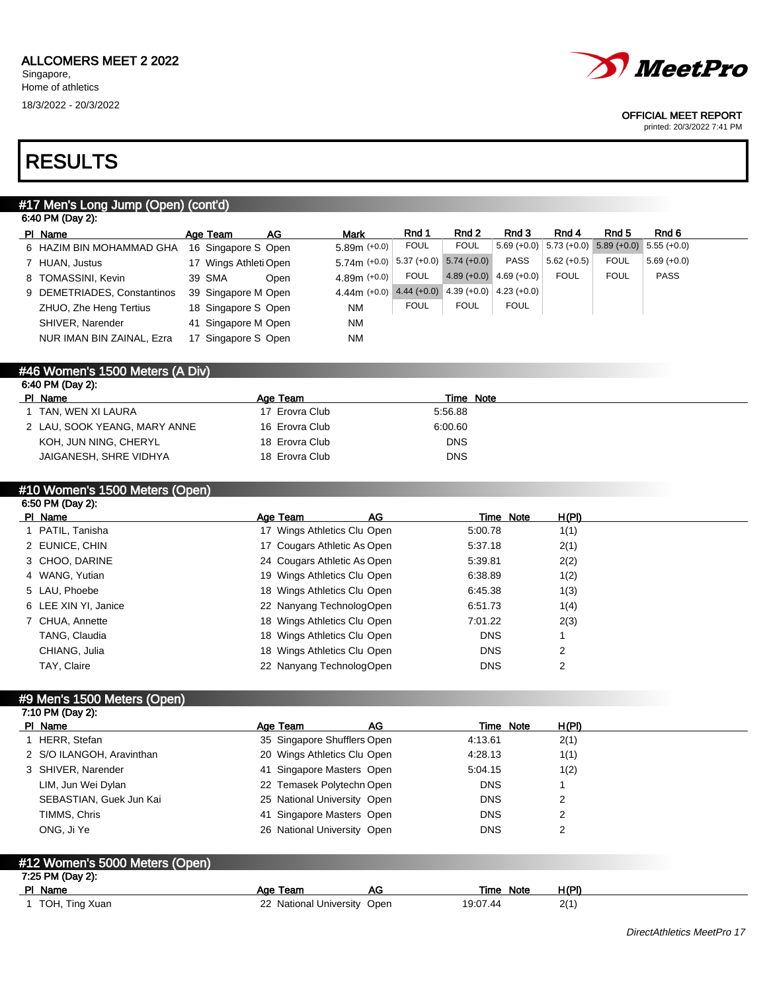

#### OFFICIAL MEET REPORT

printed: 20/3/2022 7:41 PM

## RESULTS

### #17 Men's Long Jump (Open) (cont'd)

| 6:40 PM (Day 2):            |                       |      |                |               |                             |              |               |                                                         |               |
|-----------------------------|-----------------------|------|----------------|---------------|-----------------------------|--------------|---------------|---------------------------------------------------------|---------------|
| PI Name                     | Age Team              | AG   | <b>Mark</b>    | Rnd 1         | Rnd 2                       | Rnd 3        | Rnd 4         | Rnd 5                                                   | Rnd 6         |
| 6 HAZIM BIN MOHAMMAD GHA    | 16 Singapore S Open   |      | $5.89m (+0.0)$ | <b>FOUL</b>   | <b>FOUL</b>                 |              |               | $5.69 (+0.0)$ $5.73 (+0.0)$ $5.89 (+0.0)$ $5.55 (+0.0)$ |               |
| 7 HUAN, Justus              | 17 Wings Athleti Open |      | $5.74m (+0.0)$ | $5.37 (+0.0)$ | $5.74(+0.0)$                | <b>PASS</b>  | $5.62 (+0.5)$ | <b>FOUL</b>                                             | $5.69 (+0.0)$ |
| 8 TOMASSINI, Kevin          | 39 SMA                | Open | 4.89m $(+0.0)$ | <b>FOUL</b>   | $4.89 (+0.0)$ $4.69 (+0.0)$ |              | <b>FOUL</b>   | <b>FOUL</b>                                             | <b>PASS</b>   |
| 9 DEMETRIADES, Constantinos | 39 Singapore M Open   |      | $4.44m (+0.0)$ |               | $4.44 (+0.0)$ $4.39 (+0.0)$ | $4.23(+0.0)$ |               |                                                         |               |
| ZHUO, Zhe Heng Tertius      | 18 Singapore S Open   |      | <b>NM</b>      | <b>FOUL</b>   | <b>FOUL</b>                 | <b>FOUL</b>  |               |                                                         |               |
| SHIVER, Narender            | 41 Singapore M Open   |      | <b>NM</b>      |               |                             |              |               |                                                         |               |
| NUR IMAN BIN ZAINAL, Ezra   | 17 Singapore S Open   |      | <b>NM</b>      |               |                             |              |               |                                                         |               |
|                             |                       |      |                |               |                             |              |               |                                                         |               |

#### #46 Women's 1500 Meters (A Div) 6:40 PM (Day 2):

| $0.70 + 1111001 + 11111001$  |                |            |
|------------------------------|----------------|------------|
| PI Name                      | Age Team       | Time Note  |
| I TAN, WEN XI LAURA          | 17 Erovra Club | 5:56.88    |
| 2 LAU, SOOK YEANG, MARY ANNE | 16 Erovra Club | 6.00.60    |
| KOH, JUN NING, CHERYL        | 18 Erovra Club | <b>DNS</b> |
| JAIGANESH, SHRE VIDHYA       | 18 Erovra Club | <b>DNS</b> |
|                              |                |            |

### #10 Women's 1500 Meters (Open)

| 6:50 PM (Day 2):     |                             |    |            |                |  |
|----------------------|-----------------------------|----|------------|----------------|--|
| PI Name              | Age Team                    | AG | Time Note  | H(PI)          |  |
| 1 PATIL, Tanisha     | 17 Wings Athletics Clu Open |    | 5:00.78    | 1(1)           |  |
| 2 EUNICE, CHIN       | 17 Cougars Athletic As Open |    | 5.37.18    | 2(1)           |  |
| 3 CHOO, DARINE       | 24 Cougars Athletic As Open |    | 5:39.81    | 2(2)           |  |
| 4 WANG, Yutian       | 19 Wings Athletics Clu Open |    | 6.38.89    | 1(2)           |  |
| 5 LAU, Phoebe        | 18 Wings Athletics Clu Open |    | 6:45.38    | 1(3)           |  |
| 6 LEE XIN YI, Janice | 22 Nanyang TechnologOpen    |    | 6:51.73    | 1(4)           |  |
| 7 CHUA, Annette      | 18 Wings Athletics Clu Open |    | 7:01.22    | 2(3)           |  |
| TANG, Claudia        | 18 Wings Athletics Clu Open |    | <b>DNS</b> |                |  |
| CHIANG, Julia        | 18 Wings Athletics Clu Open |    | <b>DNS</b> | 2              |  |
| TAY, Claire          | 22 Nanvang TechnologOpen    |    | <b>DNS</b> | $\overline{2}$ |  |

### #9 Men's 1500 Meters (Open)

| 7:10 PM (Day 2): |                                                    |                             |    |            |       |  |  |  |  |  |
|------------------|----------------------------------------------------|-----------------------------|----|------------|-------|--|--|--|--|--|
|                  | PI Name                                            | Age Team                    | AG | Time Note  | H(PI) |  |  |  |  |  |
|                  | 1 HERR, Stefan                                     | 35 Singapore Shufflers Open |    | 4:13.61    | 2(1)  |  |  |  |  |  |
|                  | 2 S/O ILANGOH, Aravinthan                          | 20 Wings Athletics Clu Open |    | 4:28.13    | 1(1)  |  |  |  |  |  |
|                  | 3 SHIVER, Narender                                 | 41 Singapore Masters Open   |    | 5:04.15    | 1(2)  |  |  |  |  |  |
|                  | LIM, Jun Wei Dylan                                 | 22 Temasek Polytechn Open   |    | <b>DNS</b> |       |  |  |  |  |  |
|                  | SEBASTIAN, Guek Jun Kai                            | 25 National University Open |    | <b>DNS</b> | 2     |  |  |  |  |  |
|                  | TIMMS, Chris                                       | 41 Singapore Masters Open   |    | <b>DNS</b> | 2     |  |  |  |  |  |
|                  | ONG. Ji Ye                                         | 26 National University Open |    | <b>DNS</b> | 2     |  |  |  |  |  |
|                  |                                                    |                             |    |            |       |  |  |  |  |  |
|                  | #12 Women's 5000 Meters (Open)<br>7:25 PM (Day 2): |                             |    |            |       |  |  |  |  |  |

| PI Name        | Team<br>Aae                   | AC | <b>Note</b><br>Time | H (PI) |
|----------------|-------------------------------|----|---------------------|--------|
| TOH, Ting Xuan | National University Open<br>ົ |    | 19:07.44            | n11    |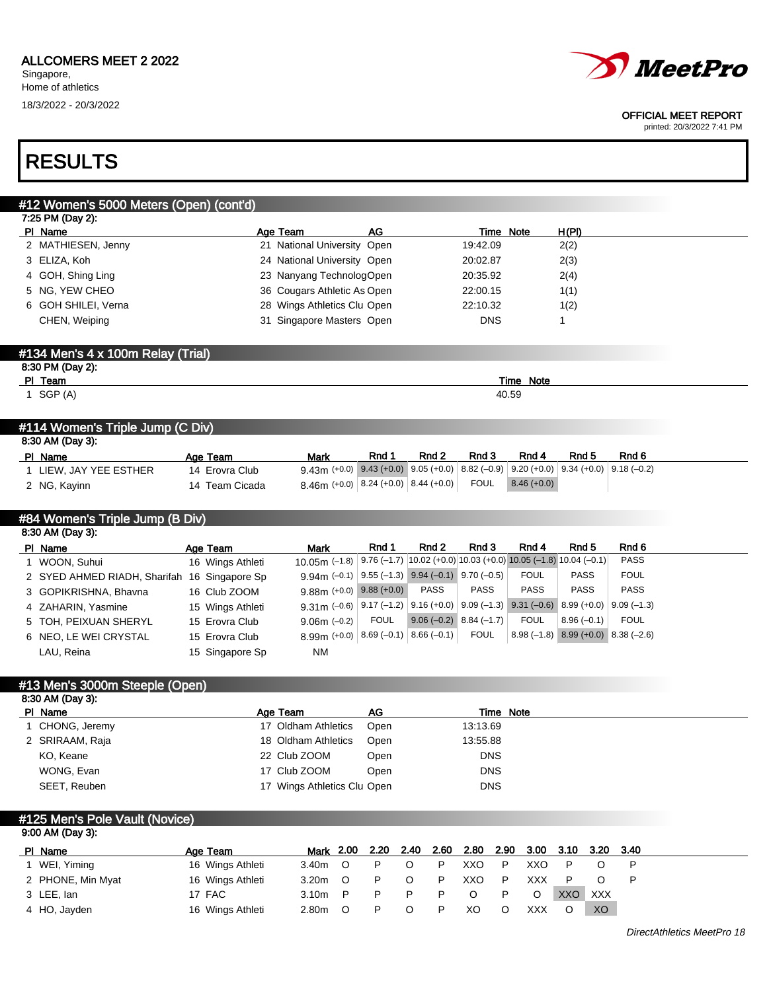

#### OFFICIAL MEET REPORT

printed: 20/3/2022 7:41 PM

## RESULTS

## #12 Women's 5000 Meters (Open) (cont'd)

| 7:25 PM (Day 2):    |                             |            |       |  |  |  |  |  |  |  |
|---------------------|-----------------------------|------------|-------|--|--|--|--|--|--|--|
| PI Name             | АG<br>Age Team              | Time Note  | H(PI) |  |  |  |  |  |  |  |
| 2 MATHIESEN, Jenny  | 21 National University Open | 19:42.09   | 2(2)  |  |  |  |  |  |  |  |
| 3 ELIZA, Koh        | 24 National University Open | 20:02.87   | 2(3)  |  |  |  |  |  |  |  |
| 4 GOH, Shing Ling   | 23 Nanyang TechnologOpen    | 20:35.92   | 2(4)  |  |  |  |  |  |  |  |
| 5 NG, YEW CHEO      | 36 Cougars Athletic As Open | 22:00.15   | 1(1)  |  |  |  |  |  |  |  |
| 6 GOH SHILEI, Verna | 28 Wings Athletics Clu Open | 22:10.32   | 1(2)  |  |  |  |  |  |  |  |
| CHEN, Weiping       | 31 Singapore Masters Open   | <b>DNS</b> |       |  |  |  |  |  |  |  |
|                     |                             |            |       |  |  |  |  |  |  |  |

## #134 Men's 4 x 100m Relay (Trial) 8:30 PM (Day 2): PI Team Time Note 1 SGP (A)  $40.59$

#### #114 Women's Triple Jump (C Div)

| 8:30 AM (Day 3): |                        |                |                                                                                             |       |       |       |               |       |       |  |  |  |  |
|------------------|------------------------|----------------|---------------------------------------------------------------------------------------------|-------|-------|-------|---------------|-------|-------|--|--|--|--|
|                  | PI Name                | Age Team       | Mark                                                                                        | Rnd 1 | Rnd 2 | Rnd 3 | Rnd 4         | Rnd 5 | Rnd 6 |  |  |  |  |
|                  | L LIEW. JAY YEE ESTHER | 14 Erovra Club | $9.43$ m (+0.0) $9.43$ (+0.0) $9.05$ (+0.0) 8.82 (-0.9) 9.20 (+0.0) 9.34 (+0.0) 9.18 (-0.2) |       |       |       |               |       |       |  |  |  |  |
|                  | 2 NG, Kayinn           | 14 Team Cicada | $8.46$ m (+0.0) $\mid$ 8.24 (+0.0) $\mid$ 8.44 (+0.0) $\mid$ FOUL                           |       |       |       | $8.46 (+0.0)$ |       |       |  |  |  |  |

## #84 Women's Triple Jump (B Div)

| 8:30 AM (Day 3):                             |  |                  |                                                                                                                                                                                           |             |                           |             |             |                                        |             |  |  |  |
|----------------------------------------------|--|------------------|-------------------------------------------------------------------------------------------------------------------------------------------------------------------------------------------|-------------|---------------------------|-------------|-------------|----------------------------------------|-------------|--|--|--|
| PI Name                                      |  | Age Team         | Mark                                                                                                                                                                                      | Rnd 1       | Rnd 2                     | Rnd 3       | Rnd 4       | Rnd 5                                  | Rnd 6       |  |  |  |
| 1 WOON, Suhui                                |  | 16 Wings Athleti | 10.05 (-1.8)   9.76 (-1.7)   10.02 (+0.0)   10.03 (+0.0) 10.05 (-1.8) 10.04 (-0.1)                                                                                                        |             |                           |             |             |                                        | <b>PASS</b> |  |  |  |
| 2 SYED AHMED RIADH, Sharifah 16 Singapore Sp |  |                  | $9.94$ m (-0.1) $\left  9.55 (-1.3) \right  9.94 (-0.1) 9.70 (-0.5)$                                                                                                                      |             |                           |             | FOUL        | <b>PASS</b>                            | <b>FOUL</b> |  |  |  |
| 3 GOPIKRISHNA, Bhavna                        |  | 16 Club ZOOM     | $9.88$ m (+0.0) $9.88$ (+0.0)                                                                                                                                                             |             | <b>PASS</b>               | <b>PASS</b> | <b>PASS</b> | <b>PASS</b>                            | <b>PASS</b> |  |  |  |
| 4 ZAHARIN, Yasmine                           |  | 15 Wings Athleti | $9.31\,\text{m}$ (-0.6) $\left  9.17 \left( -1.2 \right) \right  9.16$ (+0.0) $\left  9.09 \left( -1.3 \right) \right  9.31$ (-0.6) $\left  8.99 \left( +0.0 \right) \right  9.09$ (-1.3) |             |                           |             |             |                                        |             |  |  |  |
| 5 TOH, PEIXUAN SHERYL                        |  | 15 Erovra Club   | $9.06m (-0.2)$                                                                                                                                                                            | <b>FOUL</b> | $9.06 (-0.2) 8.84 (-1.7)$ |             | <b>FOUL</b> | $8.96(-0.1)$                           | <b>FOUL</b> |  |  |  |
| 6 NEO. LE WEI CRYSTAL                        |  | 15 Erovra Club   | $8.99$ m (+0.0) $  8.69$ (-0.1) $  8.66$ (-0.1) $ $                                                                                                                                       |             |                           | <b>FOUL</b> |             | $8.98(-1.8)$ $8.99(+0.0)$ $8.38(-2.6)$ |             |  |  |  |
| LAU, Reina                                   |  | 15 Singapore Sp  | <b>NM</b>                                                                                                                                                                                 |             |                           |             |             |                                        |             |  |  |  |

#### #13 Men's 3000m Steeple (Open) 8:30 AM (Day 3):

| $0.00$ And $0.00$ |                             |      |            |
|-------------------|-----------------------------|------|------------|
| PI Name           | Age Team                    | AG   | Time Note  |
| 1 CHONG, Jeremy   | 17 Oldham Athletics         | Open | 13:13.69   |
| 2 SRIRAAM, Raja   | 18 Oldham Athletics         | Open | 13:55.88   |
| KO, Keane         | 22 Club ZOOM                | Open | <b>DNS</b> |
| WONG, Evan        | 17 Club ZOOM                | Open | <b>DNS</b> |
| SEET, Reuben      | 17 Wings Athletics Clu Open |      | <b>DNS</b> |

#### #125 Men's Pole Vault (Novice) 9:00 AM (Day 3):

| PI Name           | Age Team         | Mark 2.00 2.20 2.40 |          |   | 2.60 | 2.80 | 2.90 | 3.00 3.10 3.20 3.40 |            |     |  |
|-------------------|------------------|---------------------|----------|---|------|------|------|---------------------|------------|-----|--|
| 1 WEI, Yiming     | 16 Wings Athleti | 3.40m               | - റ      |   | D    | XXO  | P    | XXO                 |            |     |  |
| 2 PHONE, Min Myat | 16 Wings Athleti | 3.20m               | റ        |   | D    | XXO  | P    | XXX.                |            |     |  |
| 3 LEE, lan        | 17 FAC           | 3.10 <sub>m</sub>   | <b>P</b> | P |      |      | P    |                     | <b>XXO</b> | XXX |  |
| 4 HO, Jayden      | 16 Wings Athleti | 2.80m               | ∩        | P | D    | XO   |      | XXX                 |            | XO. |  |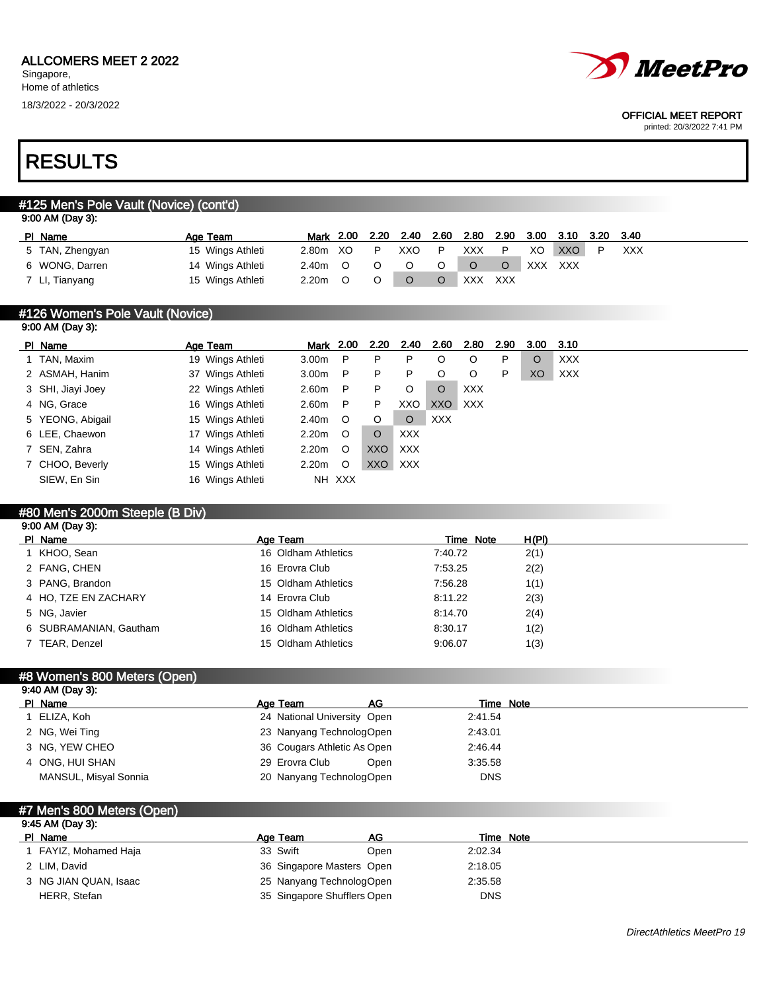

#### OFFICIAL MEET REPORT

printed: 20/3/2022 7:41 PM

## RESULTS

## #125 Men's Pole Vault (Novice) (cont'd)

| 9:00 AM (Day 3): |  |
|------------------|--|
|------------------|--|

| PI Name         | Age Team         | Mark 2.00 | 2.20 | 2.40 | 2.60 | 2.80       |     | 2.90 3.00 | 3.10 | 3.20 3.40 |            |
|-----------------|------------------|-----------|------|------|------|------------|-----|-----------|------|-----------|------------|
| 5 TAN, Zhengyan | 15 Wings Athleti | 2.80m XO  | P    | XXO  | P    | XXX        |     | XO        | XXO  |           | <b>XXX</b> |
| 6 WONG, Darren  | 14 Wings Athleti | 2.40m     |      |      |      |            |     | XXX.      | XXX  |           |            |
| 7 LI, Tianyang  | 15 Wings Athleti | 2.20m     |      |      |      | <b>XXX</b> | XXX |           |      |           |            |

#### #126 Women's Pole Vault (Novice) 9:00 AM (Day 3):

| PI Name           | Age Team         | Mark 2.00         |         | 2.20  | 2.40       | 2.60       | 2.80       | 2.90 | 3.00 | - 3.10     |
|-------------------|------------------|-------------------|---------|-------|------------|------------|------------|------|------|------------|
| 1 TAN, Maxim      | 19 Wings Athleti | 3.00 <sub>m</sub> | P       | P     | P          |            | O          | P    | O    | <b>XXX</b> |
| 2 ASMAH, Hanim    | 37 Wings Athleti | 3.00 <sub>m</sub> | P       | P     | P          |            | O          | P    | XO   | <b>XXX</b> |
| 3 SHI, Jiayi Joey | 22 Wings Athleti | 2.60m             | P       | P     | O          | $\circ$    | <b>XXX</b> |      |      |            |
| 4 NG, Grace       | 16 Wings Athleti | 2.60m             | P       | P     | XXO        | XXO        | <b>XXX</b> |      |      |            |
| 5 YEONG, Abigail  | 15 Wings Athleti | 2.40m             | $\circ$ | O     | $\circ$    | <b>XXX</b> |            |      |      |            |
| 6 LEE, Chaewon    | 17 Wings Athleti | 2.20 <sub>m</sub> | $\circ$ | O     | <b>XXX</b> |            |            |      |      |            |
| 7 SEN, Zahra      | 14 Wings Athleti | 2.20 <sub>m</sub> | $\circ$ | XXO   | XXX        |            |            |      |      |            |
| 7 CHOO, Beverly   | 15 Wings Athleti | 2.20m             | O       | XXO I | <b>XXX</b> |            |            |      |      |            |
| SIEW, En Sin      | 16 Wings Athleti |                   | NH XXX  |       |            |            |            |      |      |            |

## #80 Men's 2000m Steeple (B Div)

| $9:00$ AM (Day 3):     |                     |           |       |  |
|------------------------|---------------------|-----------|-------|--|
| PI Name                | Age Team            | Time Note | H(PI) |  |
| KHOO, Sean             | 16 Oldham Athletics | 7:40.72   | 2(1)  |  |
| 2 FANG, CHEN           | 16 Erovra Club      | 7:53.25   | 2(2)  |  |
| 3 PANG, Brandon        | 15 Oldham Athletics | 7:56.28   | 1(1)  |  |
| 4 HO. TZE EN ZACHARY   | 14 Erovra Club      | 8:11.22   | 2(3)  |  |
| 5 NG, Javier           | 15 Oldham Athletics | 8:14.70   | 2(4)  |  |
| 6 SUBRAMANIAN, Gautham | 16 Oldham Athletics | 8:30.17   | 1(2)  |  |
| 7 TEAR, Denzel         | 15 Oldham Athletics | 9:06.07   | 1(3)  |  |

| #8 Women's 800 Meters (Open) |                             |            |  |  |  |  |  |  |  |
|------------------------------|-----------------------------|------------|--|--|--|--|--|--|--|
| 9:40 AM (Day 3):             |                             |            |  |  |  |  |  |  |  |
| PI Name                      | AG<br>Age Team              | Time Note  |  |  |  |  |  |  |  |
| 1 ELIZA, Koh                 | 24 National University Open | 2:41.54    |  |  |  |  |  |  |  |
| 2 NG, Wei Ting               | 23 Nanyang TechnologOpen    | 2:43.01    |  |  |  |  |  |  |  |
| 3 NG. YEW CHEO               | 36 Cougars Athletic As Open | 2:46.44    |  |  |  |  |  |  |  |
| 4 ONG. HUI SHAN              | 29 Erovra Club<br>Open      | 3:35.58    |  |  |  |  |  |  |  |
| MANSUL, Misyal Sonnia        | 20 Nanyang TechnologOpen    | <b>DNS</b> |  |  |  |  |  |  |  |

## #7 Men's 800 Meters (Open) 9:45 AM (Day 3):

| PI Name               | AG<br>Age Team              | Time Note  |  |
|-----------------------|-----------------------------|------------|--|
| FAYIZ, Mohamed Haja   | 33 Swift<br>Open            | 2:02.34    |  |
| 2 LIM. David          | 36 Singapore Masters Open   | 2:18.05    |  |
| 3 NG JIAN QUAN, Isaac | 25 Nanyang TechnologOpen    | 2:35.58    |  |
| HERR, Stefan          | 35 Singapore Shufflers Open | <b>DNS</b> |  |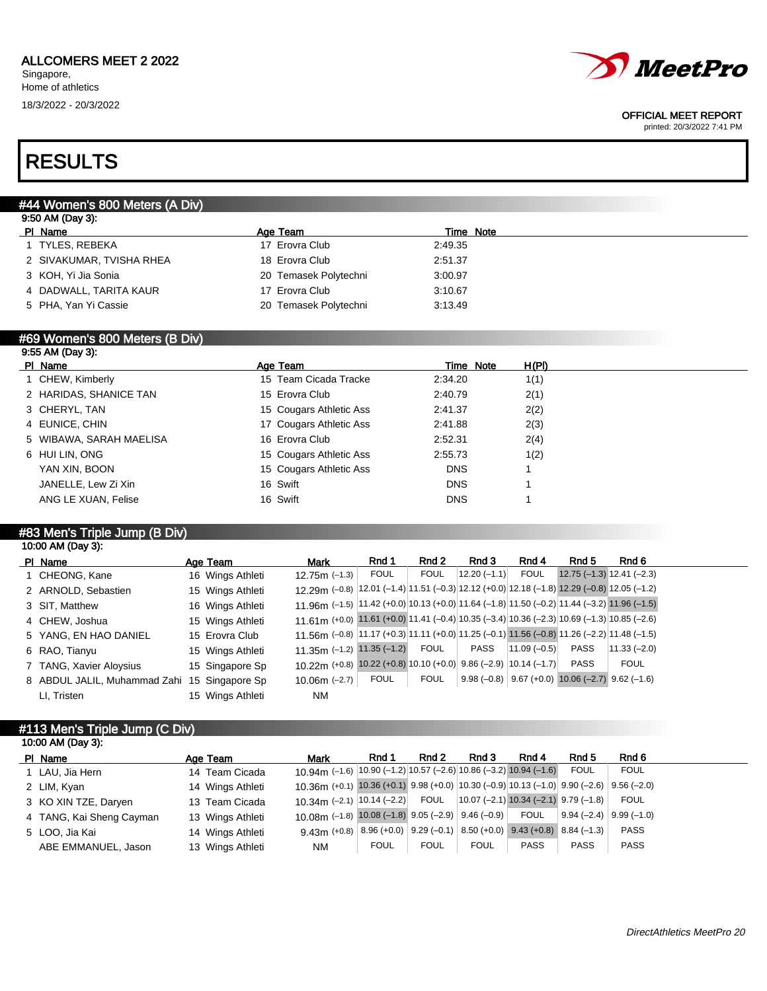

#### OFFICIAL MEET REPORT

printed: 20/3/2022 7:41 PM

## RESULTS

## #44 Women's 800 Meters (A Div)

| 9:50 AM (Day 3):         |                       |           |  |
|--------------------------|-----------------------|-----------|--|
| PI Name                  | Age Team              | Time Note |  |
| 1 TYLES, REBEKA          | 17 Erovra Club        | 2:49.35   |  |
| 2 SIVAKUMAR, TVISHA RHEA | 18 Erovra Club        | 2:51.37   |  |
| 3 KOH, Yi Jia Sonia      | 20 Temasek Polytechni | 3:00.97   |  |
| 4 DADWALL, TARITA KAUR   | 17 Erovra Club        | 3:10.67   |  |
| 5 PHA, Yan Yi Cassie     | 20 Temasek Polytechni | 3:13.49   |  |
|                          |                       |           |  |

#### #69 Women's 800 Meters (B Div) 9:55 AM (Day 3):

| 0.001111100100101       |                         |            |       |
|-------------------------|-------------------------|------------|-------|
| PI Name                 | Age Team                | Time Note  | H(PI) |
| 1 CHEW, Kimberly        | 15 Team Cicada Tracke   | 2:34.20    | 1(1)  |
| 2 HARIDAS, SHANICE TAN  | 15 Erovra Club          | 2:40.79    | 2(1)  |
| 3 CHERYL, TAN           | 15 Cougars Athletic Ass | 2:41.37    | 2(2)  |
| 4 EUNICE, CHIN          | 17 Cougars Athletic Ass | 2:41.88    | 2(3)  |
| 5 WIBAWA, SARAH MAELISA | 16 Erovra Club          | 2:52.31    | 2(4)  |
| 6 HUI LIN, ONG          | 15 Cougars Athletic Ass | 2:55.73    | 1(2)  |
| YAN XIN, BOON           | 15 Cougars Athletic Ass | <b>DNS</b> |       |
| JANELLE, Lew Zi Xin     | 16 Swift                | <b>DNS</b> |       |
| ANG LE XUAN, Felise     | 16 Swift                | <b>DNS</b> |       |
|                         |                         |            |       |

### #83 Men's Triple Jump (B Div)

10:00 AM (Day 3):

| PI Name                                      | Age Team         | <b>Mark</b>                                                                                 | Rnd 1       | Rnd 2       | Rnd 3           | Rnd 4           | Rnd 5                                                  | Rnd 6         |
|----------------------------------------------|------------------|---------------------------------------------------------------------------------------------|-------------|-------------|-----------------|-----------------|--------------------------------------------------------|---------------|
| 1 CHEONG, Kane                               | 16 Wings Athleti | $12.75m$ (-1.3)                                                                             | <b>FOUL</b> | <b>FOUL</b> | $ 12.20(-1.1) $ | <b>FOUL</b>     | $12.75(-1.3) 12.41(-2.3)$                              |               |
| 2 ARNOLD, Sebastien                          | 15 Wings Athleti | 12.29 (-0.8) 12.01 (-1.4) 11.51 (-0.3) 12.12 (+0.0) 12.18 (-1.8) 12.29 (-0.8) 12.05 (-1.2)  |             |             |                 |                 |                                                        |               |
| 3 SIT, Matthew                               | 16 Wings Athleti | 11.96 (-1.5) $ 11.42 + 0.0 10.13 + 0.0 11.64 - 1.8 11.50 - 0.2 11.44 - 3.2 11.96 - 1.5 $    |             |             |                 |                 |                                                        |               |
| 4 CHEW, Joshua                               | 15 Wings Athleti | 11.61 (+0.0) 11.61 (+0.0) 11.41 (-0.4) 10.35 (-3.4) 10.36 (-2.3) 10.69 (-1.3) 10.85 (-2.6)  |             |             |                 |                 |                                                        |               |
| 5 YANG, EN HAO DANIEL                        | 15 Erovra Club   | 11.56m (-0.8) 11.17 (+0.3) 11.11 (+0.0) 11.25 (-0.1) 11.56 (-0.8) 11.26 (-2.2) 11.48 (-1.5) |             |             |                 |                 |                                                        |               |
| 6 RAO, Tianyu                                | 15 Wings Athleti | 11.35m $(-1.2)$ 11.35 $(-1.2)$                                                              |             | FOUL        | PASS            | $ 11.09(-0.5) $ | <b>PASS</b>                                            | $11.33(-2.0)$ |
| 7 TANG, Xavier Aloysius                      | 15 Singapore Sp  | 10.22m (+0.8) $\overline{10.22}$ (+0.8) 10.10 (+0.0) 9.86 (-2.9) 10.14 (-1.7)               |             |             |                 |                 | <b>PASS</b>                                            | <b>FOUL</b>   |
| 8 ABDUL JALIL, Muhammad Zahi 15 Singapore Sp |                  | $10.06m$ (-2.7)                                                                             | FOUL        | <b>FOUL</b> |                 |                 | $9.98 (-0.8)$ $9.67 (+0.0)$ 10.06 (-2.7) $9.62 (-1.6)$ |               |
| LI, Tristen                                  | 15 Wings Athleti | <b>NM</b>                                                                                   |             |             |                 |                 |                                                        |               |

#### #113 Men's Triple Jump (C Div) 10:00 AM (Day 3):

| $10.00$ And $100$ $0$ .  |                  |                                                                                                                |             |             |             |             |                                         |             |  |
|--------------------------|------------------|----------------------------------------------------------------------------------------------------------------|-------------|-------------|-------------|-------------|-----------------------------------------|-------------|--|
| PI Name                  | Age Team         | Mark                                                                                                           | Rnd 1       | Rnd 2       | Rnd 3       | Rnd 4       | Rnd 5                                   | Rnd 6       |  |
| 1 LAU, Jia Hern          | 14 Team Cicada   | 10.94 (-1.6) $ 10.90$ (-1.2) $ 10.57$ (-2.6) $ 10.86$ (-3.2) $ 10.94$ (-1.6)                                   |             |             |             |             | <b>FOUL</b>                             | <b>FOUL</b> |  |
| 2 LIM, Kyan              | 14 Wings Athleti | 10.36m (+0.1) 10.36 (+0.1) 9.98 (+0.0) 10.30 (-0.9) 10.13 (-1.0) 9.90 (-2.6) 9.56 (-2.0)                       |             |             |             |             |                                         |             |  |
| 3 KO XIN TZE, Daryen     | 13 Team Cicada   | 10.34m (-2.1)   10.14 (-2.2) FOUL                                                                              |             |             |             |             | $10.07$ (-2.1) 10.34 (-2.1) 9.79 (-1.8) | <b>FOUL</b> |  |
| 4 TANG, Kai Sheng Cayman | 13 Wings Athleti | 10.08m $(-1.8)$ 10.08 $(-1.8)$ 9.05 $(-2.9)$ 9.46 $(-0.9)$ FOUL                                                |             |             |             |             | $9.94 (-2.4) 9.99 (-1.0)$               |             |  |
| 5 LOO, Jia Kai           | 14 Wings Athleti | 9.43m (+0.8) $\big  8.96 (+0.0) \big  9.29 (-0.1) \big  8.50 (+0.0) \big  9.43 (+0.8) \big  8.84 (-1.3) \big $ |             |             |             |             |                                         | <b>PASS</b> |  |
| ABE EMMANUEL, Jason      | 13 Wings Athleti | NM.                                                                                                            | <b>FOUL</b> | <b>FOUL</b> | <b>FOUL</b> | <b>PASS</b> | <b>PASS</b>                             | <b>PASS</b> |  |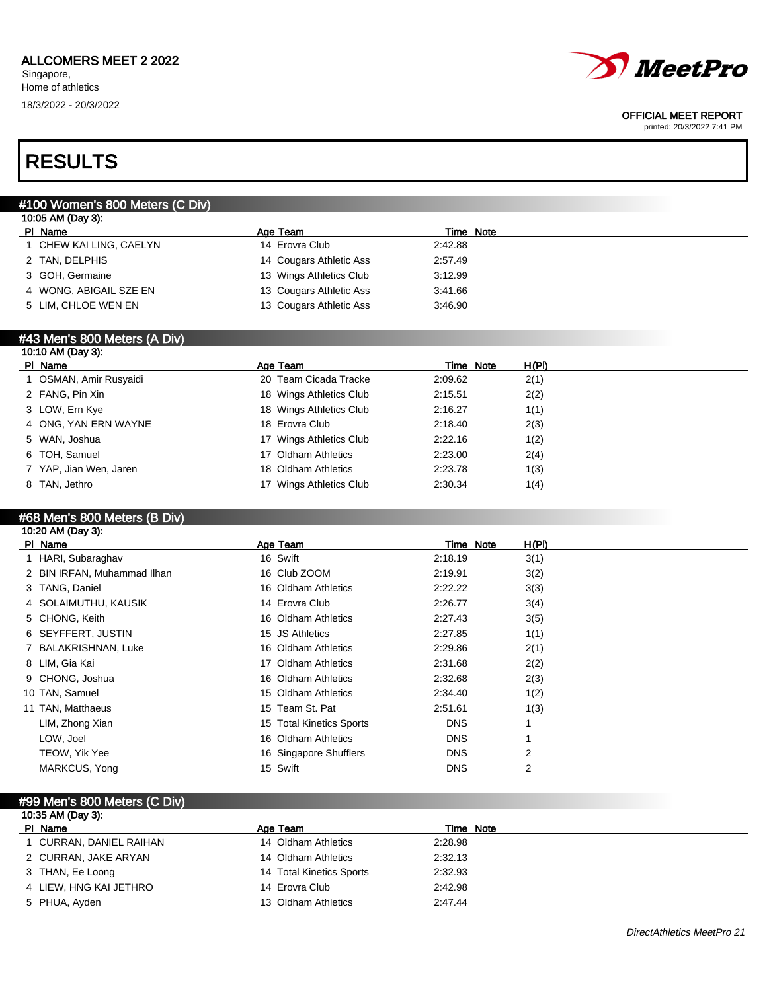

#### OFFICIAL MEET REPORT

printed: 20/3/2022 7:41 PM

## RESULTS

### #100 Women's 800 Meters (C Div)

| PI Name                 | Age Team                | Time Note |  |
|-------------------------|-------------------------|-----------|--|
| I CHEW KAI LING, CAELYN | 14 Erovra Club          | 2:42.88   |  |
| 2 TAN, DELPHIS          | 14 Cougars Athletic Ass | 2:57.49   |  |
| 3 GOH, Germaine         | 13 Wings Athletics Club | 3.12.99   |  |
| 4 WONG, ABIGAIL SZE EN  | 13 Cougars Athletic Ass | 3:41.66   |  |
| 5 LIM, CHLOE WEN EN     | 13 Cougars Athletic Ass | 3:46.90   |  |

### #43 Men's 800 Meters (A Div)

| 10:10 AM (Day 3):      |                         |           |       |
|------------------------|-------------------------|-----------|-------|
| PI Name                | Age Team                | Time Note | H(PI) |
| OSMAN, Amir Rusyaidi   | 20 Team Cicada Tracke   | 2:09.62   | 2(1)  |
| 2 FANG, Pin Xin        | 18 Wings Athletics Club | 2:15.51   | 2(2)  |
| 3 LOW, Ern Kye         | 18 Wings Athletics Club | 2:16.27   | 1(1)  |
| 4 ONG, YAN ERN WAYNE   | 18 Erovra Club          | 2:18.40   | 2(3)  |
| 5 WAN, Joshua          | 17 Wings Athletics Club | 2:22.16   | 1(2)  |
| 6 TOH, Samuel          | 17 Oldham Athletics     | 2:23.00   | 2(4)  |
| 7 YAP, Jian Wen, Jaren | 18 Oldham Athletics     | 2:23.78   | 1(3)  |
| 8 TAN, Jethro          | 17 Wings Athletics Club | 2:30.34   | 1(4)  |
|                        |                         |           |       |

#### #68 Men's 800 Meters (B Div) 10:20 AM (Day 3):

| PI Name                     | Age Team                 | Time Note  | H(PI) |
|-----------------------------|--------------------------|------------|-------|
| 1 HARI, Subaraghav          | 16 Swift                 | 2:18.19    | 3(1)  |
| 2 BIN IRFAN, Muhammad Ilhan | 16 Club ZOOM             | 2:19.91    | 3(2)  |
| 3 TANG, Daniel              | 16 Oldham Athletics      | 2:22.22    | 3(3)  |
| 4 SOLAIMUTHU, KAUSIK        | 14 Erovra Club           | 2:26.77    | 3(4)  |
| 5 CHONG, Keith              | 16 Oldham Athletics      | 2:27.43    | 3(5)  |
| 6 SEYFFERT, JUSTIN          | 15 JS Athletics          | 2:27.85    | 1(1)  |
| 7 BALAKRISHNAN, Luke        | 16 Oldham Athletics      | 2:29.86    | 2(1)  |
| 8 LIM, Gia Kai              | 17 Oldham Athletics      | 2:31.68    | 2(2)  |
| 9 CHONG, Joshua             | 16 Oldham Athletics      | 2:32.68    | 2(3)  |
| 10 TAN, Samuel              | 15 Oldham Athletics      | 2:34.40    | 1(2)  |
| 11 TAN, Matthaeus           | 15 Team St. Pat          | 2:51.61    | 1(3)  |
| LIM, Zhong Xian             | 15 Total Kinetics Sports | <b>DNS</b> |       |
| LOW, Joel                   | 16 Oldham Athletics      | <b>DNS</b> |       |
| TEOW, Yik Yee               | 16 Singapore Shufflers   | <b>DNS</b> | 2     |
| MARKCUS, Yong               | 15 Swift                 | <b>DNS</b> | 2     |
|                             |                          |            |       |

#### #99 Men's 800 Meters (C Div)

| 10:35 AM (Day 3):      |                          |           |  |
|------------------------|--------------------------|-----------|--|
| PI Name                | Age Team                 | Time Note |  |
| CURRAN, DANIEL RAIHAN  | 14 Oldham Athletics      | 2:28.98   |  |
| 2 CURRAN, JAKE ARYAN   | 14 Oldham Athletics      | 2:32.13   |  |
| 3 THAN, Ee Loong       | 14 Total Kinetics Sports | 2:32.93   |  |
| 4 LIEW, HNG KAI JETHRO | 14 Erovra Club           | 2:42.98   |  |
| 5 PHUA, Ayden          | 13 Oldham Athletics      | 2:47.44   |  |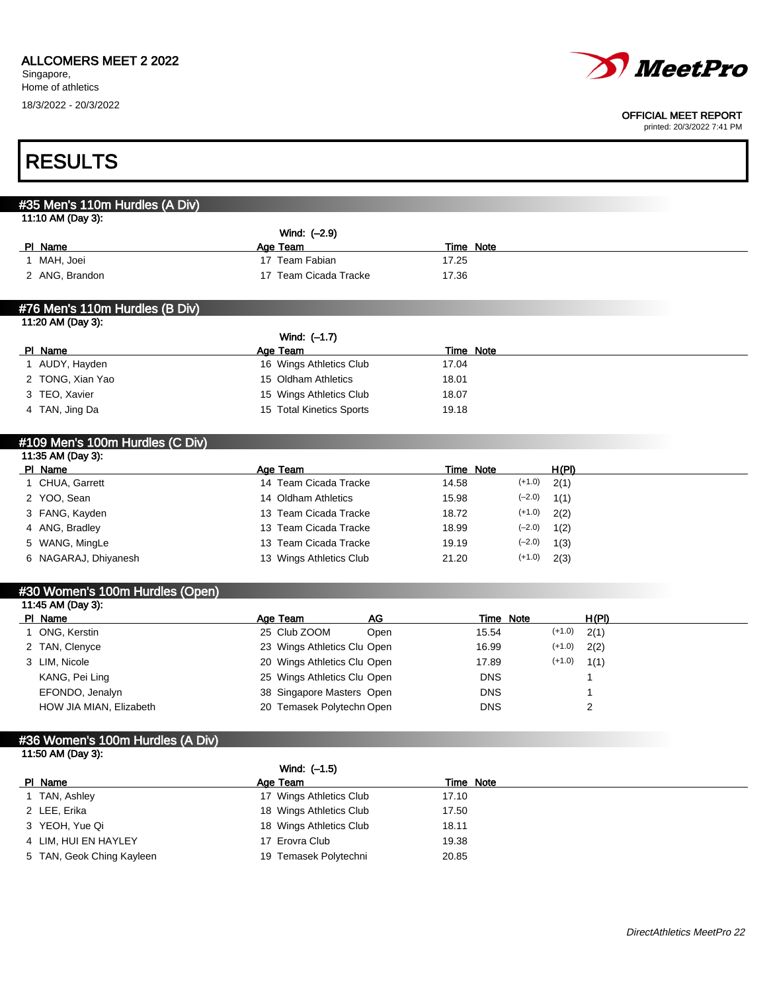### ALLCOMERS MEET 2 2022

Singapore, Home of athletics 18/3/2022 - 20/3/2022



#### OFFICIAL MEET REPORT

| <b>RESULTS</b>                   |                             |                  |                  |          |              |  |
|----------------------------------|-----------------------------|------------------|------------------|----------|--------------|--|
|                                  |                             |                  |                  |          |              |  |
| #35 Men's 110m Hurdles (A Div)   |                             |                  |                  |          |              |  |
| 11:10 AM (Day 3):                |                             |                  |                  |          |              |  |
|                                  | Wind: (-2.9)                |                  |                  |          |              |  |
| PI Name                          | Age Team                    | <b>Time Note</b> |                  |          |              |  |
| 1 MAH, Joei                      | 17 Team Fabian              | 17.25            |                  |          |              |  |
| 2 ANG, Brandon                   | 17 Team Cicada Tracke       | 17.36            |                  |          |              |  |
| #76 Men's 110m Hurdles (B Div)   |                             |                  |                  |          |              |  |
| 11:20 AM (Day 3):                |                             |                  |                  |          |              |  |
|                                  | Wind: $(-1.7)$              |                  |                  |          |              |  |
| PI Name                          | Age Team                    | <b>Time Note</b> |                  |          |              |  |
| 1 AUDY, Hayden                   | 16 Wings Athletics Club     | 17.04            |                  |          |              |  |
| 2 TONG, Xian Yao                 | 15 Oldham Athletics         | 18.01            |                  |          |              |  |
| 3 TEO, Xavier                    | 15 Wings Athletics Club     | 18.07            |                  |          |              |  |
| 4 TAN, Jing Da                   | 15 Total Kinetics Sports    | 19.18            |                  |          |              |  |
| #109 Men's 100m Hurdles (C Div)  |                             |                  |                  |          |              |  |
| 11:35 AM (Day 3):                |                             |                  |                  |          |              |  |
| PI Name                          | Age Team                    | <b>Time Note</b> |                  | H(PI)    |              |  |
| 1 CHUA, Garrett                  | 14 Team Cicada Tracke       | 14.58            | $(+1.0)$         | 2(1)     |              |  |
| 2 YOO, Sean                      | 14 Oldham Athletics         | 15.98            | $(-2.0)$         | 1(1)     |              |  |
| 3 FANG, Kayden                   | 13 Team Cicada Tracke       | 18.72            | $(+1.0)$         | 2(2)     |              |  |
| 4 ANG, Bradley                   | 13 Team Cicada Tracke       | 18.99            | $(-2.0)$         | 1(2)     |              |  |
| 5 WANG, MingLe                   | 13 Team Cicada Tracke       | 19.19            | $(-2.0)$         | 1(3)     |              |  |
| 6 NAGARAJ, Dhiyanesh             | 13 Wings Athletics Club     | 21.20            | $(+1.0)$         | 2(3)     |              |  |
| #30 Women's 100m Hurdles (Open)  |                             |                  |                  |          |              |  |
| 11:45 AM (Day 3):                |                             |                  |                  |          |              |  |
| PI Name                          | <b>AG</b><br>Age Team       |                  | <b>Time Note</b> |          | <u>H(PI)</u> |  |
| 1 ONG, Kerstin                   | 25 Club ZOOM<br>Open        |                  | 15.54            | $(+1.0)$ | 2(1)         |  |
| 2 TAN, Clenyce                   | 23 Wings Athletics Clu Open |                  | 16.99            | $(+1.0)$ | 2(2)         |  |
| 3 LIM, Nicole                    | 20 Wings Athletics Clu Open |                  | 17.89            | $(+1.0)$ | 1(1)         |  |
| KANG, Pei Ling                   | 25 Wings Athletics Clu Open |                  | <b>DNS</b>       |          | 1            |  |
| EFONDO, Jenalyn                  | 38 Singapore Masters Open   |                  | <b>DNS</b>       |          |              |  |
| HOW JIA MIAN, Elizabeth          | 20 Temasek Polytechn Open   |                  | <b>DNS</b>       |          | っ            |  |
| #36 Women's 100m Hurdles (A Div) |                             |                  |                  |          |              |  |
| 11:50 AM (Day 3):                |                             |                  |                  |          |              |  |
|                                  | Wind: (-1.5)                |                  |                  |          |              |  |
| PI Name                          | Age Team                    | Time Note        |                  |          |              |  |
| 1 TAN, Ashley                    | 17 Wings Athletics Club     | 17.10            |                  |          |              |  |
|                                  |                             | 17.50            |                  |          |              |  |
| 2 LEE, Erika                     | 18 Wings Athletics Club     |                  |                  |          |              |  |
| 3 YEOH, Yue Qi                   | 18 Wings Athletics Club     | 18.11            |                  |          |              |  |
| 4 LIM, HUI EN HAYLEY             | 17 Erovra Club              | 19.38            |                  |          |              |  |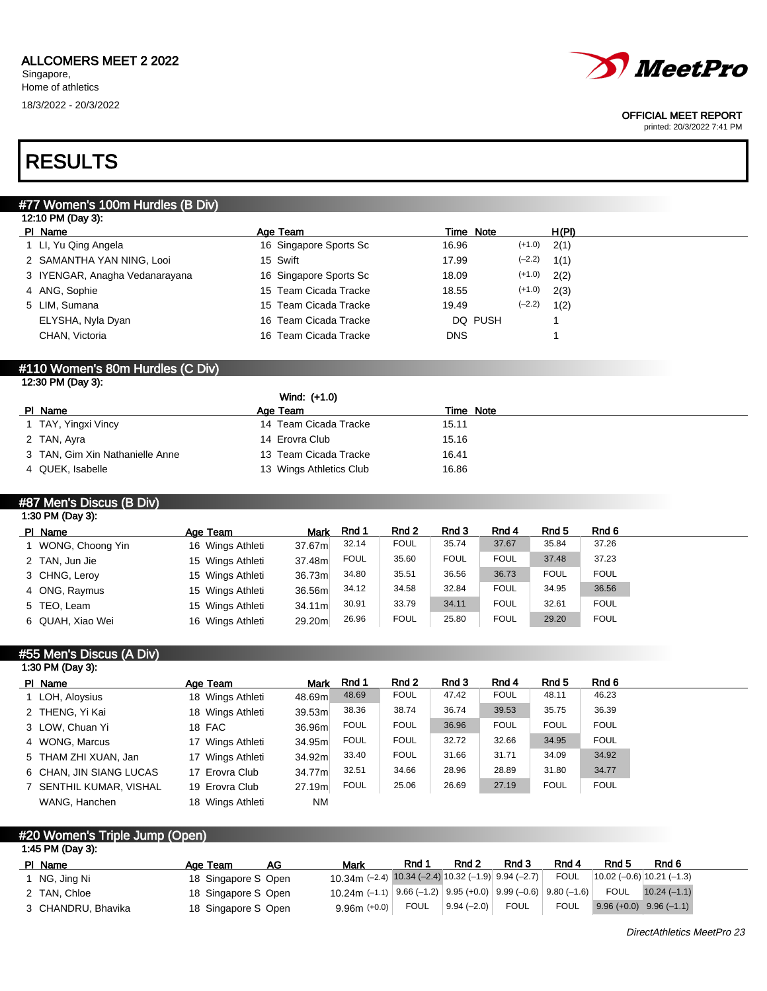

#### OFFICIAL MEET REPORT

printed: 20/3/2022 7:41 PM

## RESULTS

### #77 Women's 100m Hurdles (B Div)

| 12:10 PM (Day 3):              |                        |                   |       |
|--------------------------------|------------------------|-------------------|-------|
| PI Name                        | Age Team               | Time Note         | H(PI) |
| 1 Ll, Yu Qing Angela           | 16 Singapore Sports Sc | $(+1.0)$<br>16.96 | 2(1)  |
| 2 SAMANTHA YAN NING, Looi      | 15 Swift               | $(-2.2)$<br>17.99 | 1(1)  |
| 3 IYENGAR, Anagha Vedanarayana | 16 Singapore Sports Sc | $(+1.0)$<br>18.09 | 2(2)  |
| 4 ANG, Sophie                  | 15 Team Cicada Tracke  | $(+1.0)$<br>18.55 | 2(3)  |
| 5 LIM, Sumana                  | 15 Team Cicada Tracke  | $(-2.2)$<br>19.49 | 1(2)  |
| ELYSHA, Nyla Dyan              | 16 Team Cicada Tracke  | DQ PUSH           |       |
| CHAN, Victoria                 | 16 Team Cicada Tracke  | <b>DNS</b>        |       |
|                                |                        |                   |       |

## #110 Women's 80m Hurdles (C Div)

| 12:30 PM (Day 3):               |                         |           |
|---------------------------------|-------------------------|-----------|
|                                 | Wind: (+1.0)            |           |
| PI Name                         | Age Team                | Time Note |
| 1 TAY, Yingxi Vincy             | 14 Team Cicada Tracke   | 15.11     |
| 2 TAN, Ayra                     | 14 Erovra Club          | 15.16     |
| 3 TAN, Gim Xin Nathanielle Anne | 13 Team Cicada Tracke   | 16.41     |
| 4 QUEK, Isabelle                | 13 Wings Athletics Club | 16.86     |

#### #87 Men's Discus (B Div) 1:30 PM (Day 3):

| PI Name            | Age Team         | <b>Mark</b> | Rnd 1       | Rnd 2       | Rnd 3       | Rnd 4       | Rnd 5       | Rnd 6       |
|--------------------|------------------|-------------|-------------|-------------|-------------|-------------|-------------|-------------|
| 1 WONG, Choong Yin | 16 Wings Athleti | 37.67m      | 32.14       | <b>FOUL</b> | 35.74       | 37.67       | 35.84       | 37.26       |
| 2 TAN, Jun Jie     | 15 Wings Athleti | 37.48m      | <b>FOUL</b> | 35.60       | <b>FOUL</b> | <b>FOUL</b> | 37.48       | 37.23       |
| 3 CHNG, Leroy      | 15 Wings Athleti | 36.73m      | 34.80       | 35.51       | 36.56       | 36.73       | <b>FOUL</b> | <b>FOUL</b> |
| 4 ONG, Raymus      | 15 Wings Athleti | 36.56m      | 34.12       | 34.58       | 32.84       | <b>FOUL</b> | 34.95       | 36.56       |
| 5 TEO, Leam        | 15 Wings Athleti | 34.11m      | 30.91       | 33.79       | 34.11       | <b>FOUL</b> | 32.61       | <b>FOUL</b> |
| 6 QUAH, Xiao Wei   | 16 Wings Athleti | 29.20m      | 26.96       | <b>FOUL</b> | 25.80       | <b>FOUL</b> | 29.20       | <b>FOUL</b> |

### #55 Men's Discus (A Div) 1:30 PM (Day 3):

| PI Name                 | Age Team         | <b>Mark</b> | Rnd 1       | Rnd 2       | Rnd 3 | Rnd 4       | Rnd 5       | Rnd 6       |
|-------------------------|------------------|-------------|-------------|-------------|-------|-------------|-------------|-------------|
| 1 LOH, Aloysius         | 18 Wings Athleti | 48.69m      | 48.69       | <b>FOUL</b> | 47.42 | <b>FOUL</b> | 48.11       | 46.23       |
| 2 THENG, Yi Kai         | 18 Wings Athleti | 39.53m      | 38.36       | 38.74       | 36.74 | 39.53       | 35.75       | 36.39       |
| 3 LOW, Chuan Yi         | 18 FAC           | 36.96m      | <b>FOUL</b> | <b>FOUL</b> | 36.96 | <b>FOUL</b> | <b>FOUL</b> | <b>FOUL</b> |
| 4 WONG, Marcus          | 17 Wings Athleti | 34.95m      | <b>FOUL</b> | <b>FOUL</b> | 32.72 | 32.66       | 34.95       | <b>FOUL</b> |
| 5 THAM ZHI XUAN, Jan    | 17 Wings Athleti | 34.92m      | 33.40       | <b>FOUL</b> | 31.66 | 31.71       | 34.09       | 34.92       |
| 6 CHAN, JIN SIANG LUCAS | 17 Erovra Club   | 34.77m      | 32.51       | 34.66       | 28.96 | 28.89       | 31.80       | 34.77       |
| 7 SENTHIL KUMAR, VISHAL | 19 Erovra Club   | 27.19m      | <b>FOUL</b> | 25.06       | 26.69 | 27.19       | <b>FOUL</b> | <b>FOUL</b> |
| WANG, Hanchen           | 18 Wings Athleti | <b>NM</b>   |             |             |       |             |             |             |

#### #20 Women's Triple Jump (Open) 1:45 PM (Day 3):

| PI Name            | Age Team            | AG | Mark                                                                                             | Rnd         | Rnd <sub>2</sub> | Rnd 3       | Rnd 4       | Rnd 5 | Rnd 6                       |  |
|--------------------|---------------------|----|--------------------------------------------------------------------------------------------------|-------------|------------------|-------------|-------------|-------|-----------------------------|--|
| NG, Jing Ni        | 18 Singapore S Open |    | 10.34m $(-2.4)$ 10.34 $(-2.4)$ 10.32 $(-1.9)$ 9.94 $(-2.7)$                                      |             |                  |             | <b>FOUL</b> |       | $ 10.02(-0.6) 10.21(-1.3) $ |  |
| 2 TAN, Chloe       | 18 Singapore S Open |    | 10.24m (-1.1) $\mid$ 9.66 (-1.2) $\mid$ 9.95 (+0.0) $\mid$ 9.99 (-0.6) $\mid$ 9.80 (-1.6) $\mid$ |             |                  |             |             | FOUL  | $10.24(-1.1)$               |  |
| 3 CHANDRU, Bhavika | 18 Singapore S Open |    | $9.96m (+0.0)$                                                                                   | <b>FOUL</b> | $9.94(-2.0)$     | <b>FOUL</b> | <b>FOUL</b> |       | $9.96 (+0.0)$ $9.96 (-1.1)$ |  |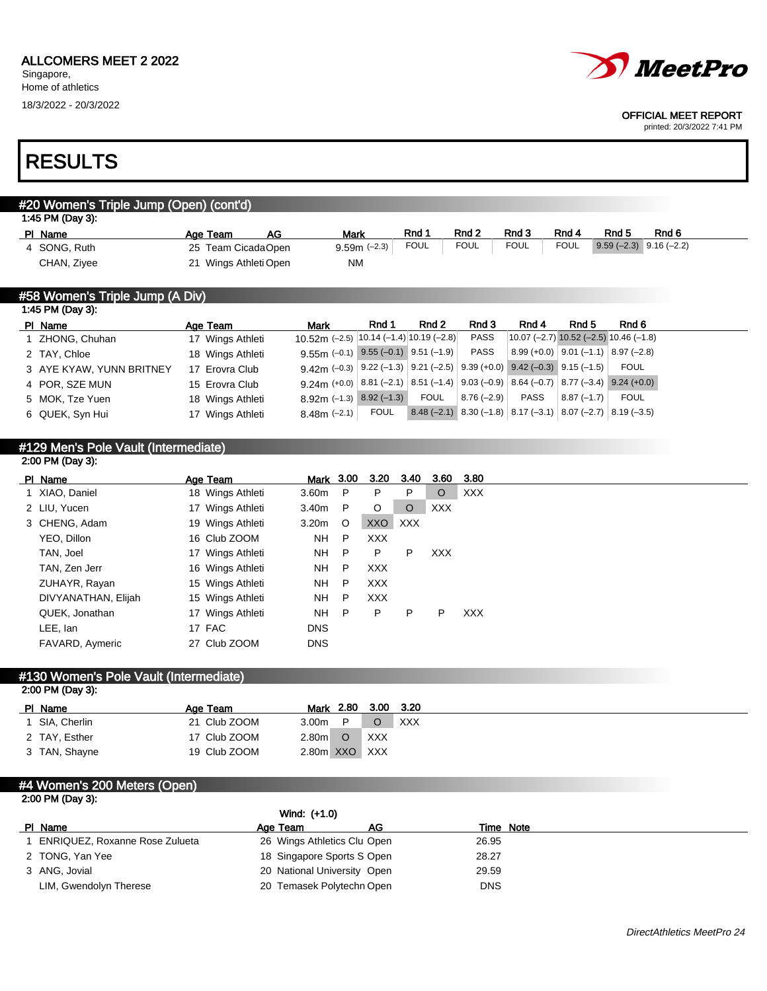

#### OFFICIAL MEET REPORT

printed: 20/3/2022 7:41 PM

## RESULTS

## #20 Women's Triple Jump (Open) (cont'd) 1:45 PM (Day 3): Pl Name Age Team AG Mark Rnd 1 Rnd 2 Rnd 3 Rnd 4 Rnd 5 Rnd 6 4 SONG, Ruth 25 Team CicadaOpen 9.59m (-2.3) FOUL FOUL FOUL FOUL 9.59 (-2.3) 9.16 (-2.2) CHAN, Ziyee 21 Wings Athleti Open NM

#### #58 Women's Triple Jump (A Div) 1:45 PM (Day 3):

| 1.701110400              |                  |                                                                                                                         |             |                                                                    |              |                                     |              |                                          |
|--------------------------|------------------|-------------------------------------------------------------------------------------------------------------------------|-------------|--------------------------------------------------------------------|--------------|-------------------------------------|--------------|------------------------------------------|
| PI Name                  | Age Team         | <b>Mark</b>                                                                                                             | Rnd 1       | Rnd 2                                                              | Rnd 3        | Rnd 4                               | Rnd 5        | Rnd 6                                    |
| 1 ZHONG, Chuhan          | 17 Wings Athleti | 10.52m (-2.5) $ 10.14$ (-1.4) $ 10.19$ (-2.8)                                                                           |             |                                                                    | PASS         |                                     |              | $10.07$ (-2.7) 10.52 (-2.5) 10.46 (-1.8) |
| 2 TAY, Chloe             | 18 Wings Athleti | $9.55m$ (-0.1) $9.55$ (-0.1) $9.51$ (-1.9)                                                                              |             |                                                                    | PASS         | $ 8.99(+0.0) 9.01(-1.1) 8.97(-2.8)$ |              |                                          |
| 3 AYE KYAW, YUNN BRITNEY | 17 Erovra Club   | 9.42m (-0.3) $\left  9.22 (-1.3) \right  9.21 (-2.5) \left  9.39 (+0.0) \right  9.42 (-0.3) \left  9.15 (-1.5) \right $ |             |                                                                    |              |                                     |              | FOUL                                     |
| 4 POR, SZE MUN           | 15 Erovra Club   | 9.24m (+0.0) 8.81 (-2.1) 8.51 (-1.4) 9.03 (-0.9) 8.64 (-0.7) 8.77 (-3.4) 9.24 (+0.0)                                    |             |                                                                    |              |                                     |              |                                          |
| 5 MOK, Tze Yuen          | 18 Wings Athleti | $8.92m$ (-1.3) $8.92$ (-1.3)                                                                                            |             | FOUL                                                               | $8.76(-2.9)$ | PASS                                | $8.87(-1.7)$ | <b>FOUL</b>                              |
| 6 QUEK, Syn Hui          | 17 Wings Athleti | $8.48m$ (-2.1)                                                                                                          | <b>FOUL</b> | $\mid$ 8.48 (-2.1) 8.30 (-1.8) 8.17 (-3.1) 8.07 (-2.7) 8.19 (-3.5) |              |                                     |              |                                          |
|                          |                  |                                                                                                                         |             |                                                                    |              |                                     |              |                                          |

#### #129 Men's Pole Vault (Intermediate) 2:00 PM (Day 3):

| PI Name             | Age Team         | <u>Mark</u> 3.00 |              | 3.20       | 3.40    | 3.60 | 3.80       |
|---------------------|------------------|------------------|--------------|------------|---------|------|------------|
| 1 XIAO, Daniel      | 18 Wings Athleti | 3.60m            | P            | P.         | P       | O    | <b>XXX</b> |
| 2 LIU, Yucen        | 17 Wings Athleti | 3.40m            | $\mathsf{P}$ | $\circ$    | $\circ$ | XXX. |            |
| 3 CHENG, Adam       | 19 Wings Athleti | 3.20m            | $\circ$      | XXO        | XXX     |      |            |
| YEO. Dillon         | 16 Club ZOOM     | <b>NH</b>        | P            | <b>XXX</b> |         |      |            |
| TAN, Joel           | 17 Wings Athleti | NH.              | $\mathsf{P}$ | P.         | P       | XXX. |            |
| TAN, Zen Jerr       | 16 Wings Athleti | NH.              | -P           | <b>XXX</b> |         |      |            |
| ZUHAYR, Rayan       | 15 Wings Athleti | NH.              | P            | <b>XXX</b> |         |      |            |
| DIVYANATHAN, Elijah | 15 Wings Athleti | <b>NH</b>        | P            | <b>XXX</b> |         |      |            |
| QUEK, Jonathan      | 17 Wings Athleti | <b>NH</b>        | $\mathsf{P}$ | P          | P       | P    | <b>XXX</b> |
| LEE, lan            | 17 FAC           | <b>DNS</b>       |              |            |         |      |            |
| FAVARD, Aymeric     | 27 Club ZOOM     | <b>DNS</b>       |              |            |         |      |            |

#### #130 Women's Pole Vault (Intermediate) 2:00 PM (Day 3):

| $-000 + 111 + 001$ |              |                   |           |     |            |
|--------------------|--------------|-------------------|-----------|-----|------------|
| PI Name            | Age Team     |                   | Mark 2.80 |     | 3.00 3.20  |
| SIA, Cherlin       | 21 Club ZOOM | 3.00 <sub>m</sub> | D         |     | <b>XXX</b> |
| 2 TAY, Esther      | 17 Club ZOOM | 2.80 <sub>m</sub> | $\circ$   | XXX |            |
| 3 TAN, Shayne      | 19 Club ZOOM | 2.80m XXO XXX     |           |     |            |

#### #4 Women's 200 Meters (Open) 2:00 PM (Day 3):

|                                | Wind: (+1.0)                |    |            |
|--------------------------------|-----------------------------|----|------------|
| PI Name                        | Age Team                    | AG | Time Note  |
| ENRIQUEZ, Roxanne Rose Zulueta | 26 Wings Athletics Clu Open |    | 26.95      |
| 2 TONG, Yan Yee                | 18 Singapore Sports S Open  |    | 28.27      |
| 3 ANG, Jovial                  | 20 National University Open |    | 29.59      |
| LIM, Gwendolyn Therese         | 20 Temasek Polytechn Open   |    | <b>DNS</b> |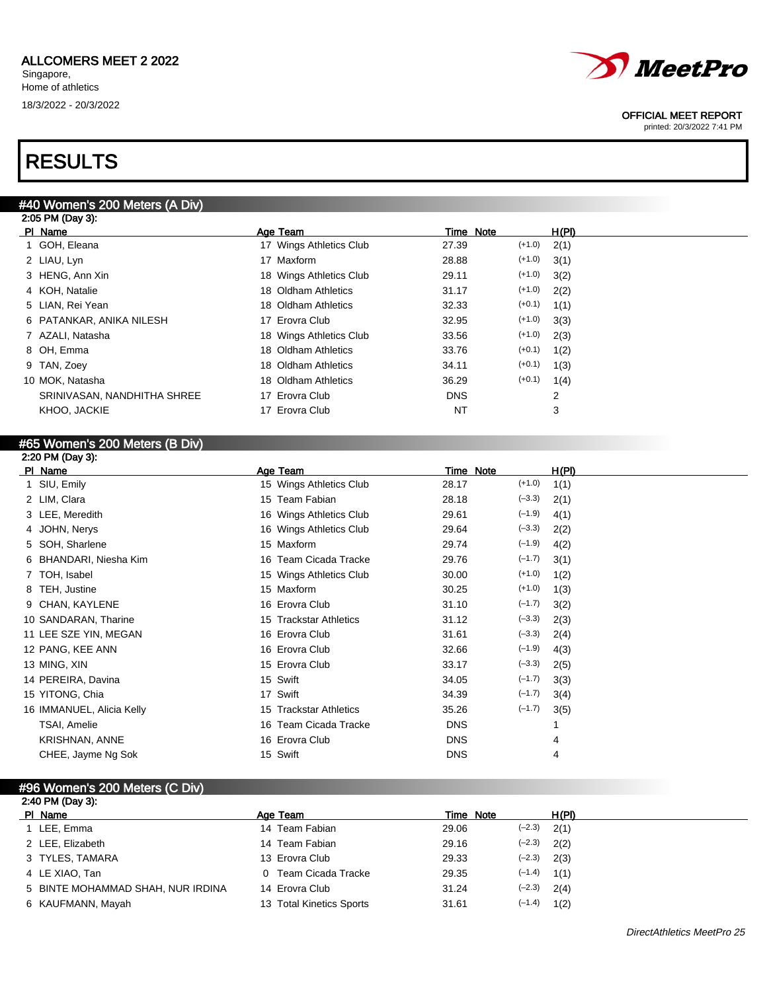## RESULTS

## #40 Women's 200 Meters (A Div)

| 2:05 PM (Day 3):            |                         |                   |       |
|-----------------------------|-------------------------|-------------------|-------|
| PI Name                     | Age Team                | Time Note         | H(PI) |
| 1 GOH, Eleana               | 17 Wings Athletics Club | $(+1.0)$<br>27.39 | 2(1)  |
| 2 LIAU, Lyn                 | 17 Maxform              | $(+1.0)$<br>28.88 | 3(1)  |
| 3 HENG, Ann Xin             | 18 Wings Athletics Club | $(+1.0)$<br>29.11 | 3(2)  |
| 4 KOH, Natalie              | 18 Oldham Athletics     | $(+1.0)$<br>31.17 | 2(2)  |
| 5 LIAN, Rei Yean            | 18 Oldham Athletics     | $(+0.1)$<br>32.33 | 1(1)  |
| 6 PATANKAR, ANIKA NILESH    | 17 Erovra Club          | $(+1.0)$<br>32.95 | 3(3)  |
| 7 AZALI, Natasha            | 18 Wings Athletics Club | $(+1.0)$<br>33.56 | 2(3)  |
| 8 OH, Emma                  | 18 Oldham Athletics     | $(+0.1)$<br>33.76 | 1(2)  |
| 9 TAN, Zoey                 | 18 Oldham Athletics     | $(+0.1)$<br>34.11 | 1(3)  |
| 10 MOK, Natasha             | 18 Oldham Athletics     | $(+0.1)$<br>36.29 | 1(4)  |
| SRINIVASAN, NANDHITHA SHREE | 17 Erovra Club          | <b>DNS</b>        | 2     |
| KHOO, JACKIE                | 17 Erovra Club          | NT                | 3     |
|                             |                         |                   |       |

## #65 Women's 200 Meters (B Div)

| 2:20 PM (Day 3):          |                         |            |          |       |
|---------------------------|-------------------------|------------|----------|-------|
| PI Name                   | Age Team                | Time Note  |          | H(PI) |
| 1 SIU, Emily              | 15 Wings Athletics Club | 28.17      | $(+1.0)$ | 1(1)  |
| 2 LIM, Clara              | 15 Team Fabian          | 28.18      | $(-3.3)$ | 2(1)  |
| 3 LEE, Meredith           | 16 Wings Athletics Club | 29.61      | $(-1.9)$ | 4(1)  |
| 4 JOHN, Nerys             | 16 Wings Athletics Club | 29.64      | $(-3.3)$ | 2(2)  |
| 5 SOH, Sharlene           | 15 Maxform              | 29.74      | $(-1.9)$ | 4(2)  |
| 6 BHANDARI, Niesha Kim    | 16 Team Cicada Tracke   | 29.76      | $(-1.7)$ | 3(1)  |
| 7 TOH, Isabel             | 15 Wings Athletics Club | 30.00      | $(+1.0)$ | 1(2)  |
| 8 TEH, Justine            | 15 Maxform              | 30.25      | $(+1.0)$ | 1(3)  |
| 9 CHAN, KAYLENE           | 16 Erovra Club          | 31.10      | $(-1.7)$ | 3(2)  |
| 10 SANDARAN, Tharine      | 15 Trackstar Athletics  | 31.12      | $(-3.3)$ | 2(3)  |
| 11 LEE SZE YIN, MEGAN     | 16 Erovra Club          | 31.61      | $(-3.3)$ | 2(4)  |
| 12 PANG, KEE ANN          | 16 Erovra Club          | 32.66      | $(-1.9)$ | 4(3)  |
| 13 MING, XIN              | 15 Erovra Club          | 33.17      | $(-3.3)$ | 2(5)  |
| 14 PEREIRA, Davina        | 15 Swift                | 34.05      | $(-1.7)$ | 3(3)  |
| 15 YITONG, Chia           | 17 Swift                | 34.39      | $(-1.7)$ | 3(4)  |
| 16 IMMANUEL, Alicia Kelly | 15 Trackstar Athletics  | 35.26      | $(-1.7)$ | 3(5)  |
| TSAI, Amelie              | 16 Team Cicada Tracke   | <b>DNS</b> |          |       |
| <b>KRISHNAN, ANNE</b>     | 16 Erovra Club          | <b>DNS</b> |          | 4     |
| CHEE, Jayme Ng Sok        | 15 Swift                | <b>DNS</b> |          | 4     |
|                           |                         |            |          |       |

#### #96 Women's 200 Meters (C Div) 2:40 PM (Day 3): PI Name **Age Team** Age Team Time Note H(PI) 1 LEE, Emma 14 Team Fabian 29.06 (-2.3) 2(1) 2 LEE, Elizabeth 14 Team Fabian 29.16 (–2.3) 2(2) 3 TYLES, TAMARA 13 Erovra Club 29.33 (–2.3) 2(3) 4 LE XIAO, Tan 0 Team Cicada Tracke 29.35 (–1.4) 1(1) 5 BINTE MOHAMMAD SHAH, NUR IRDINA 14 Erovra Club 31.24 (–2.3) 2(4)







#### OFFICIAL MEET REPORT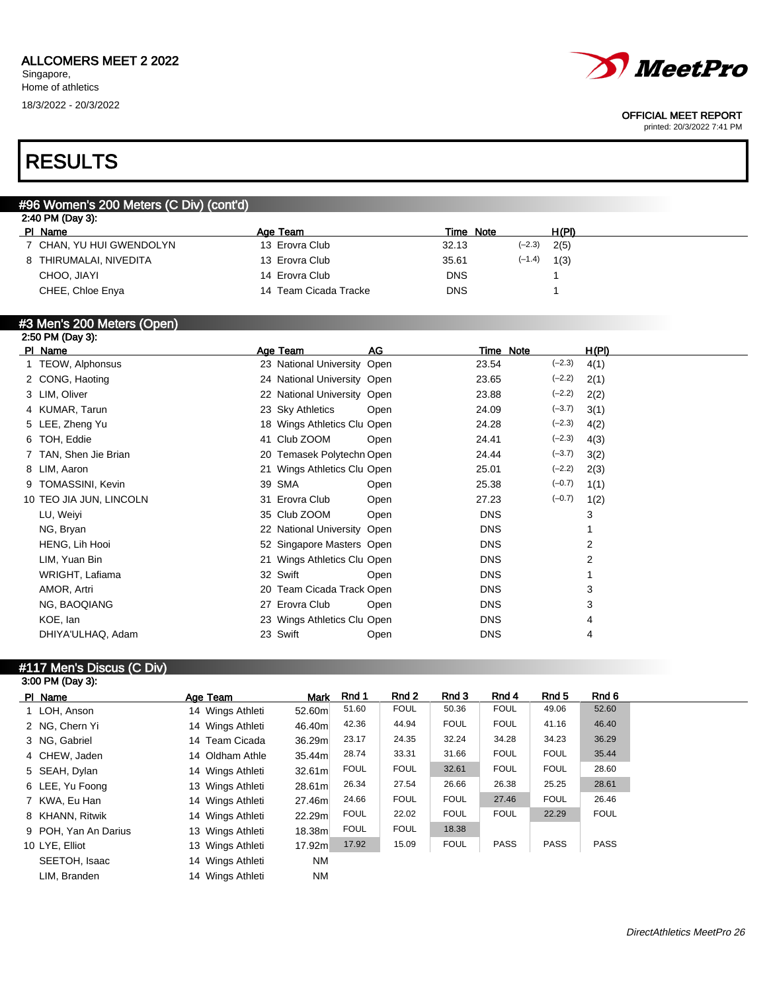# *MeetPro*

#### OFFICIAL MEET REPORT

printed: 20/3/2022 7:41 PM

## RESULTS

| 2:40 PM (Day 3):         |                       |                                         |          |                  |  |
|--------------------------|-----------------------|-----------------------------------------|----------|------------------|--|
| PI Name                  | Age Team              |                                         |          | H(PI)            |  |
| 7 CHAN, YU HUI GWENDOLYN | 13 Erovra Club        | 32.13                                   | $(-2.3)$ | 2(5)             |  |
| 8 THIRUMALAI, NIVEDITA   | 13 Erovra Club        | 35.61                                   | $(-1.4)$ | 1(3)             |  |
| CHOO, JIAYI              | 14 Erovra Club        | <b>DNS</b>                              |          |                  |  |
| CHEE, Chloe Enya         | 14 Team Cicada Tracke | <b>DNS</b>                              |          |                  |  |
|                          |                       | #96 Women's 200 Meters (C Div) (cont'd) |          | <b>Time Note</b> |  |

## #3 Men's 200 Meters (Open)

| 2:50 PM (Day 3):        |                             |      |            |           |          |       |  |
|-------------------------|-----------------------------|------|------------|-----------|----------|-------|--|
| PI Name                 | Age Team                    | AG   |            | Time Note |          | H(PI) |  |
| 1 TEOW, Alphonsus       | 23 National University Open |      | 23.54      |           | $(-2.3)$ | 4(1)  |  |
| 2 CONG, Haoting         | 24 National University Open |      | 23.65      |           | $(-2.2)$ | 2(1)  |  |
| 3 LIM, Oliver           | 22 National University Open |      | 23.88      |           | $(-2.2)$ | 2(2)  |  |
| 4 KUMAR, Tarun          | 23 Sky Athletics            | Open | 24.09      |           | $(-3.7)$ | 3(1)  |  |
| 5 LEE, Zheng Yu         | 18 Wings Athletics Clu Open |      | 24.28      |           | $(-2.3)$ | 4(2)  |  |
| 6 TOH, Eddie            | 41 Club ZOOM                | Open | 24.41      |           | $(-2.3)$ | 4(3)  |  |
| 7 TAN, Shen Jie Brian   | 20 Temasek Polytechn Open   |      | 24.44      |           | $(-3.7)$ | 3(2)  |  |
| 8 LIM, Aaron            | 21 Wings Athletics Clu Open |      | 25.01      |           | $(-2.2)$ | 2(3)  |  |
| 9 TOMASSINI, Kevin      | 39 SMA                      | Open | 25.38      |           | $(-0.7)$ | 1(1)  |  |
| 10 TEO JIA JUN, LINCOLN | 31 Erovra Club              | Open | 27.23      |           | $(-0.7)$ | 1(2)  |  |
| LU, Weiyi               | 35 Club ZOOM                | Open | <b>DNS</b> |           |          | 3     |  |
| NG, Bryan               | 22 National University Open |      | <b>DNS</b> |           |          |       |  |
| HENG, Lih Hooi          | 52 Singapore Masters Open   |      | <b>DNS</b> |           |          | 2     |  |
| LIM, Yuan Bin           | 21 Wings Athletics Clu Open |      | <b>DNS</b> |           |          | 2     |  |
| WRIGHT, Lafiama         | 32 Swift                    | Open | <b>DNS</b> |           |          |       |  |
| AMOR, Artri             | 20 Team Cicada Track Open   |      | <b>DNS</b> |           |          | 3     |  |
| NG, BAOQIANG            | 27 Erovra Club              | Open | <b>DNS</b> |           |          | 3     |  |
| KOE, lan                | 23 Wings Athletics Clu Open |      | <b>DNS</b> |           |          | 4     |  |
| DHIYA'ULHAQ, Adam       | 23 Swift                    | Open | <b>DNS</b> |           |          | 4     |  |
|                         |                             |      |            |           |          |       |  |

#### #117 Men's Discus (C Div) 3:00 PM (Day 3):

| PI Name              | Age Team         | Mark   | Rnd 1       | Rnd 2       | Rnd 3       | Rnd 4       | Rnd 5       | Rnd 6       |
|----------------------|------------------|--------|-------------|-------------|-------------|-------------|-------------|-------------|
| 1 LOH, Anson         | 14 Wings Athleti | 52.60m | 51.60       | <b>FOUL</b> | 50.36       | <b>FOUL</b> | 49.06       | 52.60       |
| 2 NG, Chern Yi       | 14 Wings Athleti | 46.40m | 42.36       | 44.94       | <b>FOUL</b> | <b>FOUL</b> | 41.16       | 46.40       |
| 3 NG, Gabriel        | 14 Team Cicada   | 36.29m | 23.17       | 24.35       | 32.24       | 34.28       | 34.23       | 36.29       |
| 4 CHEW, Jaden        | 14 Oldham Athle  | 35.44m | 28.74       | 33.31       | 31.66       | <b>FOUL</b> | <b>FOUL</b> | 35.44       |
| 5 SEAH, Dylan        | 14 Wings Athleti | 32.61m | <b>FOUL</b> | <b>FOUL</b> | 32.61       | <b>FOUL</b> | <b>FOUL</b> | 28.60       |
| 6 LEE, Yu Foong      | 13 Wings Athleti | 28.61m | 26.34       | 27.54       | 26.66       | 26.38       | 25.25       | 28.61       |
| 7 KWA, Eu Han        | 14 Wings Athleti | 27.46m | 24.66       | <b>FOUL</b> | <b>FOUL</b> | 27.46       | <b>FOUL</b> | 26.46       |
| 8 KHANN, Ritwik      | 14 Wings Athleti | 22.29m | <b>FOUL</b> | 22.02       | <b>FOUL</b> | <b>FOUL</b> | 22.29       | <b>FOUL</b> |
| 9 POH, Yan An Darius | 13 Wings Athleti | 18.38m | <b>FOUL</b> | <b>FOUL</b> | 18.38       |             |             |             |
| 10 LYE, Elliot       | 13 Wings Athleti | 17.92m | 17.92       | 15.09       | <b>FOUL</b> | <b>PASS</b> | <b>PASS</b> | <b>PASS</b> |
| SEETOH, Isaac        | 14 Wings Athleti | NM.    |             |             |             |             |             |             |
| LIM, Branden         | 14 Wings Athleti | ΝM     |             |             |             |             |             |             |
|                      |                  |        |             |             |             |             |             |             |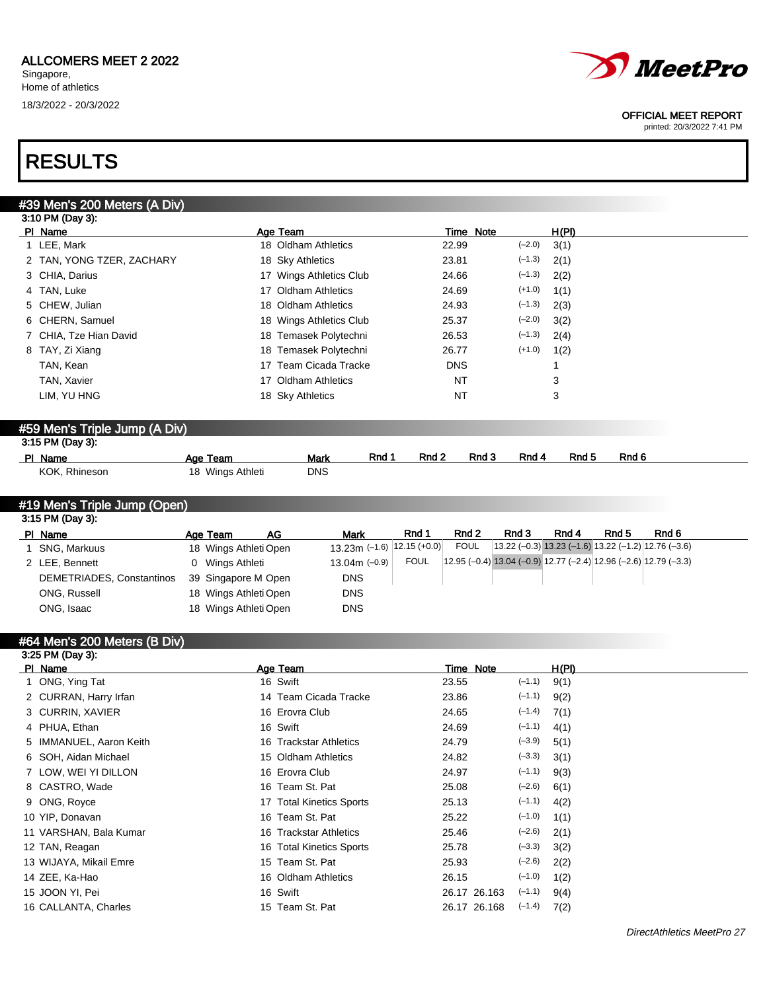

#### OFFICIAL MEET REPORT

printed: 20/3/2022 7:41 PM

## RESULTS

| #39 Men's 200 Meters (A Div)                                                                                                                                                                                                                                                                                                                                                         |                  |                          |                                         |                |                                             |       |
|--------------------------------------------------------------------------------------------------------------------------------------------------------------------------------------------------------------------------------------------------------------------------------------------------------------------------------------------------------------------------------------|------------------|--------------------------|-----------------------------------------|----------------|---------------------------------------------|-------|
| 3:10 PM (Day 3):                                                                                                                                                                                                                                                                                                                                                                     |                  |                          |                                         |                |                                             |       |
| PI Name                                                                                                                                                                                                                                                                                                                                                                              |                  | Age Team                 |                                         | Time Note      | H(PI)                                       |       |
| 1 LEE, Mark                                                                                                                                                                                                                                                                                                                                                                          |                  | 18 Oldham Athletics      | 22.99                                   | $(-2.0)$       | 3(1)                                        |       |
| 2 TAN, YONG TZER, ZACHARY                                                                                                                                                                                                                                                                                                                                                            |                  | 18 Sky Athletics         | 23.81                                   | $(-1.3)$       | 2(1)                                        |       |
| 3 CHIA, Darius                                                                                                                                                                                                                                                                                                                                                                       |                  | 17 Wings Athletics Club  | 24.66                                   | $(-1.3)$       | 2(2)                                        |       |
| 4 TAN, Luke                                                                                                                                                                                                                                                                                                                                                                          |                  | 17 Oldham Athletics      | 24.69                                   | $(+1.0)$       | 1(1)                                        |       |
| 5 CHEW, Julian                                                                                                                                                                                                                                                                                                                                                                       |                  | 18 Oldham Athletics      | 24.93                                   | $(-1.3)$       | 2(3)                                        |       |
| 6 CHERN, Samuel                                                                                                                                                                                                                                                                                                                                                                      |                  | 18 Wings Athletics Club  | 25.37                                   | $(-2.0)$       | 3(2)                                        |       |
| 7 CHIA, Tze Hian David                                                                                                                                                                                                                                                                                                                                                               |                  | 18 Temasek Polytechni    | 26.53                                   | $(-1.3)$       | 2(4)                                        |       |
| 8 TAY, Zi Xiang                                                                                                                                                                                                                                                                                                                                                                      |                  | 18 Temasek Polytechni    | 26.77                                   | $(+1.0)$       | 1(2)                                        |       |
| TAN, Kean                                                                                                                                                                                                                                                                                                                                                                            | 17               | Team Cicada Tracke       | <b>DNS</b>                              |                |                                             |       |
| TAN, Xavier                                                                                                                                                                                                                                                                                                                                                                          |                  | 17 Oldham Athletics      | NT                                      |                | 3                                           |       |
| LIM, YU HNG                                                                                                                                                                                                                                                                                                                                                                          |                  | 18 Sky Athletics         | NT                                      |                | 3                                           |       |
| #59 Men's Triple Jump (A Div)                                                                                                                                                                                                                                                                                                                                                        |                  |                          |                                         |                |                                             |       |
| 3:15 PM (Day 3):                                                                                                                                                                                                                                                                                                                                                                     |                  |                          |                                         |                |                                             |       |
| PI Name                                                                                                                                                                                                                                                                                                                                                                              | Age Team         | <b>Mark</b>              | Rnd 1<br>Rnd 2                          | Rnd 3<br>Rnd 4 | Rnd 5<br>Rnd 6                              |       |
| KOK, Rhineson                                                                                                                                                                                                                                                                                                                                                                        | 18 Wings Athleti | <b>DNS</b>               |                                         |                |                                             |       |
| #19 Men's Triple Jump (Open)                                                                                                                                                                                                                                                                                                                                                         |                  |                          |                                         |                |                                             |       |
| 3:15 PM (Day 3):                                                                                                                                                                                                                                                                                                                                                                     |                  |                          |                                         |                |                                             |       |
| PI Name                                                                                                                                                                                                                                                                                                                                                                              | Age Team         | <u>AG</u><br><b>Mark</b> | Rnd 1<br>Rnd 2                          | Rnd 3          | Rnd 4<br>Rnd 5                              | Rnd 6 |
| $\overline{A}$ $\overline{A}$ $\overline{A}$ $\overline{A}$ $\overline{A}$ $\overline{A}$ $\overline{A}$ $\overline{A}$ $\overline{A}$ $\overline{A}$ $\overline{A}$ $\overline{A}$ $\overline{A}$ $\overline{A}$ $\overline{A}$ $\overline{A}$ $\overline{A}$ $\overline{A}$ $\overline{A}$ $\overline{A}$ $\overline{A}$ $\overline{A}$ $\overline{A}$ $\overline{A}$ $\overline{$ |                  |                          | $10.00 - 1.1011215(100)$<br><b>EQUE</b> |                | 12 22 (02) 12 23 (16) 12 22 (17) 12 26 (26) |       |

| PI Name                   | Ade learn             | Αv | mark                             | NIU I       | NN 4        | NIU J                                                                | NN 4 | NIU J | NIU V |
|---------------------------|-----------------------|----|----------------------------------|-------------|-------------|----------------------------------------------------------------------|------|-------|-------|
| SNG, Markuus              | 18 Wings Athleti Open |    | $13.23$ m (-1.6) $ 12.15$ (+0.0) |             | <b>FOUL</b> | $\vert$ 13.22 (-0.3) 13.23 (-1.6) 13.22 (-1.2) 12.76 (-3.6)          |      |       |       |
| 2 LEE, Bennett            | 0 Wings Athleti       |    | $13.04m$ (-0.9)                  | <b>FOUL</b> |             | $(12.95 (-0.4) 13.04 (-0.9) 12.77 (-2.4) 12.96 (-2.6) 12.79 (-3.3))$ |      |       |       |
| DEMETRIADES, Constantinos | 39 Singapore M Open   |    | <b>DNS</b>                       |             |             |                                                                      |      |       |       |
| ONG. Russell              | 18 Wings Athleti Open |    | <b>DNS</b>                       |             |             |                                                                      |      |       |       |
| ONG, Isaac                | 18 Wings Athleti Open |    | <b>DNS</b>                       |             |             |                                                                      |      |       |       |
|                           |                       |    |                                  |             |             |                                                                      |      |       |       |

## #64 Men's 200 Meters (B Div)

| 3:25 PM (Day 3):        |                          |              |                  |  |
|-------------------------|--------------------------|--------------|------------------|--|
| PI Name                 | Age Team                 | Time Note    | H(PI)            |  |
| 1 ONG, Ying Tat         | 16 Swift                 | 23.55        | $(-1.1)$<br>9(1) |  |
| 2 CURRAN, Harry Irfan   | 14 Team Cicada Tracke    | 23.86        | $(-1.1)$<br>9(2) |  |
| 3 CURRIN, XAVIER        | 16 Erovra Club           | 24.65        | $(-1.4)$<br>7(1) |  |
| 4 PHUA, Ethan           | 16 Swift                 | 24.69        | $(-1.1)$<br>4(1) |  |
| 5 IMMANUEL, Aaron Keith | 16 Trackstar Athletics   | 24.79        | $(-3.9)$<br>5(1) |  |
| 6 SOH, Aidan Michael    | 15 Oldham Athletics      | 24.82        | $(-3.3)$<br>3(1) |  |
| 7 LOW, WEI YI DILLON    | 16 Erovra Club           | 24.97        | $(-1.1)$<br>9(3) |  |
| 8 CASTRO, Wade          | 16 Team St. Pat          | 25.08        | $(-2.6)$<br>6(1) |  |
| 9 ONG, Royce            | 17 Total Kinetics Sports | 25.13        | $(-1.1)$<br>4(2) |  |
| 10 YIP, Donavan         | 16 Team St. Pat          | 25.22        | $(-1.0)$<br>1(1) |  |
| 11 VARSHAN, Bala Kumar  | 16 Trackstar Athletics   | 25.46        | $(-2.6)$<br>2(1) |  |
| 12 TAN, Reagan          | 16 Total Kinetics Sports | 25.78        | $(-3.3)$<br>3(2) |  |
| 13 WIJAYA, Mikail Emre  | 15 Team St. Pat          | 25.93        | $(-2.6)$<br>2(2) |  |
| 14 ZEE, Ka-Hao          | 16 Oldham Athletics      | 26.15        | $(-1.0)$<br>1(2) |  |
| 15 JOON YI, Pei         | 16 Swift                 | 26.17 26.163 | $(-1.1)$<br>9(4) |  |
| 16 CALLANTA, Charles    | 15 Team St. Pat          | 26.17 26.168 | $(-1.4)$<br>7(2) |  |
|                         |                          |              |                  |  |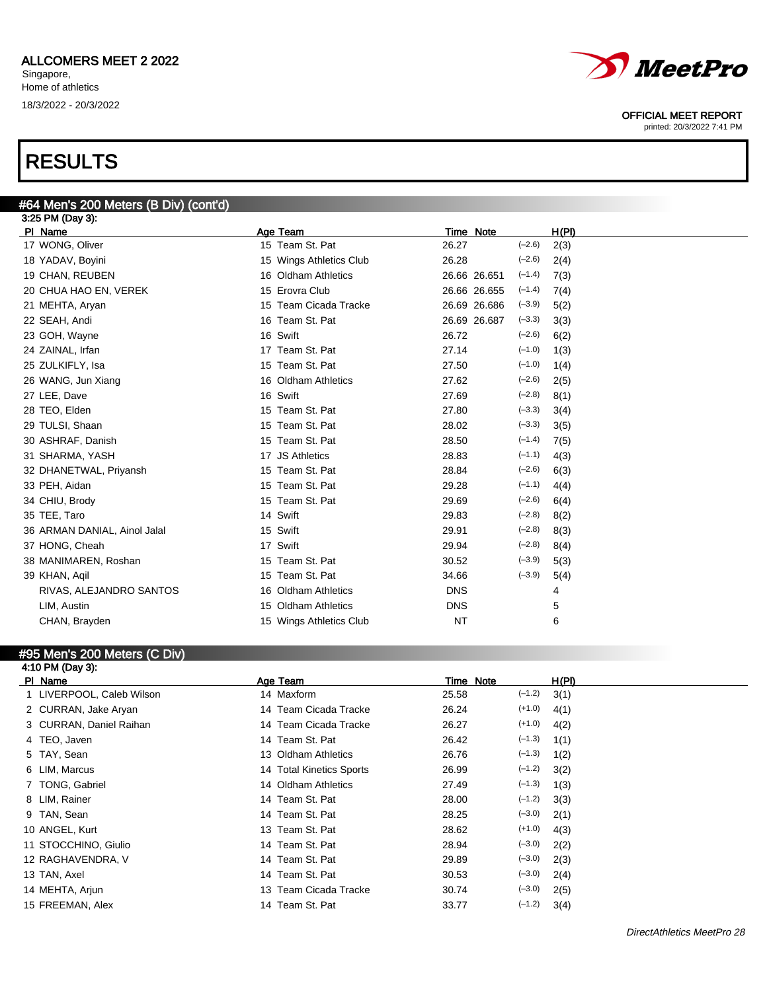## RESULTS

| #64 Men's 200 Meters (B Div) (cont'd) |                         |                          |       |
|---------------------------------------|-------------------------|--------------------------|-------|
| 3:25 PM (Day 3):                      |                         |                          |       |
| PI Name                               | Age Team                | Time Note                | H(PI) |
| 17 WONG, Oliver                       | 15 Team St. Pat         | 26.27<br>$(-2.6)$        | 2(3)  |
| 18 YADAV, Boyini                      | 15 Wings Athletics Club | $(-2.6)$<br>26.28        | 2(4)  |
| 19 CHAN, REUBEN                       | 16 Oldham Athletics     | $(-1.4)$<br>26.66 26.651 | 7(3)  |
| 20 CHUA HAO EN, VEREK                 | 15 Erovra Club          | 26.66 26.655<br>$(-1.4)$ | 7(4)  |
| 21 MEHTA, Aryan                       | 15 Team Cicada Tracke   | $(-3.9)$<br>26.69 26.686 | 5(2)  |
| 22 SEAH, Andi                         | 16 Team St. Pat         | $(-3.3)$<br>26.69 26.687 | 3(3)  |
| 23 GOH, Wayne                         | 16 Swift                | $(-2.6)$<br>26.72        | 6(2)  |
| 24 ZAINAL, Irfan                      | 17 Team St. Pat         | $(-1.0)$<br>27.14        | 1(3)  |
| 25 ZULKIFLY, Isa                      | 15 Team St. Pat         | $(-1.0)$<br>27.50        | 1(4)  |
| 26 WANG, Jun Xiang                    | 16 Oldham Athletics     | $(-2.6)$<br>27.62        | 2(5)  |
| 27 LEE, Dave                          | 16 Swift                | $(-2.8)$<br>27.69        | 8(1)  |
| 28 TEO, Elden                         | 15 Team St. Pat         | $(-3.3)$<br>27.80        | 3(4)  |
| 29 TULSI, Shaan                       | 15 Team St. Pat         | $(-3.3)$<br>28.02        | 3(5)  |
| 30 ASHRAF, Danish                     | 15 Team St. Pat         | 28.50<br>$(-1.4)$        | 7(5)  |
| 31 SHARMA, YASH                       | 17 JS Athletics         | $(-1.1)$<br>28.83        | 4(3)  |
| 32 DHANETWAL, Priyansh                | 15 Team St. Pat         | $(-2.6)$<br>28.84        | 6(3)  |
| 33 PEH, Aidan                         | 15 Team St. Pat         | $(-1.1)$<br>29.28        | 4(4)  |
| 34 CHIU, Brody                        | 15 Team St. Pat         | $(-2.6)$<br>29.69        | 6(4)  |
| 35 TEE, Taro                          | 14 Swift                | $(-2.8)$<br>29.83        | 8(2)  |
| 36 ARMAN DANIAL, Ainol Jalal          | 15 Swift                | $(-2.8)$<br>29.91        | 8(3)  |
| 37 HONG, Cheah                        | 17 Swift                | $(-2.8)$<br>29.94        | 8(4)  |
| 38 MANIMAREN, Roshan                  | 15 Team St. Pat         | 30.52<br>$(-3.9)$        | 5(3)  |
| 39 KHAN, Agil                         | 15 Team St. Pat         | $(-3.9)$<br>34.66        | 5(4)  |
| RIVAS, ALEJANDRO SANTOS               | 16 Oldham Athletics     | <b>DNS</b>               | 4     |
| LIM, Austin                           | 15 Oldham Athletics     | <b>DNS</b>               | 5     |
| CHAN, Brayden                         | 15 Wings Athletics Club | <b>NT</b>                | 6     |

## #95 Men's 200 Meters (C Div)

| 4:10 PM (Day 3):          |                          |           |          |       |
|---------------------------|--------------------------|-----------|----------|-------|
| PI Name                   | Age Team                 | Time Note |          | H(PI) |
| 1 LIVERPOOL, Caleb Wilson | 14 Maxform               | 25.58     | $(-1.2)$ | 3(1)  |
| 2 CURRAN, Jake Aryan      | 14 Team Cicada Tracke    | 26.24     | $(+1.0)$ | 4(1)  |
| 3 CURRAN, Daniel Raihan   | 14 Team Cicada Tracke    | 26.27     | $(+1.0)$ | 4(2)  |
| 4 TEO, Javen              | 14 Team St. Pat          | 26.42     | $(-1.3)$ | 1(1)  |
| 5 TAY, Sean               | 13 Oldham Athletics      | 26.76     | $(-1.3)$ | 1(2)  |
| 6 LIM, Marcus             | 14 Total Kinetics Sports | 26.99     | $(-1.2)$ | 3(2)  |
| 7 TONG, Gabriel           | 14 Oldham Athletics      | 27.49     | $(-1.3)$ | 1(3)  |
| 8 LIM, Rainer             | 14 Team St. Pat          | 28.00     | $(-1.2)$ | 3(3)  |
| 9 TAN, Sean               | 14 Team St. Pat          | 28.25     | $(-3.0)$ | 2(1)  |
| 10 ANGEL, Kurt            | 13 Team St. Pat          | 28.62     | $(+1.0)$ | 4(3)  |
| 11 STOCCHINO, Giulio      | 14 Team St. Pat          | 28.94     | $(-3.0)$ | 2(2)  |
| 12 RAGHAVENDRA, V         | 14 Team St. Pat          | 29.89     | $(-3.0)$ | 2(3)  |
| 13 TAN, Axel              | 14 Team St. Pat          | 30.53     | $(-3.0)$ | 2(4)  |
| 14 MEHTA, Arjun           | 13 Team Cicada Tracke    | 30.74     | $(-3.0)$ | 2(5)  |
| 15 FREEMAN, Alex          | 14 Team St. Pat          | 33.77     | $(-1.2)$ | 3(4)  |
|                           |                          |           |          |       |



#### OFFICIAL MEET REPORT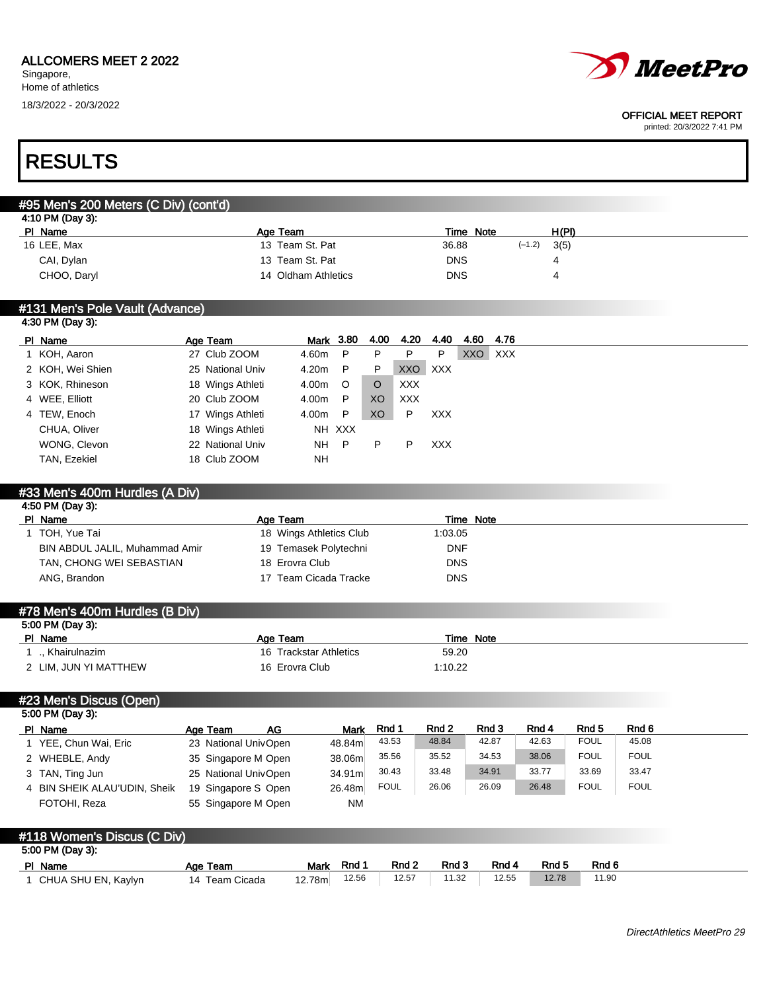

#### OFFICIAL MEET REPORT

printed: 20/3/2022 7:41 PM

## RESULTS

## #95 Men's 200 Meters (C Div) (cont'd)

| 4:10 PM (Day 3): |                     |            |                  |  |
|------------------|---------------------|------------|------------------|--|
| <u>PI Name</u>   | Age Team            | Time Note  | H(PI)            |  |
| 16 LEE, Max      | 13 Team St. Pat     | 36.88      | $(-1.2)$<br>3(5) |  |
| CAI, Dylan       | 13 Team St. Pat     | <b>DNS</b> |                  |  |
| CHOO, Daryl      | 14 Oldham Athletics | <b>DNS</b> |                  |  |
|                  |                     |            |                  |  |

#### #131 Men's Pole Vault (Advance) 4:30 PM (Day 3):

| PI Name          | Age Team         | <u>Mark</u> 3.80 |         | 4.00    | 4.20       | 4.40       | 4.60       | 4.76       |
|------------------|------------------|------------------|---------|---------|------------|------------|------------|------------|
| 1 KOH, Aaron     | 27 Club ZOOM     | 4.60m            | P       | P       | P          | P          | <b>XXO</b> | <b>XXX</b> |
| 2 KOH, Wei Shien | 25 National Univ | 4.20m            | P.      | P.      | XXO XXX    |            |            |            |
| 3 KOK, Rhineson  | 18 Wings Athleti | 4.00m            | $\circ$ | $\circ$ | <b>XXX</b> |            |            |            |
| 4 WEE, Elliott   | 20 Club ZOOM     | 4.00m            | P       | XO      | <b>XXX</b> |            |            |            |
| 4 TEW, Enoch     | 17 Wings Athleti | 4.00m            | P       | XO      | P          | <b>XXX</b> |            |            |
| CHUA, Oliver     | 18 Wings Athleti |                  | NH XXX  |         |            |            |            |            |
| WONG, Clevon     | 22 National Univ | NH P             |         | P       | P          | <b>XXX</b> |            |            |
| TAN, Ezekiel     | 18 Club ZOOM     | <b>NH</b>        |         |         |            |            |            |            |

## #33 Men's 400m Hurdles (A Div) 4:50 PM (Day 3): Pl Name **Age Team** Age Team Time Note 1 TOH, Yue Tai 18 Wings Athletics Club 1:03.05 BIN ABDUL JALIL, Muhammad Amir 19 Temasek Polytechni DNF TAN, CHONG WEI SEBASTIAN 18 Erovra Club DNS ANG, Brandon **17 Team Cicada Tracke** DNS #78 Men's 400m Hurdles (B Div) 5:00 PM (Day 3): PI Name **Age Team** Age Team Time Note

| Khairulnazim          | 16 Trackstar Athletics | 59.20   |
|-----------------------|------------------------|---------|
| 2 LIM. JUN YI MATTHEW | 16 Erovra Club         | 1:10.22 |

#23 Men's Discus (Open)

| 5:00 PM (Day 3):             |                      |    |        |             |       |       |       |             |             |  |
|------------------------------|----------------------|----|--------|-------------|-------|-------|-------|-------------|-------------|--|
| PI Name                      | Age Team             | AG | Mark   | Rnd 1       | Rnd 2 | Rnd 3 | Rnd 4 | Rnd 5       | Rnd 6       |  |
| YEE, Chun Wai, Eric          | 23 National UnivOpen |    | 48.84m | 43.53       | 48.84 | 42.87 | 42.63 | <b>FOUL</b> | 45.08       |  |
| 2 WHEBLE, Andy               | 35 Singapore M Open  |    | 38.06m | 35.56       | 35.52 | 34.53 | 38.06 | <b>FOUL</b> | <b>FOUL</b> |  |
| 3 TAN, Ting Jun              | 25 National UnivOpen |    | 34.91m | 30.43       | 33.48 | 34.91 | 33.77 | 33.69       | 33.47       |  |
| 4 BIN SHEIK ALAU'UDIN, Sheik | 19 Singapore S Open  |    | 26.48m | <b>FOUL</b> | 26.06 | 26.09 | 26.48 | <b>FOUL</b> | <b>FOUL</b> |  |
| FOTOHI, Reza                 | 55 Singapore M Open  |    | NM     |             |       |       |       |             |             |  |

| #118 Women's Discus (C Div) |                |             |       |       |       |       |       |       |
|-----------------------------|----------------|-------------|-------|-------|-------|-------|-------|-------|
| 5:00 PM (Day 3):            |                |             |       |       |       |       |       |       |
| PI Name                     | Age Team       | <b>Mark</b> | Rnd 1 | Rnd 2 | Rnd 3 | Rnd 4 | Rnd 5 | Rnd 6 |
| CHUA SHU EN, Kaylyn         | 14 Team Cicada | 12.78ml     | 12.56 | 12.57 | 11.32 | 12.55 | 12.78 | 11.90 |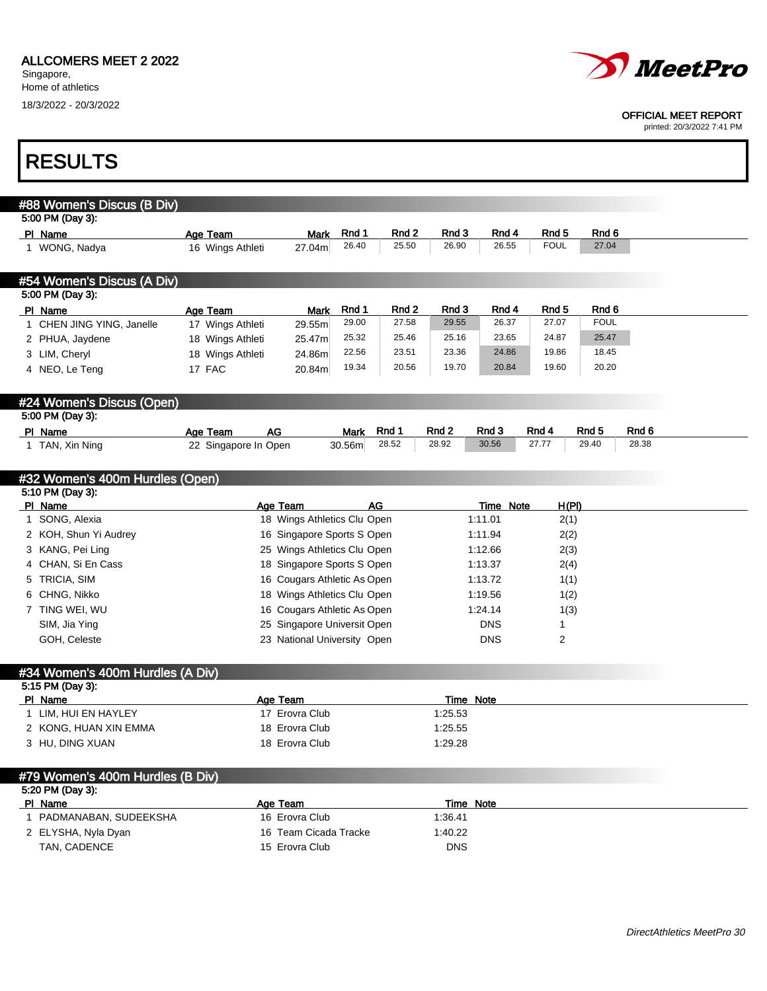Г



#### OFFICIAL MEET REPORT

printed: 20/3/2022 7:41 PM

٦

| <b>RESULTS</b>                                                  |                                   |                             |                         |            |                  |                  |       |
|-----------------------------------------------------------------|-----------------------------------|-----------------------------|-------------------------|------------|------------------|------------------|-------|
|                                                                 |                                   |                             |                         |            |                  |                  |       |
| #88 Women's Discus (B Div)                                      |                                   |                             |                         |            |                  |                  |       |
| 5:00 PM (Day 3):                                                |                                   |                             | Rnd 3                   | Rnd 4      | Rnd <sub>5</sub> | Rnd 6            |       |
| PI Name<br>1 WONG, Nadya                                        | Age Team<br><b>Mark</b><br>27.04m | Rnd 1<br>26.40              | Rnd 2<br>25.50<br>26.90 | 26.55      | <b>FOUL</b>      | 27.04            |       |
|                                                                 | 16 Wings Athleti                  |                             |                         |            |                  |                  |       |
| #54 Women's Discus (A Div)<br>5:00 PM (Day 3):                  |                                   |                             |                         |            |                  |                  |       |
| PI Name                                                         | Age Team<br><b>Mark</b>           | Rnd 1                       | Rnd 2<br>Rnd 3          | Rnd 4      | Rnd 5            | Rnd 6            |       |
| 1 CHEN JING YING, Janelle                                       | 17 Wings Athleti<br>29.55m        | 29.00                       | 27.58<br>29.55          | 26.37      | 27.07            | <b>FOUL</b>      |       |
| 2 PHUA, Jaydene                                                 | 18 Wings Athleti<br>25.47m        | 25.32                       | 25.46<br>25.16          | 23.65      | 24.87            | 25.47            |       |
| 3 LIM, Cheryl                                                   | 18 Wings Athleti<br>24.86m        | 22.56                       | 23.51<br>23.36          | 24.86      | 19.86            | 18.45            |       |
| 4 NEO, Le Teng                                                  | 17 FAC<br>20.84m                  | 19.34                       | 20.56<br>19.70          | 20.84      | 19.60            | 20.20            |       |
| #24 Women's Discus (Open)                                       |                                   |                             |                         |            |                  |                  |       |
| 5:00 PM (Day 3):                                                |                                   |                             |                         |            |                  |                  |       |
| PI Name                                                         | <b>AG</b><br>Age Team             | Rnd 1<br><b>Mark</b>        | Rnd <sub>2</sub>        | Rnd 3      | Rnd 4            | Rnd <sub>5</sub> | Rnd 6 |
| 1 TAN, Xin Ning                                                 | 22 Singapore In Open              | 28.52<br>30.56m             | 28.92                   | 30.56      | 27.77            | 29.40            | 28.38 |
|                                                                 |                                   |                             |                         |            |                  |                  |       |
| #32 Women's 400m Hurdles (Open)                                 |                                   |                             |                         |            |                  |                  |       |
| 5:10 PM (Day 3):<br>PI Name                                     | Age Team                          | <b>AG</b>                   |                         | Time Note  | <u>H(PI)</u>     |                  |       |
| 1 SONG, Alexia                                                  |                                   | 18 Wings Athletics Clu Open |                         | 1:11.01    | 2(1)             |                  |       |
| 2 KOH, Shun Yi Audrey                                           |                                   | 16 Singapore Sports S Open  |                         | 1:11.94    | 2(2)             |                  |       |
| 3 KANG, Pei Ling                                                |                                   | 25 Wings Athletics Clu Open |                         | 1:12.66    | 2(3)             |                  |       |
| 4 CHAN, Si En Cass                                              |                                   | 18 Singapore Sports S Open  |                         |            |                  |                  |       |
|                                                                 |                                   |                             |                         | 1:13.37    | 2(4)             |                  |       |
| 5 TRICIA, SIM                                                   |                                   | 16 Cougars Athletic As Open |                         | 1:13.72    | 1(1)             |                  |       |
| 6 CHNG, Nikko                                                   |                                   | 18 Wings Athletics Clu Open |                         | 1:19.56    | 1(2)             |                  |       |
| 7 TING WEI, WU                                                  |                                   | 16 Cougars Athletic As Open |                         | 1:24.14    | 1(3)             |                  |       |
| SIM, Jia Ying                                                   |                                   | 25 Singapore Universit Open |                         | <b>DNS</b> | 1                |                  |       |
| GOH, Celeste                                                    |                                   | 23 National University Open |                         | <b>DNS</b> | 2                |                  |       |
|                                                                 |                                   |                             |                         |            |                  |                  |       |
| #34 Women's 400m Hurdles (A Div)                                |                                   |                             |                         |            |                  |                  |       |
| 5:15 PM (Day 3):                                                |                                   |                             |                         |            |                  |                  |       |
| PI Name                                                         | Age Team                          |                             |                         | Time Note  |                  |                  |       |
| 1 LIM, HUI EN HAYLEY                                            | 17 Erovra Club                    |                             | 1:25.53                 |            |                  |                  |       |
| 2 KONG, HUAN XIN EMMA                                           | 18 Erovra Club                    |                             | 1:25.55                 |            |                  |                  |       |
| 3 HU, DING XUAN                                                 | 18 Erovra Club                    |                             | 1:29.28                 |            |                  |                  |       |
|                                                                 |                                   |                             |                         |            |                  |                  |       |
|                                                                 |                                   |                             |                         |            |                  |                  |       |
| #79 Women's 400m Hurdles (B Div)<br>5:20 PM (Day 3):<br>PI Name | Age Team                          |                             |                         | Time Note  |                  |                  |       |
| 1 PADMANABAN, SUDEEKSHA                                         | 16 Erovra Club                    |                             | 1:36.41                 |            |                  |                  |       |
| 2 ELYSHA, Nyla Dyan                                             | 16 Team Cicada Tracke             |                             | 1:40.22                 |            |                  |                  |       |